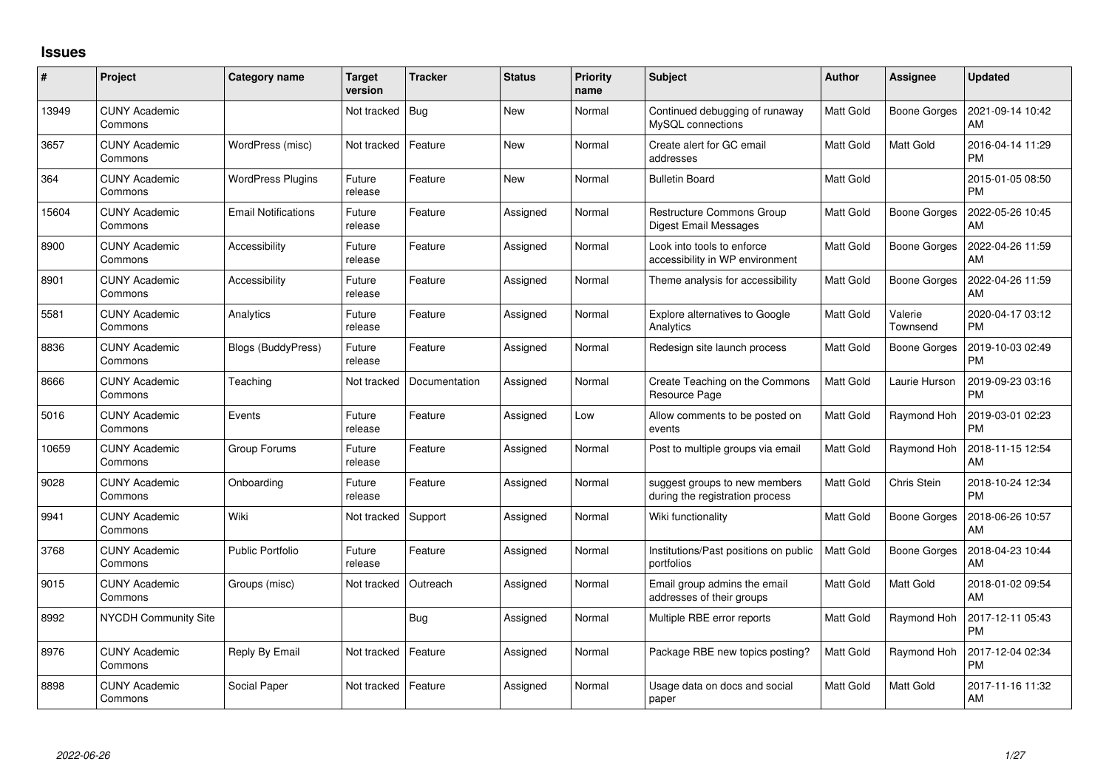## **Issues**

| #     | Project                         | Category name              | Target<br>version | <b>Tracker</b> | <b>Status</b> | <b>Priority</b><br>name | <b>Subject</b>                                                   | <b>Author</b>    | <b>Assignee</b>     | <b>Updated</b>                |
|-------|---------------------------------|----------------------------|-------------------|----------------|---------------|-------------------------|------------------------------------------------------------------|------------------|---------------------|-------------------------------|
| 13949 | <b>CUNY Academic</b><br>Commons |                            | Not tracked       | <b>Bug</b>     | <b>New</b>    | Normal                  | Continued debugging of runaway<br>MySQL connections              | Matt Gold        | <b>Boone Gorges</b> | 2021-09-14 10:42<br>AM        |
| 3657  | <b>CUNY Academic</b><br>Commons | WordPress (misc)           | Not tracked       | Feature        | <b>New</b>    | Normal                  | Create alert for GC email<br>addresses                           | Matt Gold        | Matt Gold           | 2016-04-14 11:29<br><b>PM</b> |
| 364   | <b>CUNY Academic</b><br>Commons | WordPress Plugins          | Future<br>release | Feature        | <b>New</b>    | Normal                  | <b>Bulletin Board</b>                                            | <b>Matt Gold</b> |                     | 2015-01-05 08:50<br><b>PM</b> |
| 15604 | <b>CUNY Academic</b><br>Commons | <b>Email Notifications</b> | Future<br>release | Feature        | Assigned      | Normal                  | Restructure Commons Group<br><b>Digest Email Messages</b>        | <b>Matt Gold</b> | <b>Boone Gorges</b> | 2022-05-26 10:45<br>AM        |
| 8900  | <b>CUNY Academic</b><br>Commons | Accessibility              | Future<br>release | Feature        | Assigned      | Normal                  | Look into tools to enforce<br>accessibility in WP environment    | Matt Gold        | Boone Gorges        | 2022-04-26 11:59<br>AM        |
| 8901  | <b>CUNY Academic</b><br>Commons | Accessibility              | Future<br>release | Feature        | Assigned      | Normal                  | Theme analysis for accessibility                                 | <b>Matt Gold</b> | Boone Gorges        | 2022-04-26 11:59<br>AM        |
| 5581  | <b>CUNY Academic</b><br>Commons | Analytics                  | Future<br>release | Feature        | Assigned      | Normal                  | Explore alternatives to Google<br>Analytics                      | Matt Gold        | Valerie<br>Townsend | 2020-04-17 03:12<br><b>PM</b> |
| 8836  | <b>CUNY Academic</b><br>Commons | Blogs (BuddyPress)         | Future<br>release | Feature        | Assigned      | Normal                  | Redesign site launch process                                     | <b>Matt Gold</b> | <b>Boone Gorges</b> | 2019-10-03 02:49<br><b>PM</b> |
| 8666  | <b>CUNY Academic</b><br>Commons | Teaching                   | Not tracked       | Documentation  | Assigned      | Normal                  | Create Teaching on the Commons<br>Resource Page                  | <b>Matt Gold</b> | Laurie Hurson       | 2019-09-23 03:16<br><b>PM</b> |
| 5016  | <b>CUNY Academic</b><br>Commons | Events                     | Future<br>release | Feature        | Assigned      | Low                     | Allow comments to be posted on<br>events                         | Matt Gold        | Raymond Hoh         | 2019-03-01 02:23<br><b>PM</b> |
| 10659 | <b>CUNY Academic</b><br>Commons | Group Forums               | Future<br>release | Feature        | Assigned      | Normal                  | Post to multiple groups via email                                | Matt Gold        | Raymond Hoh         | 2018-11-15 12:54<br>AM        |
| 9028  | <b>CUNY Academic</b><br>Commons | Onboarding                 | Future<br>release | Feature        | Assigned      | Normal                  | suggest groups to new members<br>during the registration process | <b>Matt Gold</b> | Chris Stein         | 2018-10-24 12:34<br><b>PM</b> |
| 9941  | <b>CUNY Academic</b><br>Commons | Wiki                       | Not tracked       | Support        | Assigned      | Normal                  | Wiki functionality                                               | Matt Gold        | <b>Boone Gorges</b> | 2018-06-26 10:57<br>AM        |
| 3768  | <b>CUNY Academic</b><br>Commons | <b>Public Portfolio</b>    | Future<br>release | Feature        | Assigned      | Normal                  | Institutions/Past positions on public<br>portfolios              | <b>Matt Gold</b> | <b>Boone Gorges</b> | 2018-04-23 10:44<br>AM        |
| 9015  | <b>CUNY Academic</b><br>Commons | Groups (misc)              | Not tracked       | Outreach       | Assigned      | Normal                  | Email group admins the email<br>addresses of their groups        | <b>Matt Gold</b> | Matt Gold           | 2018-01-02 09:54<br>AM        |
| 8992  | NYCDH Community Site            |                            |                   | <b>Bug</b>     | Assigned      | Normal                  | Multiple RBE error reports                                       | <b>Matt Gold</b> | Raymond Hoh         | 2017-12-11 05:43<br><b>PM</b> |
| 8976  | <b>CUNY Academic</b><br>Commons | Reply By Email             | Not tracked       | Feature        | Assigned      | Normal                  | Package RBE new topics posting?                                  | Matt Gold        | Raymond Hoh         | 2017-12-04 02:34<br><b>PM</b> |
| 8898  | CUNY Academic<br>Commons        | Social Paper               | Not tracked       | Feature        | Assigned      | Normal                  | Usage data on docs and social<br>paper                           | Matt Gold        | Matt Gold           | 2017-11-16 11:32<br>AM        |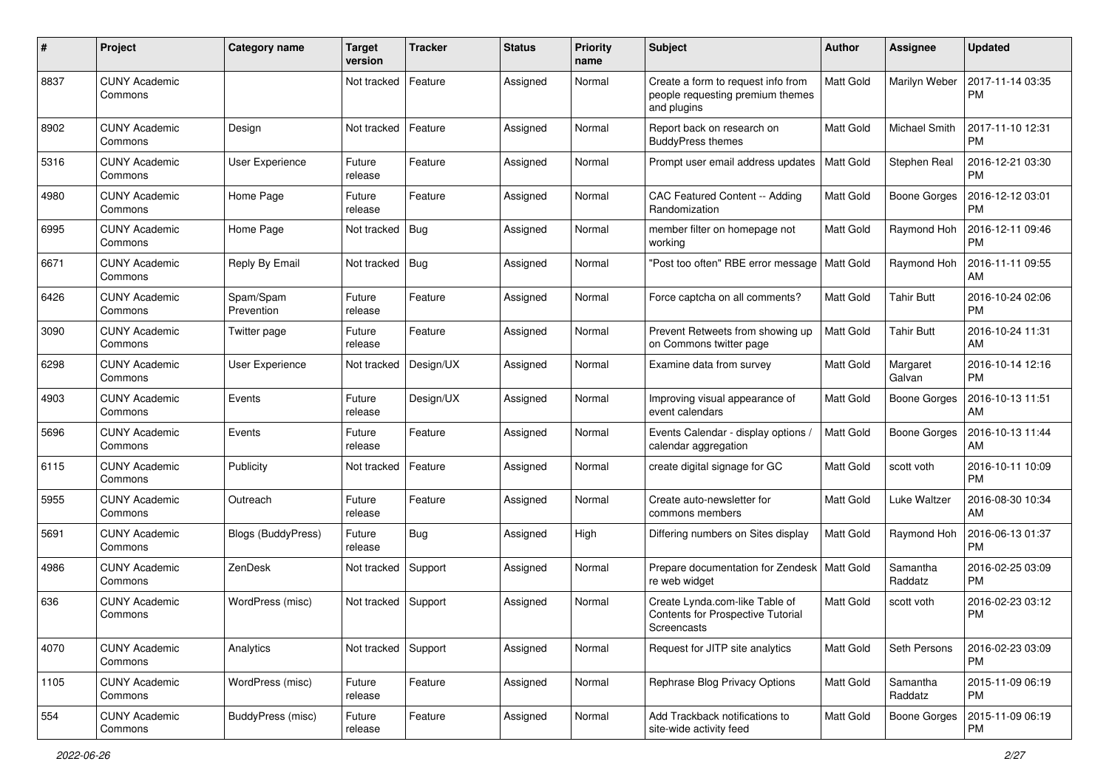| #    | Project                         | Category name           | <b>Target</b><br>version | <b>Tracker</b> | <b>Status</b> | <b>Priority</b><br>name | Subject                                                                                   | Author           | <b>Assignee</b>     | <b>Updated</b>                |
|------|---------------------------------|-------------------------|--------------------------|----------------|---------------|-------------------------|-------------------------------------------------------------------------------------------|------------------|---------------------|-------------------------------|
| 8837 | <b>CUNY Academic</b><br>Commons |                         | Not tracked              | Feature        | Assigned      | Normal                  | Create a form to request info from<br>people requesting premium themes<br>and plugins     | Matt Gold        | Marilyn Weber       | 2017-11-14 03:35<br><b>PM</b> |
| 8902 | <b>CUNY Academic</b><br>Commons | Design                  | Not tracked              | Feature        | Assigned      | Normal                  | Report back on research on<br><b>BuddyPress themes</b>                                    | <b>Matt Gold</b> | Michael Smith       | 2017-11-10 12:31<br><b>PM</b> |
| 5316 | <b>CUNY Academic</b><br>Commons | <b>User Experience</b>  | Future<br>release        | Feature        | Assigned      | Normal                  | Prompt user email address updates                                                         | <b>Matt Gold</b> | Stephen Real        | 2016-12-21 03:30<br><b>PM</b> |
| 4980 | CUNY Academic<br>Commons        | Home Page               | Future<br>release        | Feature        | Assigned      | Normal                  | CAC Featured Content -- Adding<br>Randomization                                           | Matt Gold        | <b>Boone Gorges</b> | 2016-12-12 03:01<br><b>PM</b> |
| 6995 | <b>CUNY Academic</b><br>Commons | Home Page               | Not tracked              | Bug            | Assigned      | Normal                  | member filter on homepage not<br>working                                                  | <b>Matt Gold</b> | Raymond Hoh         | 2016-12-11 09:46<br><b>PM</b> |
| 6671 | <b>CUNY Academic</b><br>Commons | Reply By Email          | Not tracked              | Bug            | Assigned      | Normal                  | "Post too often" RBE error message                                                        | <b>Matt Gold</b> | Raymond Hoh         | 2016-11-11 09:55<br>AM        |
| 6426 | <b>CUNY Academic</b><br>Commons | Spam/Spam<br>Prevention | Future<br>release        | Feature        | Assigned      | Normal                  | Force captcha on all comments?                                                            | <b>Matt Gold</b> | <b>Tahir Butt</b>   | 2016-10-24 02:06<br><b>PM</b> |
| 3090 | <b>CUNY Academic</b><br>Commons | Twitter page            | Future<br>release        | Feature        | Assigned      | Normal                  | Prevent Retweets from showing up<br>on Commons twitter page                               | <b>Matt Gold</b> | <b>Tahir Butt</b>   | 2016-10-24 11:31<br>AM        |
| 6298 | <b>CUNY Academic</b><br>Commons | <b>User Experience</b>  | Not tracked              | Design/UX      | Assigned      | Normal                  | Examine data from survey                                                                  | <b>Matt Gold</b> | Margaret<br>Galvan  | 2016-10-14 12:16<br><b>PM</b> |
| 4903 | <b>CUNY Academic</b><br>Commons | Events                  | Future<br>release        | Design/UX      | Assigned      | Normal                  | Improving visual appearance of<br>event calendars                                         | <b>Matt Gold</b> | Boone Gorges        | 2016-10-13 11:51<br>AM        |
| 5696 | <b>CUNY Academic</b><br>Commons | Events                  | Future<br>release        | Feature        | Assigned      | Normal                  | Events Calendar - display options /<br>calendar aggregation                               | Matt Gold        | Boone Gorges        | 2016-10-13 11:44<br>AM        |
| 6115 | <b>CUNY Academic</b><br>Commons | Publicity               | Not tracked              | Feature        | Assigned      | Normal                  | create digital signage for GC                                                             | Matt Gold        | scott voth          | 2016-10-11 10:09<br><b>PM</b> |
| 5955 | <b>CUNY Academic</b><br>Commons | Outreach                | Future<br>release        | Feature        | Assigned      | Normal                  | Create auto-newsletter for<br>commons members                                             | <b>Matt Gold</b> | Luke Waltzer        | 2016-08-30 10:34<br>AM        |
| 5691 | <b>CUNY Academic</b><br>Commons | Blogs (BuddyPress)      | Future<br>release        | Bug            | Assigned      | High                    | Differing numbers on Sites display                                                        | <b>Matt Gold</b> | Raymond Hoh         | 2016-06-13 01:37<br><b>PM</b> |
| 4986 | CUNY Academic<br>Commons        | ZenDesk                 | Not tracked              | Support        | Assigned      | Normal                  | Prepare documentation for Zendesk   Matt Gold<br>re web widget                            |                  | Samantha<br>Raddatz | 2016-02-25 03:09<br><b>PM</b> |
| 636  | <b>CUNY Academic</b><br>Commons | WordPress (misc)        | Not tracked              | Support        | Assigned      | Normal                  | Create Lynda.com-like Table of<br><b>Contents for Prospective Tutorial</b><br>Screencasts | <b>Matt Gold</b> | scott voth          | 2016-02-23 03:12<br>PM        |
| 4070 | <b>CUNY Academic</b><br>Commons | Analytics               | Not tracked              | Support        | Assigned      | Normal                  | Request for JITP site analytics                                                           | Matt Gold        | Seth Persons        | 2016-02-23 03:09<br>PM        |
| 1105 | <b>CUNY Academic</b><br>Commons | WordPress (misc)        | Future<br>release        | Feature        | Assigned      | Normal                  | Rephrase Blog Privacy Options                                                             | Matt Gold        | Samantha<br>Raddatz | 2015-11-09 06:19<br>PM        |
| 554  | <b>CUNY Academic</b><br>Commons | BuddyPress (misc)       | Future<br>release        | Feature        | Assigned      | Normal                  | Add Trackback notifications to<br>site-wide activity feed                                 | Matt Gold        | Boone Gorges        | 2015-11-09 06:19<br><b>PM</b> |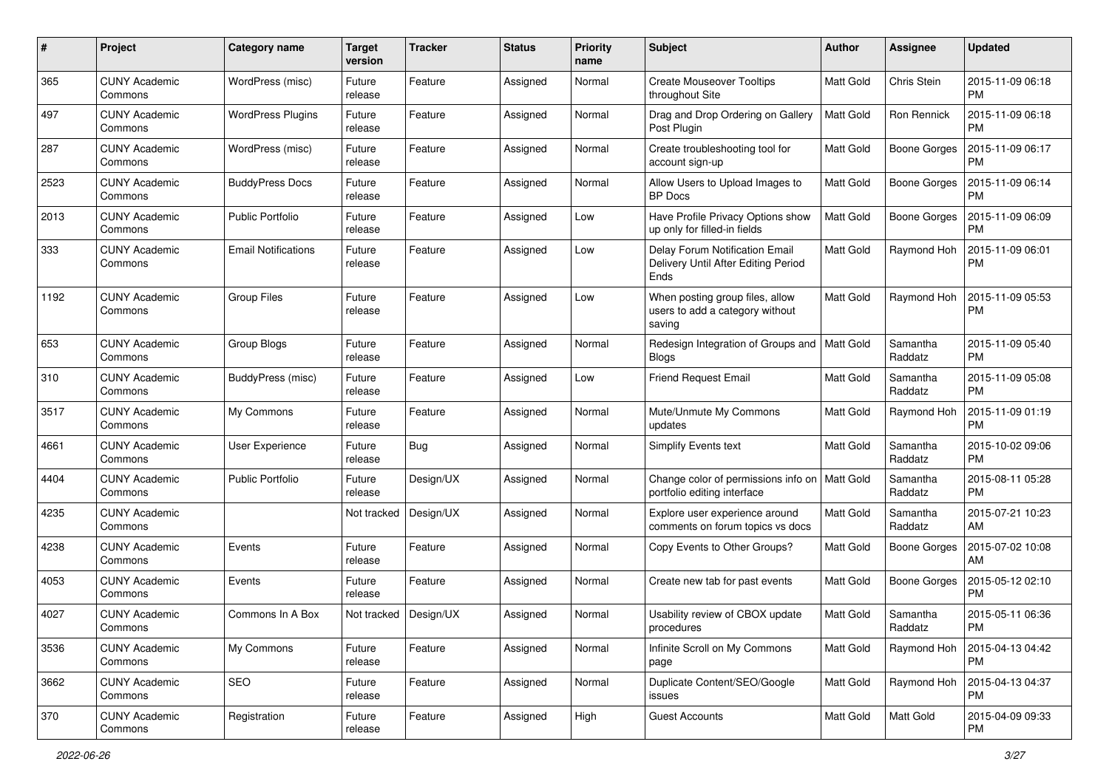| #    | Project                         | Category name              | <b>Target</b><br>version | <b>Tracker</b> | <b>Status</b> | <b>Priority</b><br>name | Subject                                                                       | Author           | Assignee            | <b>Updated</b>                |
|------|---------------------------------|----------------------------|--------------------------|----------------|---------------|-------------------------|-------------------------------------------------------------------------------|------------------|---------------------|-------------------------------|
| 365  | <b>CUNY Academic</b><br>Commons | WordPress (misc)           | Future<br>release        | Feature        | Assigned      | Normal                  | <b>Create Mouseover Tooltips</b><br>throughout Site                           | <b>Matt Gold</b> | Chris Stein         | 2015-11-09 06:18<br><b>PM</b> |
| 497  | <b>CUNY Academic</b><br>Commons | <b>WordPress Plugins</b>   | Future<br>release        | Feature        | Assigned      | Normal                  | Drag and Drop Ordering on Gallery<br>Post Plugin                              | <b>Matt Gold</b> | Ron Rennick         | 2015-11-09 06:18<br><b>PM</b> |
| 287  | <b>CUNY Academic</b><br>Commons | WordPress (misc)           | Future<br>release        | Feature        | Assigned      | Normal                  | Create troubleshooting tool for<br>account sign-up                            | Matt Gold        | <b>Boone Gorges</b> | 2015-11-09 06:17<br><b>PM</b> |
| 2523 | <b>CUNY Academic</b><br>Commons | <b>BuddyPress Docs</b>     | Future<br>release        | Feature        | Assigned      | Normal                  | Allow Users to Upload Images to<br><b>BP</b> Docs                             | Matt Gold        | <b>Boone Gorges</b> | 2015-11-09 06:14<br><b>PM</b> |
| 2013 | <b>CUNY Academic</b><br>Commons | <b>Public Portfolio</b>    | Future<br>release        | Feature        | Assigned      | Low                     | Have Profile Privacy Options show<br>up only for filled-in fields             | <b>Matt Gold</b> | Boone Gorges        | 2015-11-09 06:09<br>PM        |
| 333  | <b>CUNY Academic</b><br>Commons | <b>Email Notifications</b> | Future<br>release        | Feature        | Assigned      | Low                     | Delay Forum Notification Email<br>Delivery Until After Editing Period<br>Ends | Matt Gold        | Raymond Hoh         | 2015-11-09 06:01<br><b>PM</b> |
| 1192 | <b>CUNY Academic</b><br>Commons | <b>Group Files</b>         | Future<br>release        | Feature        | Assigned      | Low                     | When posting group files, allow<br>users to add a category without<br>saving  | Matt Gold        | Raymond Hoh         | 2015-11-09 05:53<br><b>PM</b> |
| 653  | <b>CUNY Academic</b><br>Commons | Group Blogs                | Future<br>release        | Feature        | Assigned      | Normal                  | Redesign Integration of Groups and   Matt Gold<br><b>Blogs</b>                |                  | Samantha<br>Raddatz | 2015-11-09 05:40<br><b>PM</b> |
| 310  | <b>CUNY Academic</b><br>Commons | BuddyPress (misc)          | Future<br>release        | Feature        | Assigned      | Low                     | <b>Friend Request Email</b>                                                   | Matt Gold        | Samantha<br>Raddatz | 2015-11-09 05:08<br><b>PM</b> |
| 3517 | <b>CUNY Academic</b><br>Commons | My Commons                 | Future<br>release        | Feature        | Assigned      | Normal                  | Mute/Unmute My Commons<br>updates                                             | <b>Matt Gold</b> | Raymond Hoh         | 2015-11-09 01:19<br><b>PM</b> |
| 4661 | <b>CUNY Academic</b><br>Commons | User Experience            | Future<br>release        | Bug            | Assigned      | Normal                  | <b>Simplify Events text</b>                                                   | Matt Gold        | Samantha<br>Raddatz | 2015-10-02 09:06<br><b>PM</b> |
| 4404 | <b>CUNY Academic</b><br>Commons | <b>Public Portfolio</b>    | Future<br>release        | Design/UX      | Assigned      | Normal                  | Change color of permissions info on<br>portfolio editing interface            | <b>Matt Gold</b> | Samantha<br>Raddatz | 2015-08-11 05:28<br><b>PM</b> |
| 4235 | <b>CUNY Academic</b><br>Commons |                            | Not tracked              | Design/UX      | Assigned      | Normal                  | Explore user experience around<br>comments on forum topics vs docs            | Matt Gold        | Samantha<br>Raddatz | 2015-07-21 10:23<br>AM        |
| 4238 | <b>CUNY Academic</b><br>Commons | Events                     | Future<br>release        | Feature        | Assigned      | Normal                  | Copy Events to Other Groups?                                                  | Matt Gold        | <b>Boone Gorges</b> | 2015-07-02 10:08<br>AM        |
| 4053 | <b>CUNY Academic</b><br>Commons | Events                     | Future<br>release        | Feature        | Assigned      | Normal                  | Create new tab for past events                                                | <b>Matt Gold</b> | Boone Gorges        | 2015-05-12 02:10<br><b>PM</b> |
| 4027 | <b>CUNY Academic</b><br>Commons | Commons In A Box           | Not tracked              | Design/UX      | Assigned      | Normal                  | Usability review of CBOX update<br>proceaures                                 | Matt Gold        | Samantha<br>Raddatz | 2015-05-11 06:36<br>PM        |
| 3536 | <b>CUNY Academic</b><br>Commons | My Commons                 | Future<br>release        | Feature        | Assigned      | Normal                  | Infinite Scroll on My Commons<br>page                                         | Matt Gold        | Raymond Hoh         | 2015-04-13 04:42<br><b>PM</b> |
| 3662 | <b>CUNY Academic</b><br>Commons | SEO                        | Future<br>release        | Feature        | Assigned      | Normal                  | Duplicate Content/SEO/Google<br>issues                                        | Matt Gold        | Raymond Hoh         | 2015-04-13 04:37<br><b>PM</b> |
| 370  | <b>CUNY Academic</b><br>Commons | Registration               | Future<br>release        | Feature        | Assigned      | High                    | <b>Guest Accounts</b>                                                         | Matt Gold        | Matt Gold           | 2015-04-09 09:33<br>PM.       |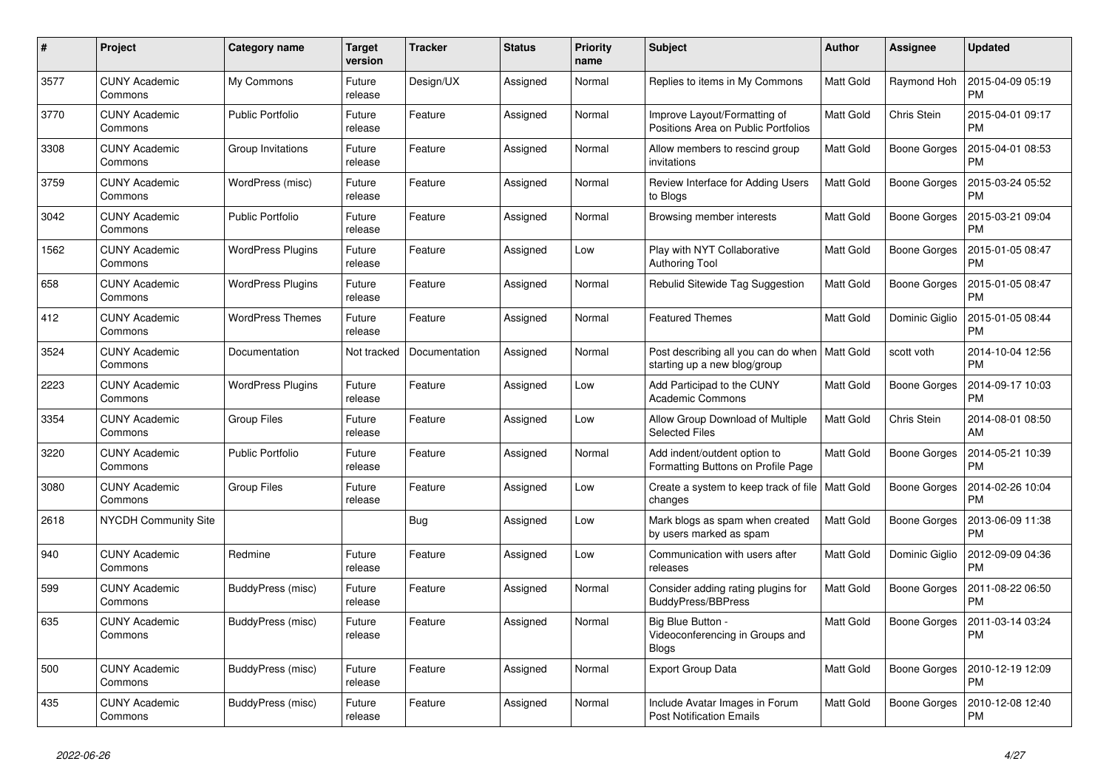| #    | Project                         | Category name            | <b>Target</b><br>version | <b>Tracker</b> | <b>Status</b> | <b>Priority</b><br>name | <b>Subject</b>                                                       | <b>Author</b>    | <b>Assignee</b>     | <b>Updated</b>                |
|------|---------------------------------|--------------------------|--------------------------|----------------|---------------|-------------------------|----------------------------------------------------------------------|------------------|---------------------|-------------------------------|
| 3577 | <b>CUNY Academic</b><br>Commons | My Commons               | Future<br>release        | Design/UX      | Assigned      | Normal                  | Replies to items in My Commons                                       | <b>Matt Gold</b> | Raymond Hoh         | 2015-04-09 05:19<br><b>PM</b> |
| 3770 | <b>CUNY Academic</b><br>Commons | <b>Public Portfolio</b>  | Future<br>release        | Feature        | Assigned      | Normal                  | Improve Layout/Formatting of<br>Positions Area on Public Portfolios  | <b>Matt Gold</b> | Chris Stein         | 2015-04-01 09:17<br><b>PM</b> |
| 3308 | <b>CUNY Academic</b><br>Commons | Group Invitations        | Future<br>release        | Feature        | Assigned      | Normal                  | Allow members to rescind group<br>invitations                        | Matt Gold        | Boone Gorges        | 2015-04-01 08:53<br><b>PM</b> |
| 3759 | <b>CUNY Academic</b><br>Commons | WordPress (misc)         | Future<br>release        | Feature        | Assigned      | Normal                  | Review Interface for Adding Users<br>to Blogs                        | <b>Matt Gold</b> | Boone Gorges        | 2015-03-24 05:52<br><b>PM</b> |
| 3042 | <b>CUNY Academic</b><br>Commons | <b>Public Portfolio</b>  | Future<br>release        | Feature        | Assigned      | Normal                  | Browsing member interests                                            | Matt Gold        | Boone Gorges        | 2015-03-21 09:04<br><b>PM</b> |
| 1562 | <b>CUNY Academic</b><br>Commons | <b>WordPress Plugins</b> | Future<br>release        | Feature        | Assigned      | Low                     | Play with NYT Collaborative<br><b>Authoring Tool</b>                 | <b>Matt Gold</b> | Boone Gorges        | 2015-01-05 08:47<br><b>PM</b> |
| 658  | <b>CUNY Academic</b><br>Commons | <b>WordPress Plugins</b> | Future<br>release        | Feature        | Assigned      | Normal                  | Rebulid Sitewide Tag Suggestion                                      | Matt Gold        | Boone Gorges        | 2015-01-05 08:47<br><b>PM</b> |
| 412  | <b>CUNY Academic</b><br>Commons | <b>WordPress Themes</b>  | Future<br>release        | Feature        | Assigned      | Normal                  | <b>Featured Themes</b>                                               | Matt Gold        | Dominic Giglio      | 2015-01-05 08:44<br><b>PM</b> |
| 3524 | <b>CUNY Academic</b><br>Commons | Documentation            | Not tracked              | Documentation  | Assigned      | Normal                  | Post describing all you can do when<br>starting up a new blog/group  | Matt Gold        | scott voth          | 2014-10-04 12:56<br><b>PM</b> |
| 2223 | <b>CUNY Academic</b><br>Commons | <b>WordPress Plugins</b> | Future<br>release        | Feature        | Assigned      | Low                     | Add Participad to the CUNY<br><b>Academic Commons</b>                | <b>Matt Gold</b> | Boone Gorges        | 2014-09-17 10:03<br><b>PM</b> |
| 3354 | <b>CUNY Academic</b><br>Commons | <b>Group Files</b>       | Future<br>release        | Feature        | Assigned      | Low                     | Allow Group Download of Multiple<br><b>Selected Files</b>            | Matt Gold        | Chris Stein         | 2014-08-01 08:50<br>AM        |
| 3220 | <b>CUNY Academic</b><br>Commons | <b>Public Portfolio</b>  | Future<br>release        | Feature        | Assigned      | Normal                  | Add indent/outdent option to<br>Formatting Buttons on Profile Page   | Matt Gold        | Boone Gorges        | 2014-05-21 10:39<br><b>PM</b> |
| 3080 | <b>CUNY Academic</b><br>Commons | <b>Group Files</b>       | Future<br>release        | Feature        | Assigned      | Low                     | Create a system to keep track of file   Matt Gold<br>changes         |                  | Boone Gorges        | 2014-02-26 10:04<br><b>PM</b> |
| 2618 | <b>NYCDH Community Site</b>     |                          |                          | <b>Bug</b>     | Assigned      | Low                     | Mark blogs as spam when created<br>by users marked as spam           | Matt Gold        | Boone Gorges        | 2013-06-09 11:38<br><b>PM</b> |
| 940  | <b>CUNY Academic</b><br>Commons | Redmine                  | Future<br>release        | Feature        | Assigned      | Low                     | Communication with users after<br>releases                           | Matt Gold        | Dominic Giglio      | 2012-09-09 04:36<br><b>PM</b> |
| 599  | <b>CUNY Academic</b><br>Commons | BuddyPress (misc)        | Future<br>release        | Feature        | Assigned      | Normal                  | Consider adding rating plugins for<br><b>BuddyPress/BBPress</b>      | <b>Matt Gold</b> | Boone Gorges        | 2011-08-22 06:50<br><b>PM</b> |
| 635  | <b>CUNY Academic</b><br>Commons | BuddyPress (misc)        | Future<br>release        | Feature        | Assigned      | Normal                  | Big Blue Button -<br>Videoconferencing in Groups and<br><b>Blogs</b> | <b>Matt Gold</b> | <b>Boone Gorges</b> | 2011-03-14 03:24<br><b>PM</b> |
| 500  | <b>CUNY Academic</b><br>Commons | BuddyPress (misc)        | Future<br>release        | Feature        | Assigned      | Normal                  | <b>Export Group Data</b>                                             | <b>Matt Gold</b> | Boone Gorges        | 2010-12-19 12:09<br><b>PM</b> |
| 435  | <b>CUNY Academic</b><br>Commons | BuddyPress (misc)        | Future<br>release        | Feature        | Assigned      | Normal                  | Include Avatar Images in Forum<br><b>Post Notification Emails</b>    | <b>Matt Gold</b> | Boone Gorges        | 2010-12-08 12:40<br><b>PM</b> |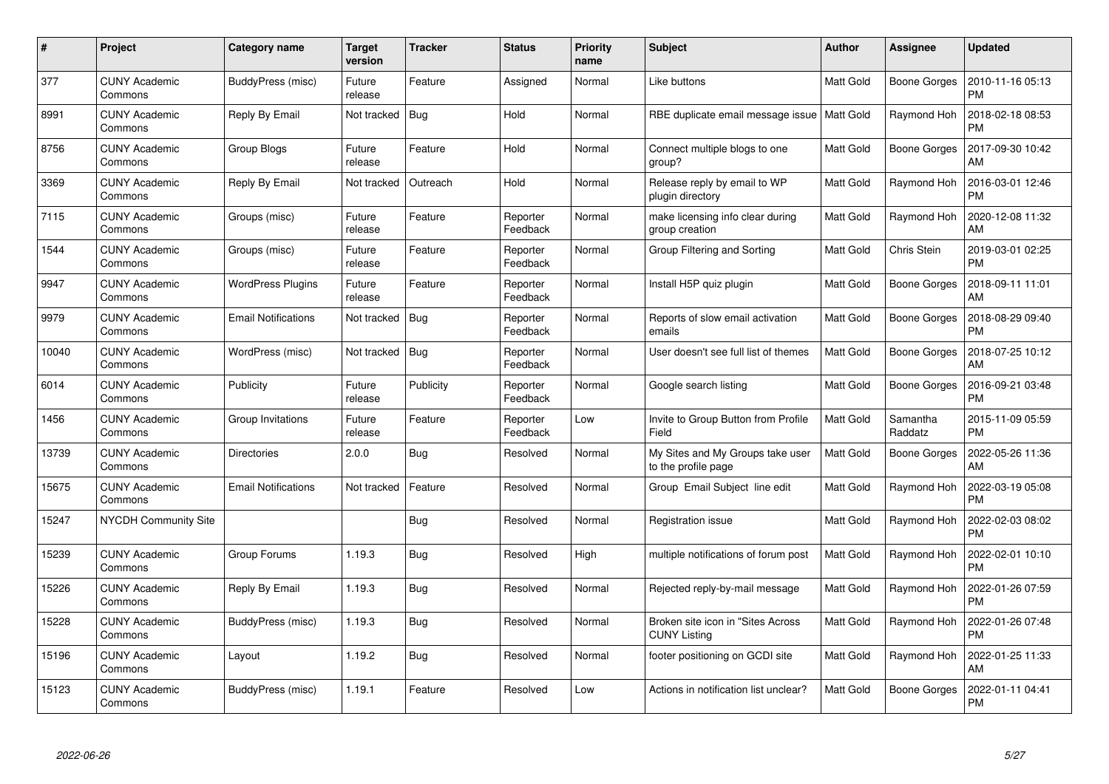| #     | Project                         | Category name              | <b>Target</b><br>version | <b>Tracker</b> | <b>Status</b>        | <b>Priority</b><br>name | <b>Subject</b>                                           | <b>Author</b>    | Assignee            | <b>Updated</b>                |
|-------|---------------------------------|----------------------------|--------------------------|----------------|----------------------|-------------------------|----------------------------------------------------------|------------------|---------------------|-------------------------------|
| 377   | <b>CUNY Academic</b><br>Commons | BuddyPress (misc)          | Future<br>release        | Feature        | Assigned             | Normal                  | Like buttons                                             | Matt Gold        | <b>Boone Gorges</b> | 2010-11-16 05:13<br><b>PM</b> |
| 8991  | <b>CUNY Academic</b><br>Commons | Reply By Email             | Not tracked              | Bug            | Hold                 | Normal                  | RBE duplicate email message issue   Matt Gold            |                  | Raymond Hoh         | 2018-02-18 08:53<br><b>PM</b> |
| 8756  | <b>CUNY Academic</b><br>Commons | Group Blogs                | Future<br>release        | Feature        | Hold                 | Normal                  | Connect multiple blogs to one<br>group?                  | Matt Gold        | <b>Boone Gorges</b> | 2017-09-30 10:42<br>AM        |
| 3369  | <b>CUNY Academic</b><br>Commons | Reply By Email             | Not tracked              | Outreach       | Hold                 | Normal                  | Release reply by email to WP<br>plugin directory         | Matt Gold        | Raymond Hoh         | 2016-03-01 12:46<br><b>PM</b> |
| 7115  | <b>CUNY Academic</b><br>Commons | Groups (misc)              | Future<br>release        | Feature        | Reporter<br>Feedback | Normal                  | make licensing info clear during<br>group creation       | <b>Matt Gold</b> | Raymond Hoh         | 2020-12-08 11:32<br>AM        |
| 1544  | <b>CUNY Academic</b><br>Commons | Groups (misc)              | Future<br>release        | Feature        | Reporter<br>Feedback | Normal                  | Group Filtering and Sorting                              | Matt Gold        | Chris Stein         | 2019-03-01 02:25<br><b>PM</b> |
| 9947  | <b>CUNY Academic</b><br>Commons | <b>WordPress Plugins</b>   | Future<br>release        | Feature        | Reporter<br>Feedback | Normal                  | Install H5P quiz plugin                                  | <b>Matt Gold</b> | <b>Boone Gorges</b> | 2018-09-11 11:01<br>AM        |
| 9979  | <b>CUNY Academic</b><br>Commons | <b>Email Notifications</b> | Not tracked              | Bug            | Reporter<br>Feedback | Normal                  | Reports of slow email activation<br>emails               | <b>Matt Gold</b> | <b>Boone Gorges</b> | 2018-08-29 09:40<br><b>PM</b> |
| 10040 | <b>CUNY Academic</b><br>Commons | WordPress (misc)           | Not tracked              | Bug            | Reporter<br>Feedback | Normal                  | User doesn't see full list of themes                     | <b>Matt Gold</b> | Boone Gorges        | 2018-07-25 10:12<br>AM        |
| 6014  | <b>CUNY Academic</b><br>Commons | Publicity                  | Future<br>release        | Publicity      | Reporter<br>Feedback | Normal                  | Google search listing                                    | <b>Matt Gold</b> | <b>Boone Gorges</b> | 2016-09-21 03:48<br><b>PM</b> |
| 1456  | <b>CUNY Academic</b><br>Commons | Group Invitations          | Future<br>release        | Feature        | Reporter<br>Feedback | Low                     | Invite to Group Button from Profile<br>Field             | Matt Gold        | Samantha<br>Raddatz | 2015-11-09 05:59<br><b>PM</b> |
| 13739 | <b>CUNY Academic</b><br>Commons | <b>Directories</b>         | 2.0.0                    | Bug            | Resolved             | Normal                  | My Sites and My Groups take user<br>to the profile page  | Matt Gold        | Boone Gorges        | 2022-05-26 11:36<br>AM        |
| 15675 | <b>CUNY Academic</b><br>Commons | <b>Email Notifications</b> | Not tracked              | Feature        | Resolved             | Normal                  | Group Email Subject line edit                            | <b>Matt Gold</b> | Raymond Hoh         | 2022-03-19 05:08<br><b>PM</b> |
| 15247 | <b>NYCDH Community Site</b>     |                            |                          | Bug            | Resolved             | Normal                  | Registration issue                                       | <b>Matt Gold</b> | Raymond Hoh         | 2022-02-03 08:02<br><b>PM</b> |
| 15239 | <b>CUNY Academic</b><br>Commons | Group Forums               | 1.19.3                   | Bug            | Resolved             | High                    | multiple notifications of forum post                     | Matt Gold        | Raymond Hoh         | 2022-02-01 10:10<br><b>PM</b> |
| 15226 | <b>CUNY Academic</b><br>Commons | Reply By Email             | 1.19.3                   | Bug            | Resolved             | Normal                  | Rejected reply-by-mail message                           | <b>Matt Gold</b> | Raymond Hoh         | 2022-01-26 07:59<br><b>PM</b> |
| 15228 | <b>CUNY Academic</b><br>Commons | BuddyPress (misc)          | 1.19.3                   | <b>Bug</b>     | Resolved             | Normal                  | Broken site icon in "Sites Across<br><b>CUNY Listing</b> | <b>Matt Gold</b> | Raymond Hoh         | 2022-01-26 07:48<br><b>PM</b> |
| 15196 | <b>CUNY Academic</b><br>Commons | Layout                     | 1.19.2                   | Bug            | Resolved             | Normal                  | footer positioning on GCDI site                          | <b>Matt Gold</b> | Raymond Hoh         | 2022-01-25 11:33<br>AM        |
| 15123 | <b>CUNY Academic</b><br>Commons | BuddyPress (misc)          | 1.19.1                   | Feature        | Resolved             | Low                     | Actions in notification list unclear?                    | Matt Gold        | Boone Gorges        | 2022-01-11 04:41<br><b>PM</b> |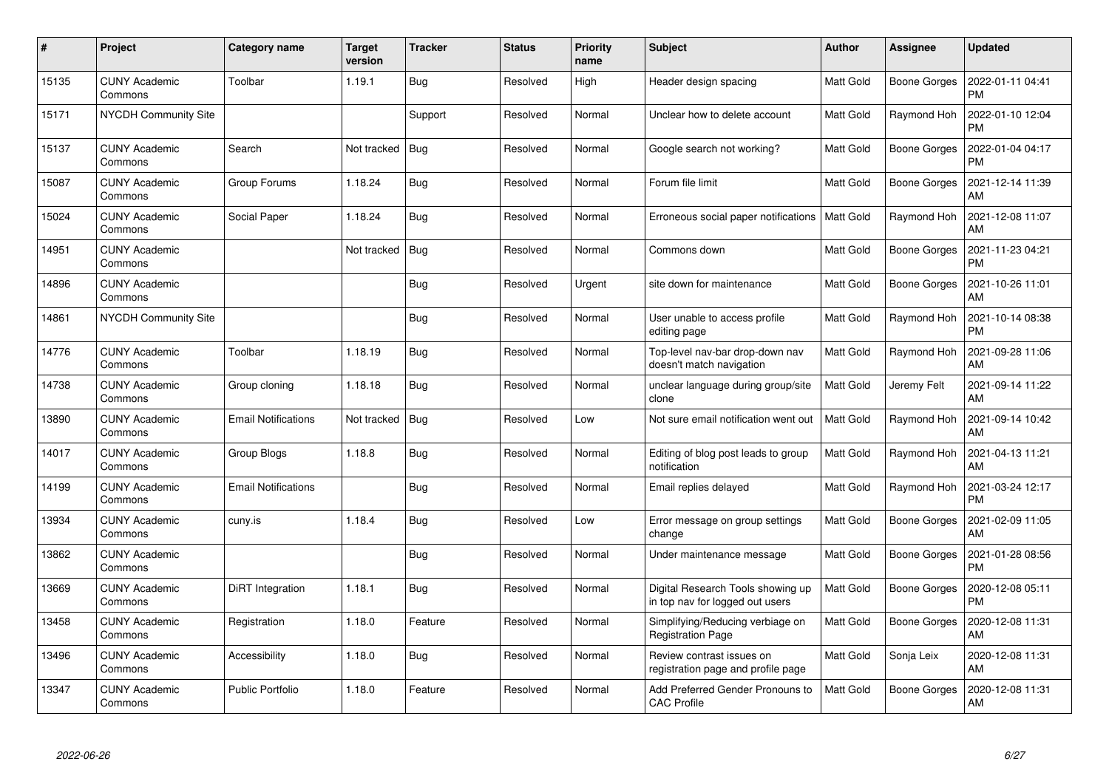| $\#$  | Project                         | Category name              | <b>Target</b><br>version | <b>Tracker</b> | <b>Status</b> | <b>Priority</b><br>name | <b>Subject</b>                                                       | <b>Author</b>    | Assignee            | <b>Updated</b>                |
|-------|---------------------------------|----------------------------|--------------------------|----------------|---------------|-------------------------|----------------------------------------------------------------------|------------------|---------------------|-------------------------------|
| 15135 | <b>CUNY Academic</b><br>Commons | Toolbar                    | 1.19.1                   | Bug            | Resolved      | High                    | Header design spacing                                                | Matt Gold        | <b>Boone Gorges</b> | 2022-01-11 04:41<br><b>PM</b> |
| 15171 | NYCDH Community Site            |                            |                          | Support        | Resolved      | Normal                  | Unclear how to delete account                                        | Matt Gold        | Raymond Hoh         | 2022-01-10 12:04<br><b>PM</b> |
| 15137 | <b>CUNY Academic</b><br>Commons | Search                     | Not tracked              | Bug            | Resolved      | Normal                  | Google search not working?                                           | Matt Gold        | Boone Gorges        | 2022-01-04 04:17<br><b>PM</b> |
| 15087 | <b>CUNY Academic</b><br>Commons | Group Forums               | 1.18.24                  | Bug            | Resolved      | Normal                  | Forum file limit                                                     | Matt Gold        | Boone Gorges        | 2021-12-14 11:39<br>AM        |
| 15024 | <b>CUNY Academic</b><br>Commons | Social Paper               | 1.18.24                  | Bug            | Resolved      | Normal                  | Erroneous social paper notifications                                 | <b>Matt Gold</b> | Raymond Hoh         | 2021-12-08 11:07<br>AM        |
| 14951 | <b>CUNY Academic</b><br>Commons |                            | Not tracked              | <b>Bug</b>     | Resolved      | Normal                  | Commons down                                                         | Matt Gold        | Boone Gorges        | 2021-11-23 04:21<br><b>PM</b> |
| 14896 | <b>CUNY Academic</b><br>Commons |                            |                          | Bug            | Resolved      | Urgent                  | site down for maintenance                                            | Matt Gold        | Boone Gorges        | 2021-10-26 11:01<br>AM        |
| 14861 | NYCDH Community Site            |                            |                          | Bug            | Resolved      | Normal                  | User unable to access profile<br>editing page                        | Matt Gold        | Raymond Hoh         | 2021-10-14 08:38<br><b>PM</b> |
| 14776 | <b>CUNY Academic</b><br>Commons | Toolbar                    | 1.18.19                  | <b>Bug</b>     | Resolved      | Normal                  | Top-level nav-bar drop-down nav<br>doesn't match navigation          | Matt Gold        | Raymond Hoh         | 2021-09-28 11:06<br>AM        |
| 14738 | <b>CUNY Academic</b><br>Commons | Group cloning              | 1.18.18                  | Bug            | Resolved      | Normal                  | unclear language during group/site<br>clone                          | Matt Gold        | Jeremy Felt         | 2021-09-14 11:22<br>AM        |
| 13890 | <b>CUNY Academic</b><br>Commons | <b>Email Notifications</b> | Not tracked              | Bug            | Resolved      | Low                     | Not sure email notification went out                                 | <b>Matt Gold</b> | Raymond Hoh         | 2021-09-14 10:42<br>AM        |
| 14017 | <b>CUNY Academic</b><br>Commons | Group Blogs                | 1.18.8                   | Bug            | Resolved      | Normal                  | Editing of blog post leads to group<br>notification                  | Matt Gold        | Raymond Hoh         | 2021-04-13 11:21<br>AM        |
| 14199 | <b>CUNY Academic</b><br>Commons | <b>Email Notifications</b> |                          | Bug            | Resolved      | Normal                  | Email replies delayed                                                | Matt Gold        | Raymond Hoh         | 2021-03-24 12:17<br><b>PM</b> |
| 13934 | <b>CUNY Academic</b><br>Commons | cuny.is                    | 1.18.4                   | Bug            | Resolved      | Low                     | Error message on group settings<br>change                            | Matt Gold        | Boone Gorges        | 2021-02-09 11:05<br>AM        |
| 13862 | <b>CUNY Academic</b><br>Commons |                            |                          | Bug            | Resolved      | Normal                  | Under maintenance message                                            | Matt Gold        | Boone Gorges        | 2021-01-28 08:56<br><b>PM</b> |
| 13669 | <b>CUNY Academic</b><br>Commons | DiRT Integration           | 1.18.1                   | Bug            | Resolved      | Normal                  | Digital Research Tools showing up<br>in top nav for logged out users | Matt Gold        | Boone Gorges        | 2020-12-08 05:11<br><b>PM</b> |
| 13458 | <b>CUNY Academic</b><br>Commons | Registration               | 1.18.0                   | Feature        | Resolved      | Normal                  | Simplifying/Reducing verbiage on<br><b>Registration Page</b>         | <b>Matt Gold</b> | Boone Gorges        | 2020-12-08 11:31<br><b>AM</b> |
| 13496 | <b>CUNY Academic</b><br>Commons | Accessibility              | 1.18.0                   | <b>Bug</b>     | Resolved      | Normal                  | Review contrast issues on<br>registration page and profile page      | Matt Gold        | Sonja Leix          | 2020-12-08 11:31<br>AM        |
| 13347 | <b>CUNY Academic</b><br>Commons | <b>Public Portfolio</b>    | 1.18.0                   | Feature        | Resolved      | Normal                  | Add Preferred Gender Pronouns to<br><b>CAC Profile</b>               | Matt Gold        | <b>Boone Gorges</b> | 2020-12-08 11:31<br>AM        |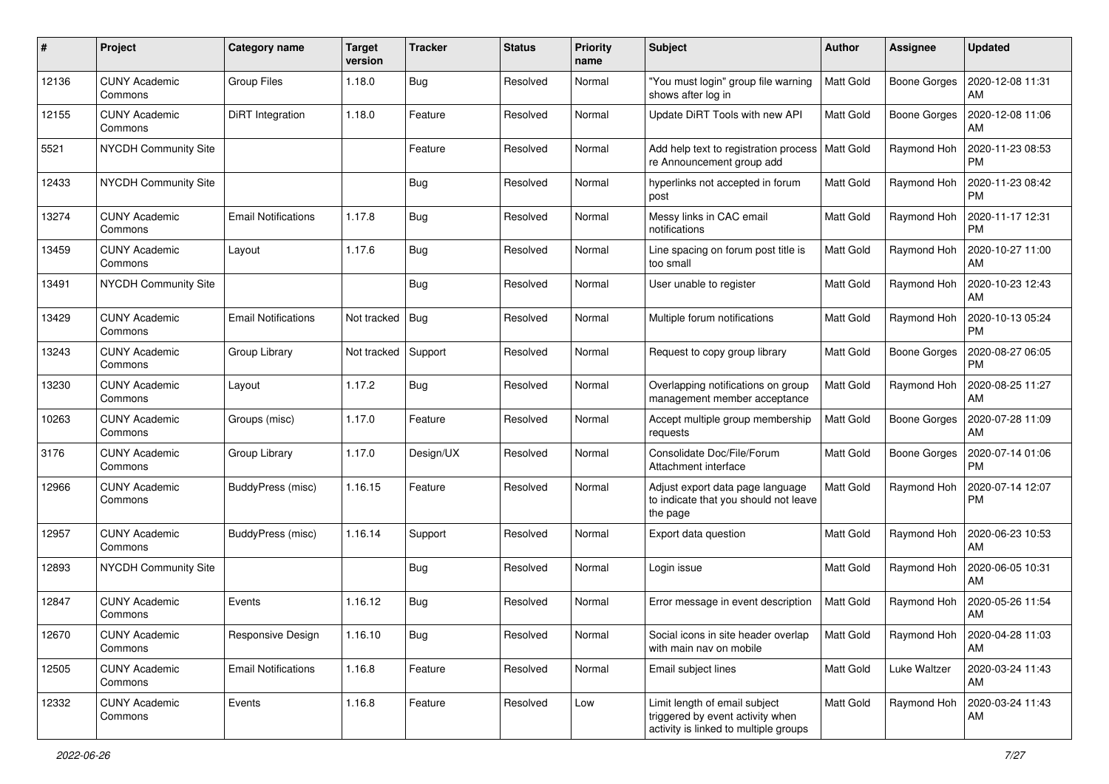| #     | Project                         | Category name              | <b>Target</b><br>version | <b>Tracker</b> | <b>Status</b> | <b>Priority</b><br>name | <b>Subject</b>                                                                                             | <b>Author</b>    | <b>Assignee</b>     | <b>Updated</b>                              |
|-------|---------------------------------|----------------------------|--------------------------|----------------|---------------|-------------------------|------------------------------------------------------------------------------------------------------------|------------------|---------------------|---------------------------------------------|
| 12136 | <b>CUNY Academic</b><br>Commons | Group Files                | 1.18.0                   | Bug            | Resolved      | Normal                  | "You must login" group file warning<br>shows after log in                                                  | <b>Matt Gold</b> | Boone Gorges        | 2020-12-08 11:31<br><b>AM</b>               |
| 12155 | <b>CUNY Academic</b><br>Commons | <b>DiRT</b> Integration    | 1.18.0                   | Feature        | Resolved      | Normal                  | Update DiRT Tools with new API                                                                             | <b>Matt Gold</b> | <b>Boone Gorges</b> | 2020-12-08 11:06<br>AM                      |
| 5521  | NYCDH Community Site            |                            |                          | Feature        | Resolved      | Normal                  | Add help text to registration process<br>re Announcement group add                                         | Matt Gold        | Raymond Hoh         | 2020-11-23 08:53<br><b>PM</b>               |
| 12433 | NYCDH Community Site            |                            |                          | Bug            | Resolved      | Normal                  | hyperlinks not accepted in forum<br>post                                                                   | <b>Matt Gold</b> | Raymond Hoh         | 2020-11-23 08:42<br><b>PM</b>               |
| 13274 | <b>CUNY Academic</b><br>Commons | <b>Email Notifications</b> | 1.17.8                   | Bug            | Resolved      | Normal                  | Messy links in CAC email<br>notifications                                                                  | <b>Matt Gold</b> | Raymond Hoh         | 2020-11-17 12:31<br>PM                      |
| 13459 | <b>CUNY Academic</b><br>Commons | Layout                     | 1.17.6                   | Bug            | Resolved      | Normal                  | Line spacing on forum post title is<br>too small                                                           | Matt Gold        | Raymond Hoh         | 2020-10-27 11:00<br>AM                      |
| 13491 | NYCDH Community Site            |                            |                          | <b>Bug</b>     | Resolved      | Normal                  | User unable to register                                                                                    | <b>Matt Gold</b> | Raymond Hoh         | 2020-10-23 12:43<br>AM                      |
| 13429 | <b>CUNY Academic</b><br>Commons | <b>Email Notifications</b> | Not tracked              | Bug            | Resolved      | Normal                  | Multiple forum notifications                                                                               | Matt Gold        | Raymond Hoh         | 2020-10-13 05:24<br><b>PM</b>               |
| 13243 | <b>CUNY Academic</b><br>Commons | Group Library              | Not tracked              | Support        | Resolved      | Normal                  | Request to copy group library                                                                              | Matt Gold        | <b>Boone Gorges</b> | 2020-08-27 06:05<br><b>PM</b>               |
| 13230 | <b>CUNY Academic</b><br>Commons | Layout                     | 1.17.2                   | Bug            | Resolved      | Normal                  | Overlapping notifications on group<br>management member acceptance                                         | Matt Gold        | Raymond Hoh         | 2020-08-25 11:27<br>AM                      |
| 10263 | <b>CUNY Academic</b><br>Commons | Groups (misc)              | 1.17.0                   | Feature        | Resolved      | Normal                  | Accept multiple group membership<br>requests                                                               | <b>Matt Gold</b> | <b>Boone Gorges</b> | 2020-07-28 11:09<br>AM                      |
| 3176  | <b>CUNY Academic</b><br>Commons | Group Library              | 1.17.0                   | Design/UX      | Resolved      | Normal                  | Consolidate Doc/File/Forum<br>Attachment interface                                                         | <b>Matt Gold</b> | Boone Gorges        | 2020-07-14 01:06<br><b>PM</b>               |
| 12966 | <b>CUNY Academic</b><br>Commons | BuddyPress (misc)          | 1.16.15                  | Feature        | Resolved      | Normal                  | Adjust export data page language<br>to indicate that you should not leave<br>the page                      | <b>Matt Gold</b> | Raymond Hoh         | 2020-07-14 12:07<br><b>PM</b>               |
| 12957 | <b>CUNY Academic</b><br>Commons | BuddyPress (misc)          | 1.16.14                  | Support        | Resolved      | Normal                  | Export data question                                                                                       | <b>Matt Gold</b> | Raymond Hoh         | 2020-06-23 10:53<br>AM                      |
| 12893 | NYCDH Community Site            |                            |                          | <b>Bug</b>     | Resolved      | Normal                  | Login issue                                                                                                | <b>Matt Gold</b> | Raymond Hoh         | 2020-06-05 10:31<br><b>AM</b>               |
| 12847 | <b>CUNY Academic</b><br>Commons | Events                     | 1.16.12                  | Bug            | Resolved      | Normal                  | Error message in event description                                                                         | <b>Matt Gold</b> | Raymond Hoh         | 2020-05-26 11:54<br>AM                      |
| 12670 | <b>CUNY Academic</b><br>Commons | Responsive Design          | 1.16.10                  | <b>Bug</b>     | Resolved      | Normal                  | Social icons in site header overlap<br>with main nav on mobile                                             | <b>Matt Gold</b> |                     | Raymond Hoh   2020-04-28 11:03<br><b>AM</b> |
| 12505 | <b>CUNY Academic</b><br>Commons | <b>Email Notifications</b> | 1.16.8                   | Feature        | Resolved      | Normal                  | Email subject lines                                                                                        | Matt Gold        | Luke Waltzer        | 2020-03-24 11:43<br>  AM                    |
| 12332 | <b>CUNY Academic</b><br>Commons | Events                     | 1.16.8                   | Feature        | Resolved      | Low                     | Limit length of email subject<br>triggered by event activity when<br>activity is linked to multiple groups | <b>Matt Gold</b> | Raymond Hoh         | 2020-03-24 11:43<br>AM                      |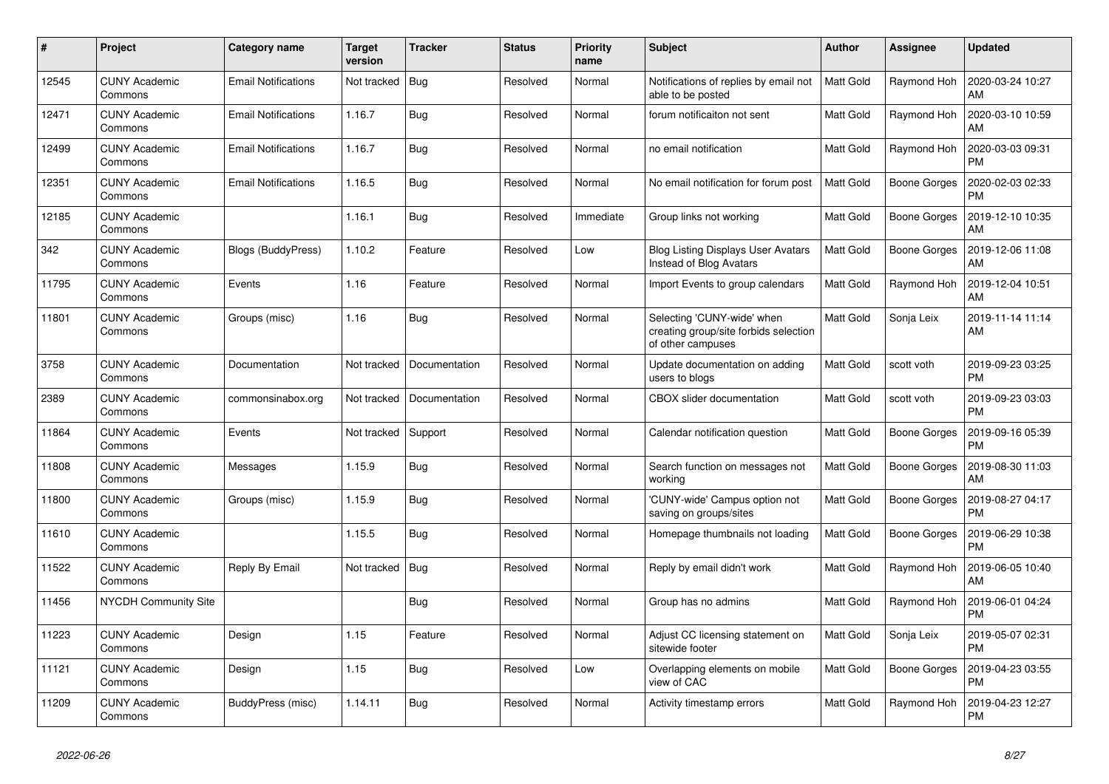| $\#$  | Project                         | Category name              | <b>Target</b><br>version | <b>Tracker</b> | <b>Status</b> | <b>Priority</b><br>name | <b>Subject</b>                                                                           | <b>Author</b>    | Assignee            | <b>Updated</b>                |
|-------|---------------------------------|----------------------------|--------------------------|----------------|---------------|-------------------------|------------------------------------------------------------------------------------------|------------------|---------------------|-------------------------------|
| 12545 | <b>CUNY Academic</b><br>Commons | <b>Email Notifications</b> | Not tracked              | Bug            | Resolved      | Normal                  | Notifications of replies by email not<br>able to be posted                               | <b>Matt Gold</b> | Raymond Hoh         | 2020-03-24 10:27<br>AM        |
| 12471 | <b>CUNY Academic</b><br>Commons | <b>Email Notifications</b> | 1.16.7                   | Bug            | Resolved      | Normal                  | forum notificaiton not sent                                                              | Matt Gold        | Raymond Hoh         | 2020-03-10 10:59<br>AM        |
| 12499 | <b>CUNY Academic</b><br>Commons | <b>Email Notifications</b> | 1.16.7                   | Bug            | Resolved      | Normal                  | no email notification                                                                    | Matt Gold        | Raymond Hoh         | 2020-03-03 09:31<br><b>PM</b> |
| 12351 | <b>CUNY Academic</b><br>Commons | <b>Email Notifications</b> | 1.16.5                   | Bug            | Resolved      | Normal                  | No email notification for forum post                                                     | <b>Matt Gold</b> | Boone Gorges        | 2020-02-03 02:33<br><b>PM</b> |
| 12185 | <b>CUNY Academic</b><br>Commons |                            | 1.16.1                   | Bug            | Resolved      | Immediate               | Group links not working                                                                  | Matt Gold        | Boone Gorges        | 2019-12-10 10:35<br>AM        |
| 342   | <b>CUNY Academic</b><br>Commons | Blogs (BuddyPress)         | 1.10.2                   | Feature        | Resolved      | Low                     | <b>Blog Listing Displays User Avatars</b><br>Instead of Blog Avatars                     | Matt Gold        | Boone Gorges        | 2019-12-06 11:08<br>AM        |
| 11795 | <b>CUNY Academic</b><br>Commons | Events                     | 1.16                     | Feature        | Resolved      | Normal                  | Import Events to group calendars                                                         | Matt Gold        | Raymond Hoh         | 2019-12-04 10:51<br>AM        |
| 11801 | <b>CUNY Academic</b><br>Commons | Groups (misc)              | 1.16                     | Bug            | Resolved      | Normal                  | Selecting 'CUNY-wide' when<br>creating group/site forbids selection<br>of other campuses | Matt Gold        | Sonja Leix          | 2019-11-14 11:14<br>AM        |
| 3758  | <b>CUNY Academic</b><br>Commons | Documentation              | Not tracked              | Documentation  | Resolved      | Normal                  | Update documentation on adding<br>users to blogs                                         | Matt Gold        | scott voth          | 2019-09-23 03:25<br><b>PM</b> |
| 2389  | <b>CUNY Academic</b><br>Commons | commonsinabox.org          | Not tracked              | Documentation  | Resolved      | Normal                  | CBOX slider documentation                                                                | Matt Gold        | scott voth          | 2019-09-23 03:03<br><b>PM</b> |
| 11864 | <b>CUNY Academic</b><br>Commons | Events                     | Not tracked              | Support        | Resolved      | Normal                  | Calendar notification question                                                           | Matt Gold        | Boone Gorges        | 2019-09-16 05:39<br><b>PM</b> |
| 11808 | <b>CUNY Academic</b><br>Commons | Messages                   | 1.15.9                   | <b>Bug</b>     | Resolved      | Normal                  | Search function on messages not<br>working                                               | Matt Gold        | Boone Gorges        | 2019-08-30 11:03<br>AM        |
| 11800 | <b>CUNY Academic</b><br>Commons | Groups (misc)              | 1.15.9                   | Bug            | Resolved      | Normal                  | 'CUNY-wide' Campus option not<br>saving on groups/sites                                  | Matt Gold        | <b>Boone Gorges</b> | 2019-08-27 04:17<br><b>PM</b> |
| 11610 | <b>CUNY Academic</b><br>Commons |                            | 1.15.5                   | Bug            | Resolved      | Normal                  | Homepage thumbnails not loading                                                          | Matt Gold        | Boone Gorges        | 2019-06-29 10:38<br><b>PM</b> |
| 11522 | <b>CUNY Academic</b><br>Commons | Reply By Email             | Not tracked              | Bug            | Resolved      | Normal                  | Reply by email didn't work                                                               | Matt Gold        | Raymond Hoh         | 2019-06-05 10:40<br>AM        |
| 11456 | NYCDH Community Site            |                            |                          | Bug            | Resolved      | Normal                  | Group has no admins                                                                      | Matt Gold        | Raymond Hoh         | 2019-06-01 04:24<br><b>PM</b> |
| 11223 | <b>CUNY Academic</b><br>Commons | Design                     | 1.15                     | Feature        | Resolved      | Normal                  | Adjust CC licensing statement on<br>sitewide footer                                      | Matt Gold        | Sonja Leix          | 2019-05-07 02:31<br><b>PM</b> |
| 11121 | <b>CUNY Academic</b><br>Commons | Design                     | 1.15                     | <b>Bug</b>     | Resolved      | Low                     | Overlapping elements on mobile<br>view of CAC                                            | Matt Gold        | Boone Gorges        | 2019-04-23 03:55<br><b>PM</b> |
| 11209 | <b>CUNY Academic</b><br>Commons | BuddyPress (misc)          | 1.14.11                  | Bug            | Resolved      | Normal                  | Activity timestamp errors                                                                | Matt Gold        | Raymond Hoh         | 2019-04-23 12:27<br><b>PM</b> |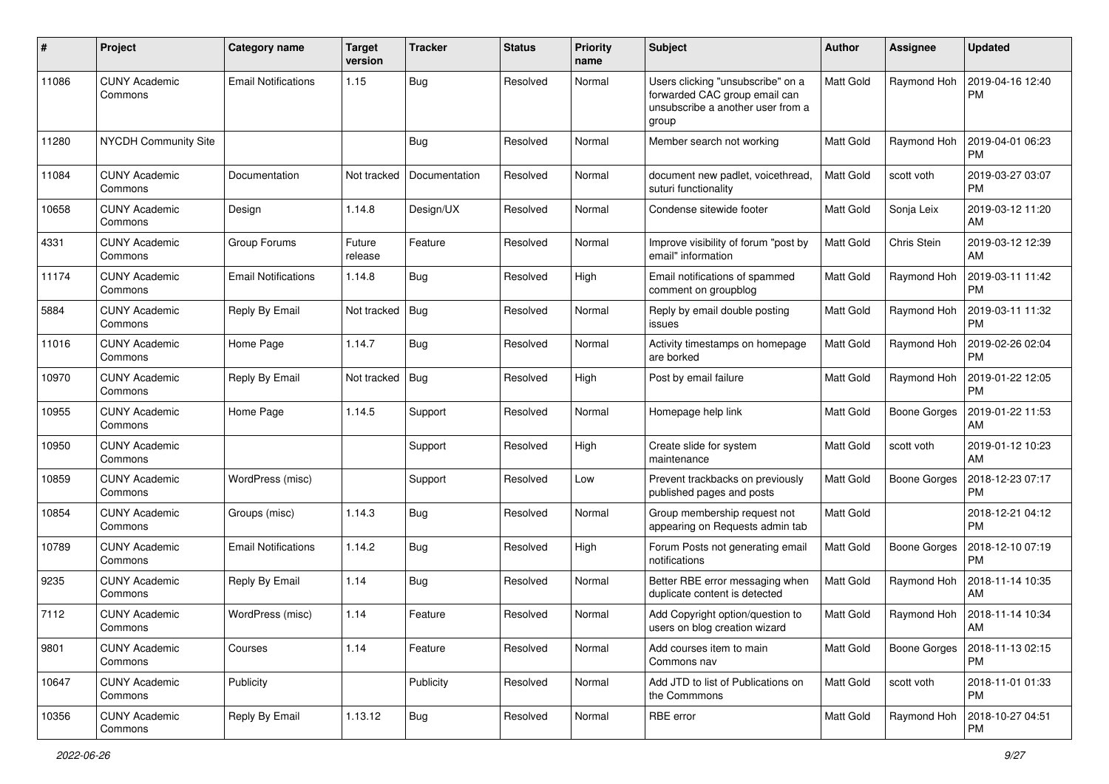| #     | Project                         | Category name              | <b>Target</b><br>version | <b>Tracker</b> | <b>Status</b> | <b>Priority</b><br>name | <b>Subject</b>                                                                                                   | Author           | <b>Assignee</b>     | <b>Updated</b>                |
|-------|---------------------------------|----------------------------|--------------------------|----------------|---------------|-------------------------|------------------------------------------------------------------------------------------------------------------|------------------|---------------------|-------------------------------|
| 11086 | <b>CUNY Academic</b><br>Commons | <b>Email Notifications</b> | 1.15                     | Bug            | Resolved      | Normal                  | Users clicking "unsubscribe" on a<br>forwarded CAC group email can<br>unsubscribe a another user from a<br>group | <b>Matt Gold</b> | Raymond Hoh         | 2019-04-16 12:40<br><b>PM</b> |
| 11280 | <b>NYCDH Community Site</b>     |                            |                          | <b>Bug</b>     | Resolved      | Normal                  | Member search not working                                                                                        | <b>Matt Gold</b> | Raymond Hoh         | 2019-04-01 06:23<br><b>PM</b> |
| 11084 | <b>CUNY Academic</b><br>Commons | Documentation              | Not tracked              | Documentation  | Resolved      | Normal                  | document new padlet, voicethread,<br>suturi functionality                                                        | Matt Gold        | scott voth          | 2019-03-27 03:07<br><b>PM</b> |
| 10658 | <b>CUNY Academic</b><br>Commons | Design                     | 1.14.8                   | Design/UX      | Resolved      | Normal                  | Condense sitewide footer                                                                                         | <b>Matt Gold</b> | Sonja Leix          | 2019-03-12 11:20<br>AM        |
| 4331  | <b>CUNY Academic</b><br>Commons | Group Forums               | Future<br>release        | Feature        | Resolved      | Normal                  | Improve visibility of forum "post by<br>email" information                                                       | Matt Gold        | Chris Stein         | 2019-03-12 12:39<br>AM        |
| 11174 | <b>CUNY Academic</b><br>Commons | <b>Email Notifications</b> | 1.14.8                   | Bug            | Resolved      | High                    | Email notifications of spammed<br>comment on groupblog                                                           | <b>Matt Gold</b> | Raymond Hoh         | 2019-03-11 11:42<br><b>PM</b> |
| 5884  | <b>CUNY Academic</b><br>Commons | Reply By Email             | Not tracked              | Bug            | Resolved      | Normal                  | Reply by email double posting<br>issues                                                                          | <b>Matt Gold</b> | Raymond Hoh         | 2019-03-11 11:32<br><b>PM</b> |
| 11016 | <b>CUNY Academic</b><br>Commons | Home Page                  | 1.14.7                   | Bug            | Resolved      | Normal                  | Activity timestamps on homepage<br>are borked                                                                    | <b>Matt Gold</b> | Raymond Hoh         | 2019-02-26 02:04<br><b>PM</b> |
| 10970 | <b>CUNY Academic</b><br>Commons | Reply By Email             | Not tracked              | Bug            | Resolved      | High                    | Post by email failure                                                                                            | <b>Matt Gold</b> | Raymond Hoh         | 2019-01-22 12:05<br><b>PM</b> |
| 10955 | <b>CUNY Academic</b><br>Commons | Home Page                  | 1.14.5                   | Support        | Resolved      | Normal                  | Homepage help link                                                                                               | Matt Gold        | <b>Boone Gorges</b> | 2019-01-22 11:53<br>AM        |
| 10950 | <b>CUNY Academic</b><br>Commons |                            |                          | Support        | Resolved      | High                    | Create slide for system<br>maintenance                                                                           | <b>Matt Gold</b> | scott voth          | 2019-01-12 10:23<br>AM        |
| 10859 | <b>CUNY Academic</b><br>Commons | WordPress (misc)           |                          | Support        | Resolved      | Low                     | Prevent trackbacks on previously<br>published pages and posts                                                    | Matt Gold        | Boone Gorges        | 2018-12-23 07:17<br><b>PM</b> |
| 10854 | <b>CUNY Academic</b><br>Commons | Groups (misc)              | 1.14.3                   | Bug            | Resolved      | Normal                  | Group membership request not<br>appearing on Requests admin tab                                                  | <b>Matt Gold</b> |                     | 2018-12-21 04:12<br><b>PM</b> |
| 10789 | <b>CUNY Academic</b><br>Commons | <b>Email Notifications</b> | 1.14.2                   | <b>Bug</b>     | Resolved      | High                    | Forum Posts not generating email<br>notifications                                                                | Matt Gold        | <b>Boone Gorges</b> | 2018-12-10 07:19<br><b>PM</b> |
| 9235  | <b>CUNY Academic</b><br>Commons | Reply By Email             | 1.14                     | Bug            | Resolved      | Normal                  | Better RBE error messaging when<br>duplicate content is detected                                                 | <b>Matt Gold</b> | Raymond Hoh         | 2018-11-14 10:35<br>AM        |
| 7112  | CUNY Academic<br>Commons        | WordPress (misc)           | 1.14                     | Feature        | Resolved      | Normal                  | Add Copyright option/question to<br>users on blog creation wizard                                                | Matt Gold        | Raymond Hoh         | 2018-11-14 10:34<br>AM        |
| 9801  | <b>CUNY Academic</b><br>Commons | Courses                    | 1.14                     | Feature        | Resolved      | Normal                  | Add courses item to main<br>Commons nav                                                                          | <b>Matt Gold</b> | Boone Gorges        | 2018-11-13 02:15<br>PM        |
| 10647 | <b>CUNY Academic</b><br>Commons | Publicity                  |                          | Publicity      | Resolved      | Normal                  | Add JTD to list of Publications on<br>the Commmons                                                               | Matt Gold        | scott voth          | 2018-11-01 01:33<br>PM.       |
| 10356 | <b>CUNY Academic</b><br>Commons | Reply By Email             | 1.13.12                  | <b>Bug</b>     | Resolved      | Normal                  | RBE error                                                                                                        | Matt Gold        | Raymond Hoh         | 2018-10-27 04:51<br>PM.       |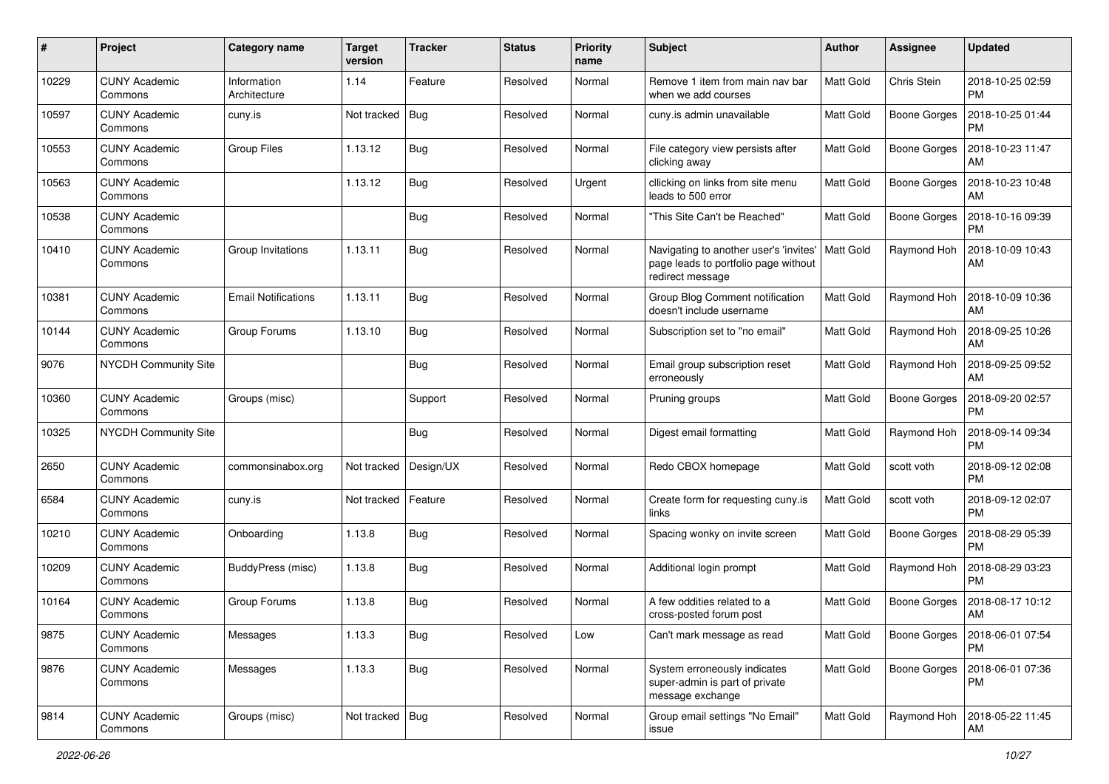| $\pmb{\sharp}$ | Project                         | <b>Category name</b>        | <b>Target</b><br>version | <b>Tracker</b> | <b>Status</b> | <b>Priority</b><br>name | Subject                                                                                            | <b>Author</b>    | <b>Assignee</b>     | <b>Updated</b>                          |
|----------------|---------------------------------|-----------------------------|--------------------------|----------------|---------------|-------------------------|----------------------------------------------------------------------------------------------------|------------------|---------------------|-----------------------------------------|
| 10229          | <b>CUNY Academic</b><br>Commons | Information<br>Architecture | 1.14                     | Feature        | Resolved      | Normal                  | Remove 1 item from main nav bar<br>when we add courses                                             | <b>Matt Gold</b> | Chris Stein         | 2018-10-25 02:59<br><b>PM</b>           |
| 10597          | <b>CUNY Academic</b><br>Commons | cuny.is                     | Not tracked              | <b>Bug</b>     | Resolved      | Normal                  | cuny.is admin unavailable                                                                          | <b>Matt Gold</b> | <b>Boone Gorges</b> | 2018-10-25 01:44<br><b>PM</b>           |
| 10553          | <b>CUNY Academic</b><br>Commons | Group Files                 | 1.13.12                  | Bug            | Resolved      | Normal                  | File category view persists after<br>clicking away                                                 | <b>Matt Gold</b> | <b>Boone Gorges</b> | 2018-10-23 11:47<br>AM                  |
| 10563          | <b>CUNY Academic</b><br>Commons |                             | 1.13.12                  | Bug            | Resolved      | Urgent                  | cllicking on links from site menu<br>leads to 500 error                                            | <b>Matt Gold</b> | <b>Boone Gorges</b> | 2018-10-23 10:48<br>AM                  |
| 10538          | <b>CUNY Academic</b><br>Commons |                             |                          | Bug            | Resolved      | Normal                  | "This Site Can't be Reached"                                                                       | <b>Matt Gold</b> | Boone Gorges        | 2018-10-16 09:39<br>PM                  |
| 10410          | <b>CUNY Academic</b><br>Commons | Group Invitations           | 1.13.11                  | <b>Bug</b>     | Resolved      | Normal                  | Navigating to another user's 'invites'<br>page leads to portfolio page without<br>redirect message | Matt Gold        | Raymond Hoh         | 2018-10-09 10:43<br>AM                  |
| 10381          | <b>CUNY Academic</b><br>Commons | <b>Email Notifications</b>  | 1.13.11                  | <b>Bug</b>     | Resolved      | Normal                  | Group Blog Comment notification<br>doesn't include username                                        | <b>Matt Gold</b> | Raymond Hoh         | 2018-10-09 10:36<br>AM                  |
| 10144          | <b>CUNY Academic</b><br>Commons | Group Forums                | 1.13.10                  | <b>Bug</b>     | Resolved      | Normal                  | Subscription set to "no email"                                                                     | Matt Gold        | Raymond Hoh         | 2018-09-25 10:26<br>AM                  |
| 9076           | NYCDH Community Site            |                             |                          | <b>Bug</b>     | Resolved      | Normal                  | Email group subscription reset<br>erroneously                                                      | Matt Gold        | Raymond Hoh         | 2018-09-25 09:52<br><b>AM</b>           |
| 10360          | <b>CUNY Academic</b><br>Commons | Groups (misc)               |                          | Support        | Resolved      | Normal                  | Pruning groups                                                                                     | Matt Gold        | <b>Boone Gorges</b> | 2018-09-20 02:57<br>PM                  |
| 10325          | <b>NYCDH Community Site</b>     |                             |                          | <b>Bug</b>     | Resolved      | Normal                  | Digest email formatting                                                                            | Matt Gold        | Raymond Hoh         | 2018-09-14 09:34<br><b>PM</b>           |
| 2650           | <b>CUNY Academic</b><br>Commons | commonsinabox.org           | Not tracked              | Design/UX      | Resolved      | Normal                  | Redo CBOX homepage                                                                                 | <b>Matt Gold</b> | scott voth          | 2018-09-12 02:08<br>PM                  |
| 6584           | <b>CUNY Academic</b><br>Commons | cuny.is                     | Not tracked              | Feature        | Resolved      | Normal                  | Create form for requesting cuny.is<br>links                                                        | <b>Matt Gold</b> | scott voth          | 2018-09-12 02:07<br>PM                  |
| 10210          | <b>CUNY Academic</b><br>Commons | Onboarding                  | 1.13.8                   | <b>Bug</b>     | Resolved      | Normal                  | Spacing wonky on invite screen                                                                     | <b>Matt Gold</b> | Boone Gorges        | 2018-08-29 05:39<br><b>PM</b>           |
| 10209          | <b>CUNY Academic</b><br>Commons | BuddyPress (misc)           | 1.13.8                   | Bug            | Resolved      | Normal                  | Additional login prompt                                                                            | <b>Matt Gold</b> | Raymond Hoh         | 2018-08-29 03:23<br><b>PM</b>           |
| 10164          | <b>CUNY Academic</b><br>Commons | Group Forums                | 1.13.8                   | <b>Bug</b>     | Resolved      | Normal                  | A few oddities related to a<br>cross-posted forum post                                             | <b>Matt Gold</b> | <b>Boone Gorges</b> | 2018-08-17 10:12<br>AM                  |
| 9875           | <b>CUNY Academic</b><br>Commons | Messages                    | 1.13.3                   | <b>Bug</b>     | Resolved      | Low                     | Can't mark message as read                                                                         | <b>Matt Gold</b> |                     | Boone Gorges   2018-06-01 07:54<br>l PM |
| 9876           | <b>CUNY Academic</b><br>Commons | Messages                    | 1.13.3                   | Bug            | Resolved      | Normal                  | System erroneously indicates<br>super-admin is part of private<br>message exchange                 | Matt Gold        | Boone Gorges        | 2018-06-01 07:36<br><b>PM</b>           |
| 9814           | <b>CUNY Academic</b><br>Commons | Groups (misc)               | Not tracked $ $ Bug      |                | Resolved      | Normal                  | Group email settings "No Email"<br>issue                                                           | Matt Gold        | Raymond Hoh         | 2018-05-22 11:45<br>  AM                |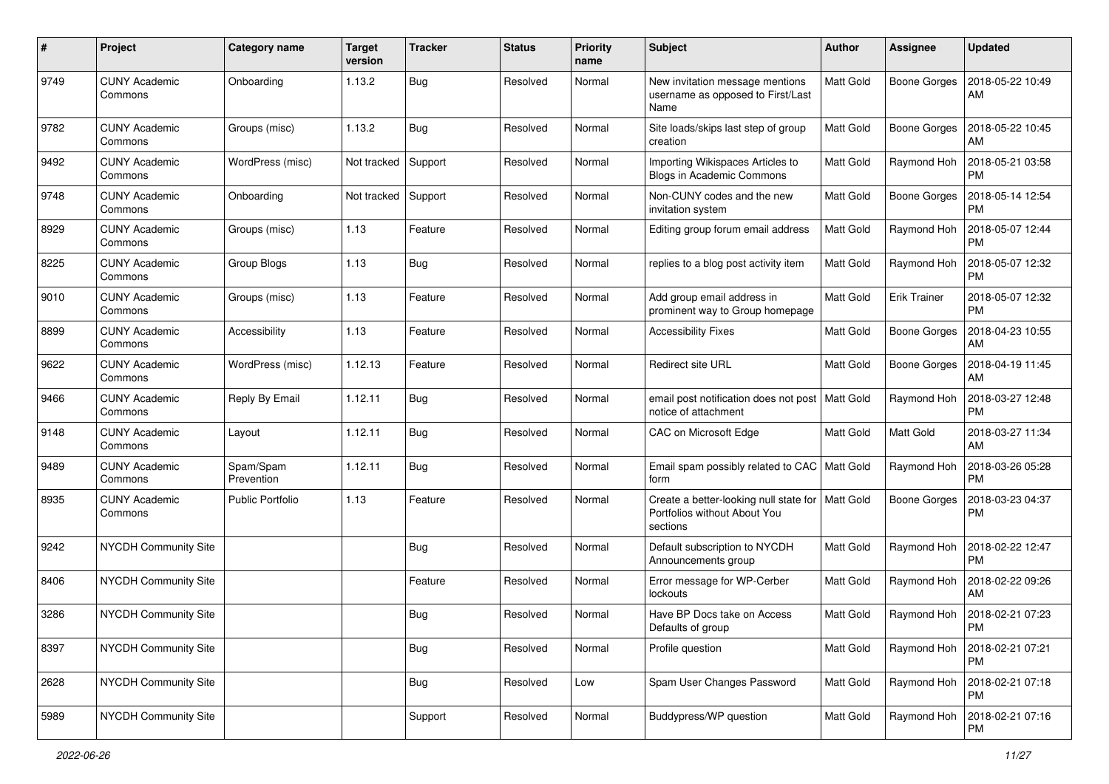| #    | Project                         | <b>Category name</b>    | <b>Target</b><br>version | <b>Tracker</b> | <b>Status</b> | <b>Priority</b><br>name | <b>Subject</b>                                                                                 | Author           | Assignee            | <b>Updated</b>                |
|------|---------------------------------|-------------------------|--------------------------|----------------|---------------|-------------------------|------------------------------------------------------------------------------------------------|------------------|---------------------|-------------------------------|
| 9749 | <b>CUNY Academic</b><br>Commons | Onboarding              | 1.13.2                   | Bug            | Resolved      | Normal                  | New invitation message mentions<br>username as opposed to First/Last<br>Name                   | Matt Gold        | <b>Boone Gorges</b> | 2018-05-22 10:49<br>AM        |
| 9782 | <b>CUNY Academic</b><br>Commons | Groups (misc)           | 1.13.2                   | Bug            | Resolved      | Normal                  | Site loads/skips last step of group<br>creation                                                | Matt Gold        | <b>Boone Gorges</b> | 2018-05-22 10:45<br>AM        |
| 9492 | <b>CUNY Academic</b><br>Commons | WordPress (misc)        | Not tracked              | Support        | Resolved      | Normal                  | Importing Wikispaces Articles to<br>Blogs in Academic Commons                                  | Matt Gold        | Raymond Hoh         | 2018-05-21 03:58<br><b>PM</b> |
| 9748 | <b>CUNY Academic</b><br>Commons | Onboarding              | Not tracked              | Support        | Resolved      | Normal                  | Non-CUNY codes and the new<br>invitation system                                                | Matt Gold        | <b>Boone Gorges</b> | 2018-05-14 12:54<br><b>PM</b> |
| 8929 | <b>CUNY Academic</b><br>Commons | Groups (misc)           | 1.13                     | Feature        | Resolved      | Normal                  | Editing group forum email address                                                              | <b>Matt Gold</b> | Raymond Hoh         | 2018-05-07 12:44<br><b>PM</b> |
| 8225 | <b>CUNY Academic</b><br>Commons | Group Blogs             | 1.13                     | Bug            | Resolved      | Normal                  | replies to a blog post activity item                                                           | Matt Gold        | Raymond Hoh         | 2018-05-07 12:32<br><b>PM</b> |
| 9010 | <b>CUNY Academic</b><br>Commons | Groups (misc)           | 1.13                     | Feature        | Resolved      | Normal                  | Add group email address in<br>prominent way to Group homepage                                  | Matt Gold        | <b>Erik Trainer</b> | 2018-05-07 12:32<br><b>PM</b> |
| 8899 | <b>CUNY Academic</b><br>Commons | Accessibility           | 1.13                     | Feature        | Resolved      | Normal                  | <b>Accessibility Fixes</b>                                                                     | Matt Gold        | <b>Boone Gorges</b> | 2018-04-23 10:55<br>AM        |
| 9622 | <b>CUNY Academic</b><br>Commons | WordPress (misc)        | 1.12.13                  | Feature        | Resolved      | Normal                  | Redirect site URL                                                                              | Matt Gold        | <b>Boone Gorges</b> | 2018-04-19 11:45<br>AM        |
| 9466 | <b>CUNY Academic</b><br>Commons | Reply By Email          | 1.12.11                  | Bug            | Resolved      | Normal                  | email post notification does not post   Matt Gold<br>notice of attachment                      |                  | Raymond Hoh         | 2018-03-27 12:48<br><b>PM</b> |
| 9148 | <b>CUNY Academic</b><br>Commons | Layout                  | 1.12.11                  | Bug            | Resolved      | Normal                  | CAC on Microsoft Edge                                                                          | Matt Gold        | Matt Gold           | 2018-03-27 11:34<br>AM        |
| 9489 | <b>CUNY Academic</b><br>Commons | Spam/Spam<br>Prevention | 1.12.11                  | Bug            | Resolved      | Normal                  | Email spam possibly related to CAC   Matt Gold<br>form                                         |                  | Raymond Hoh         | 2018-03-26 05:28<br><b>PM</b> |
| 8935 | <b>CUNY Academic</b><br>Commons | <b>Public Portfolio</b> | 1.13                     | Feature        | Resolved      | Normal                  | Create a better-looking null state for   Matt Gold<br>Portfolios without About You<br>sections |                  | <b>Boone Gorges</b> | 2018-03-23 04:37<br><b>PM</b> |
| 9242 | NYCDH Community Site            |                         |                          | Bug            | Resolved      | Normal                  | Default subscription to NYCDH<br>Announcements group                                           | <b>Matt Gold</b> | Raymond Hoh         | 2018-02-22 12:47<br><b>PM</b> |
| 8406 | NYCDH Community Site            |                         |                          | Feature        | Resolved      | Normal                  | Error message for WP-Cerber<br>lockouts                                                        | Matt Gold        | Raymond Hoh         | 2018-02-22 09:26<br>AM        |
| 3286 | NYCDH Community Site            |                         |                          | <b>Bug</b>     | Resolved      | Normal                  | Have BP Docs take on Access<br>Defaults of group                                               | Matt Gold        | Raymond Hoh         | 2018-02-21 07:23<br>PM        |
| 8397 | NYCDH Community Site            |                         |                          | <b>Bug</b>     | Resolved      | Normal                  | Profile question                                                                               | Matt Gold        | Raymond Hoh         | 2018-02-21 07:21<br><b>PM</b> |
| 2628 | NYCDH Community Site            |                         |                          | Bug            | Resolved      | Low                     | Spam User Changes Password                                                                     | Matt Gold        | Raymond Hoh         | 2018-02-21 07:18<br><b>PM</b> |
| 5989 | NYCDH Community Site            |                         |                          | Support        | Resolved      | Normal                  | Buddypress/WP question                                                                         | Matt Gold        | Raymond Hoh         | 2018-02-21 07:16<br><b>PM</b> |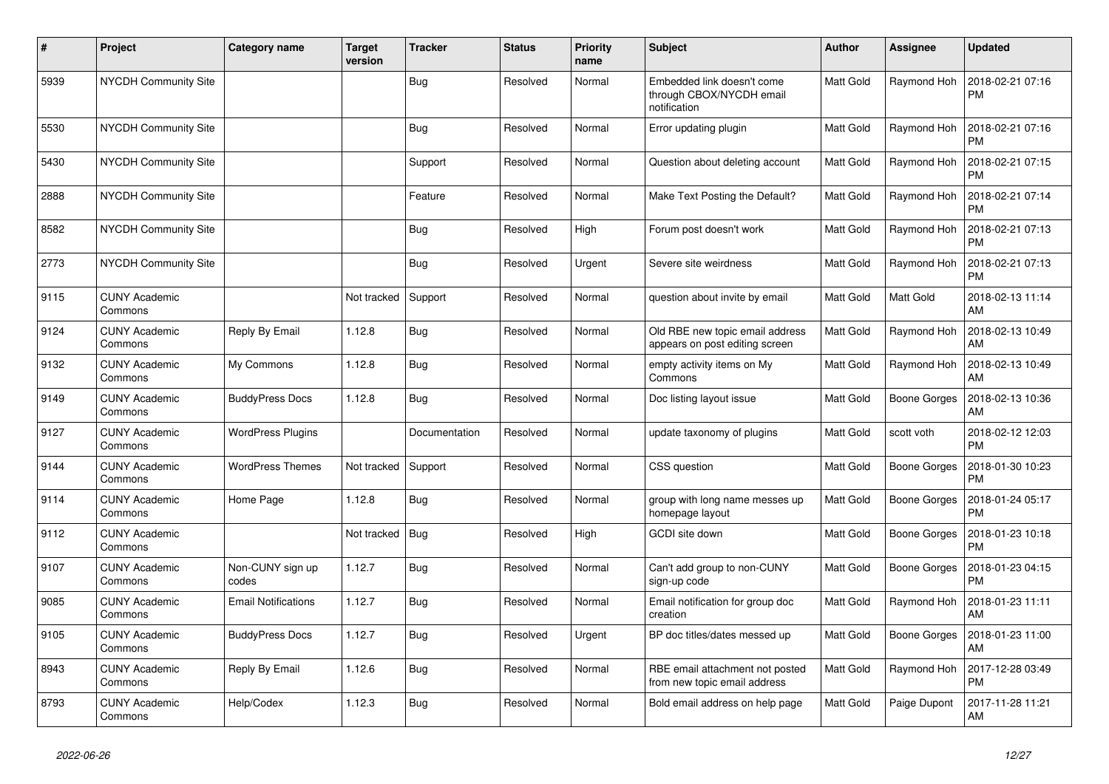| $\sharp$ | Project                         | Category name              | <b>Target</b><br>version | <b>Tracker</b> | <b>Status</b> | <b>Priority</b><br>name | <b>Subject</b>                                                         | <b>Author</b> | Assignee     | <b>Updated</b>                |
|----------|---------------------------------|----------------------------|--------------------------|----------------|---------------|-------------------------|------------------------------------------------------------------------|---------------|--------------|-------------------------------|
| 5939     | NYCDH Community Site            |                            |                          | Bug            | Resolved      | Normal                  | Embedded link doesn't come<br>through CBOX/NYCDH email<br>notification | Matt Gold     | Raymond Hoh  | 2018-02-21 07:16<br><b>PM</b> |
| 5530     | <b>NYCDH Community Site</b>     |                            |                          | Bug            | Resolved      | Normal                  | Error updating plugin                                                  | Matt Gold     | Raymond Hoh  | 2018-02-21 07:16<br><b>PM</b> |
| 5430     | NYCDH Community Site            |                            |                          | Support        | Resolved      | Normal                  | Question about deleting account                                        | Matt Gold     | Raymond Hoh  | 2018-02-21 07:15<br><b>PM</b> |
| 2888     | NYCDH Community Site            |                            |                          | Feature        | Resolved      | Normal                  | Make Text Posting the Default?                                         | Matt Gold     | Raymond Hoh  | 2018-02-21 07:14<br><b>PM</b> |
| 8582     | <b>NYCDH Community Site</b>     |                            |                          | Bug            | Resolved      | High                    | Forum post doesn't work                                                | Matt Gold     | Raymond Hoh  | 2018-02-21 07:13<br><b>PM</b> |
| 2773     | NYCDH Community Site            |                            |                          | Bug            | Resolved      | Urgent                  | Severe site weirdness                                                  | Matt Gold     | Raymond Hoh  | 2018-02-21 07:13<br><b>PM</b> |
| 9115     | <b>CUNY Academic</b><br>Commons |                            | Not tracked              | Support        | Resolved      | Normal                  | question about invite by email                                         | Matt Gold     | Matt Gold    | 2018-02-13 11:14<br>AM        |
| 9124     | <b>CUNY Academic</b><br>Commons | Reply By Email             | 1.12.8                   | Bug            | Resolved      | Normal                  | Old RBE new topic email address<br>appears on post editing screen      | Matt Gold     | Raymond Hoh  | 2018-02-13 10:49<br>AM        |
| 9132     | <b>CUNY Academic</b><br>Commons | My Commons                 | 1.12.8                   | Bug            | Resolved      | Normal                  | empty activity items on My<br>Commons                                  | Matt Gold     | Raymond Hoh  | 2018-02-13 10:49<br>AM        |
| 9149     | <b>CUNY Academic</b><br>Commons | <b>BuddyPress Docs</b>     | 1.12.8                   | Bug            | Resolved      | Normal                  | Doc listing layout issue                                               | Matt Gold     | Boone Gorges | 2018-02-13 10:36<br>AM        |
| 9127     | <b>CUNY Academic</b><br>Commons | <b>WordPress Plugins</b>   |                          | Documentation  | Resolved      | Normal                  | update taxonomy of plugins                                             | Matt Gold     | scott voth   | 2018-02-12 12:03<br><b>PM</b> |
| 9144     | <b>CUNY Academic</b><br>Commons | <b>WordPress Themes</b>    | Not tracked              | Support        | Resolved      | Normal                  | CSS question                                                           | Matt Gold     | Boone Gorges | 2018-01-30 10:23<br><b>PM</b> |
| 9114     | <b>CUNY Academic</b><br>Commons | Home Page                  | 1.12.8                   | <b>Bug</b>     | Resolved      | Normal                  | group with long name messes up<br>homepage layout                      | Matt Gold     | Boone Gorges | 2018-01-24 05:17<br><b>PM</b> |
| 9112     | <b>CUNY Academic</b><br>Commons |                            | Not tracked              | Bug            | Resolved      | High                    | GCDI site down                                                         | Matt Gold     | Boone Gorges | 2018-01-23 10:18<br><b>PM</b> |
| 9107     | <b>CUNY Academic</b><br>Commons | Non-CUNY sign up<br>codes  | 1.12.7                   | Bug            | Resolved      | Normal                  | Can't add group to non-CUNY<br>sign-up code                            | Matt Gold     | Boone Gorges | 2018-01-23 04:15<br><b>PM</b> |
| 9085     | <b>CUNY Academic</b><br>Commons | <b>Email Notifications</b> | 1.12.7                   | Bug            | Resolved      | Normal                  | Email notification for group doc<br>creation                           | Matt Gold     | Raymond Hoh  | 2018-01-23 11:11<br>AM        |
| 9105     | <b>CUNY Academic</b><br>Commons | <b>BuddyPress Docs</b>     | 1.12.7                   | Bug            | Resolved      | Urgent                  | BP doc titles/dates messed up                                          | Matt Gold     | Boone Gorges | 2018-01-23 11:00<br>AM        |
| 8943     | <b>CUNY Academic</b><br>Commons | Reply By Email             | 1.12.6                   | Bug            | Resolved      | Normal                  | RBE email attachment not posted<br>from new topic email address        | Matt Gold     | Raymond Hoh  | 2017-12-28 03:49<br><b>PM</b> |
| 8793     | <b>CUNY Academic</b><br>Commons | Help/Codex                 | 1.12.3                   | Bug            | Resolved      | Normal                  | Bold email address on help page                                        | Matt Gold     | Paige Dupont | 2017-11-28 11:21<br>AM        |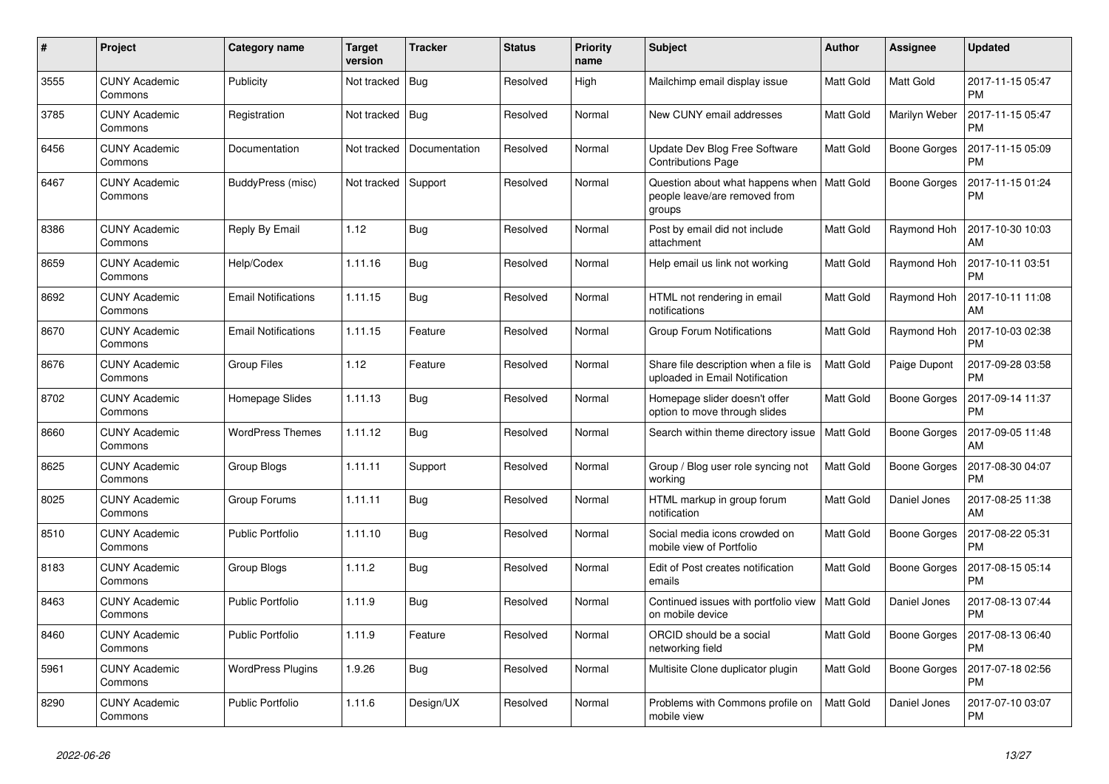| $\#$ | Project                         | Category name              | <b>Target</b><br>version | <b>Tracker</b> | <b>Status</b> | <b>Priority</b><br>name | <b>Subject</b>                                                              | <b>Author</b>    | Assignee            | <b>Updated</b>                |
|------|---------------------------------|----------------------------|--------------------------|----------------|---------------|-------------------------|-----------------------------------------------------------------------------|------------------|---------------------|-------------------------------|
| 3555 | <b>CUNY Academic</b><br>Commons | Publicity                  | Not tracked              | Bug            | Resolved      | High                    | Mailchimp email display issue                                               | Matt Gold        | Matt Gold           | 2017-11-15 05:47<br><b>PM</b> |
| 3785 | <b>CUNY Academic</b><br>Commons | Registration               | Not tracked              | Bug            | Resolved      | Normal                  | New CUNY email addresses                                                    | Matt Gold        | Marilyn Weber       | 2017-11-15 05:47<br><b>PM</b> |
| 6456 | <b>CUNY Academic</b><br>Commons | Documentation              | Not tracked              | Documentation  | Resolved      | Normal                  | Update Dev Blog Free Software<br><b>Contributions Page</b>                  | Matt Gold        | Boone Gorges        | 2017-11-15 05:09<br><b>PM</b> |
| 6467 | <b>CUNY Academic</b><br>Commons | BuddyPress (misc)          | Not tracked              | Support        | Resolved      | Normal                  | Question about what happens when<br>people leave/are removed from<br>groups | <b>Matt Gold</b> | Boone Gorges        | 2017-11-15 01:24<br><b>PM</b> |
| 8386 | <b>CUNY Academic</b><br>Commons | Reply By Email             | 1.12                     | Bug            | Resolved      | Normal                  | Post by email did not include<br>attachment                                 | Matt Gold        | Raymond Hoh         | 2017-10-30 10:03<br>AM        |
| 8659 | <b>CUNY Academic</b><br>Commons | Help/Codex                 | 1.11.16                  | Bug            | Resolved      | Normal                  | Help email us link not working                                              | Matt Gold        | Raymond Hoh         | 2017-10-11 03:51<br><b>PM</b> |
| 8692 | <b>CUNY Academic</b><br>Commons | <b>Email Notifications</b> | 1.11.15                  | Bug            | Resolved      | Normal                  | HTML not rendering in email<br>notifications                                | <b>Matt Gold</b> | Raymond Hoh         | 2017-10-11 11:08<br>AM        |
| 8670 | <b>CUNY Academic</b><br>Commons | <b>Email Notifications</b> | 1.11.15                  | Feature        | Resolved      | Normal                  | <b>Group Forum Notifications</b>                                            | Matt Gold        | Raymond Hoh         | 2017-10-03 02:38<br><b>PM</b> |
| 8676 | <b>CUNY Academic</b><br>Commons | Group Files                | 1.12                     | Feature        | Resolved      | Normal                  | Share file description when a file is<br>uploaded in Email Notification     | <b>Matt Gold</b> | Paige Dupont        | 2017-09-28 03:58<br><b>PM</b> |
| 8702 | <b>CUNY Academic</b><br>Commons | Homepage Slides            | 1.11.13                  | Bug            | Resolved      | Normal                  | Homepage slider doesn't offer<br>option to move through slides              | Matt Gold        | <b>Boone Gorges</b> | 2017-09-14 11:37<br><b>PM</b> |
| 8660 | <b>CUNY Academic</b><br>Commons | <b>WordPress Themes</b>    | 1.11.12                  | Bug            | Resolved      | Normal                  | Search within theme directory issue                                         | <b>Matt Gold</b> | Boone Gorges        | 2017-09-05 11:48<br>AM        |
| 8625 | <b>CUNY Academic</b><br>Commons | Group Blogs                | 1.11.11                  | Support        | Resolved      | Normal                  | Group / Blog user role syncing not<br>working                               | <b>Matt Gold</b> | Boone Gorges        | 2017-08-30 04:07<br><b>PM</b> |
| 8025 | <b>CUNY Academic</b><br>Commons | Group Forums               | 1.11.11                  | Bug            | Resolved      | Normal                  | HTML markup in group forum<br>notification                                  | Matt Gold        | Daniel Jones        | 2017-08-25 11:38<br>AM        |
| 8510 | <b>CUNY Academic</b><br>Commons | <b>Public Portfolio</b>    | 1.11.10                  | <b>Bug</b>     | Resolved      | Normal                  | Social media icons crowded on<br>mobile view of Portfolio                   | Matt Gold        | Boone Gorges        | 2017-08-22 05:31<br><b>PM</b> |
| 8183 | <b>CUNY Academic</b><br>Commons | Group Blogs                | 1.11.2                   | Bug            | Resolved      | Normal                  | Edit of Post creates notification<br>emails                                 | <b>Matt Gold</b> | <b>Boone Gorges</b> | 2017-08-15 05:14<br><b>PM</b> |
| 8463 | <b>CUNY Academic</b><br>Commons | <b>Public Portfolio</b>    | 1.11.9                   | Bug            | Resolved      | Normal                  | Continued issues with portfolio view<br>on mobile device                    | <b>Matt Gold</b> | Daniel Jones        | 2017-08-13 07:44<br><b>PM</b> |
| 8460 | <b>CUNY Academic</b><br>Commons | <b>Public Portfolio</b>    | 1.11.9                   | Feature        | Resolved      | Normal                  | ORCID should be a social<br>networking field                                | <b>Matt Gold</b> | <b>Boone Gorges</b> | 2017-08-13 06:40<br><b>PM</b> |
| 5961 | <b>CUNY Academic</b><br>Commons | <b>WordPress Plugins</b>   | 1.9.26                   | Bug            | Resolved      | Normal                  | Multisite Clone duplicator plugin                                           | Matt Gold        | Boone Gorges        | 2017-07-18 02:56<br><b>PM</b> |
| 8290 | <b>CUNY Academic</b><br>Commons | Public Portfolio           | 1.11.6                   | Design/UX      | Resolved      | Normal                  | Problems with Commons profile on<br>mobile view                             | <b>Matt Gold</b> | Daniel Jones        | 2017-07-10 03:07<br><b>PM</b> |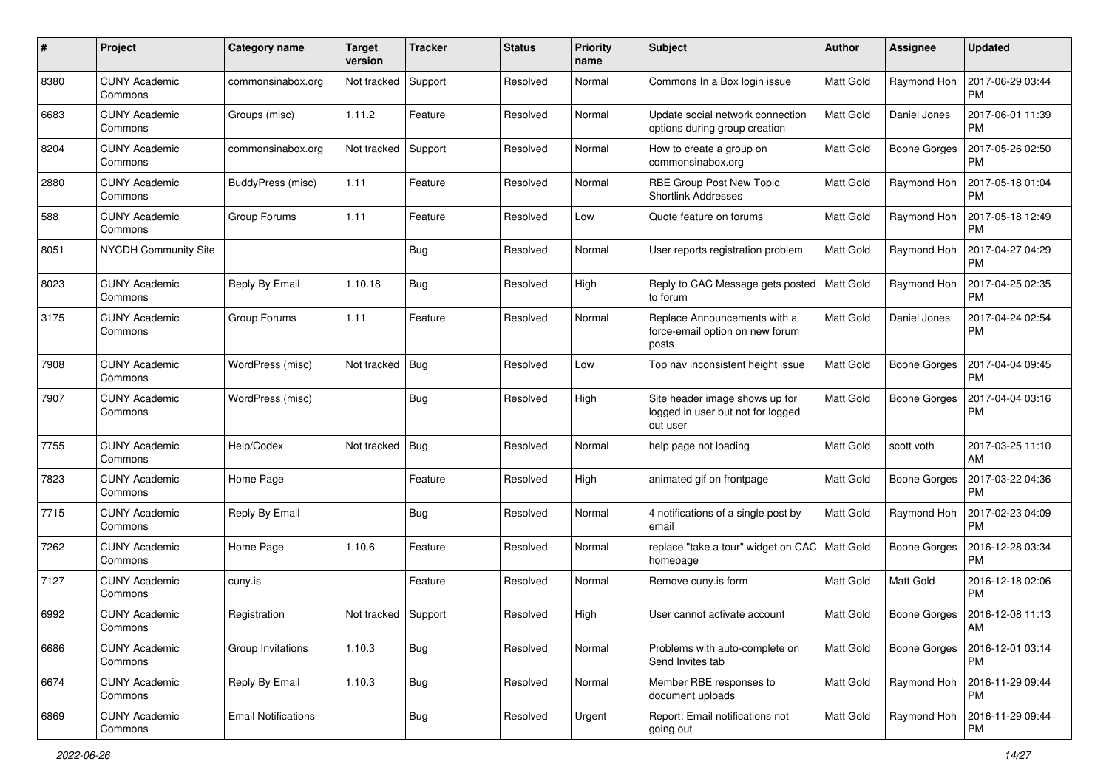| #    | Project                         | Category name              | <b>Target</b><br>version | <b>Tracker</b> | <b>Status</b> | <b>Priority</b><br>name | Subject                                                                         | Author           | Assignee            | <b>Updated</b>                |
|------|---------------------------------|----------------------------|--------------------------|----------------|---------------|-------------------------|---------------------------------------------------------------------------------|------------------|---------------------|-------------------------------|
| 8380 | <b>CUNY Academic</b><br>Commons | commonsinabox.org          | Not tracked              | Support        | Resolved      | Normal                  | Commons In a Box login issue                                                    | <b>Matt Gold</b> | Raymond Hoh         | 2017-06-29 03:44<br><b>PM</b> |
| 6683 | <b>CUNY Academic</b><br>Commons | Groups (misc)              | 1.11.2                   | Feature        | Resolved      | Normal                  | Update social network connection<br>options during group creation               | <b>Matt Gold</b> | Daniel Jones        | 2017-06-01 11:39<br><b>PM</b> |
| 8204 | <b>CUNY Academic</b><br>Commons | commonsinabox.org          | Not tracked              | Support        | Resolved      | Normal                  | How to create a group on<br>commonsinabox.org                                   | Matt Gold        | <b>Boone Gorges</b> | 2017-05-26 02:50<br><b>PM</b> |
| 2880 | <b>CUNY Academic</b><br>Commons | BuddyPress (misc)          | 1.11                     | Feature        | Resolved      | Normal                  | RBE Group Post New Topic<br><b>Shortlink Addresses</b>                          | <b>Matt Gold</b> | Raymond Hoh         | 2017-05-18 01:04<br><b>PM</b> |
| 588  | <b>CUNY Academic</b><br>Commons | Group Forums               | 1.11                     | Feature        | Resolved      | Low                     | Quote feature on forums                                                         | <b>Matt Gold</b> | Raymond Hoh         | 2017-05-18 12:49<br><b>PM</b> |
| 8051 | NYCDH Community Site            |                            |                          | Bug            | Resolved      | Normal                  | User reports registration problem                                               | Matt Gold        | Raymond Hoh         | 2017-04-27 04:29<br><b>PM</b> |
| 8023 | <b>CUNY Academic</b><br>Commons | Reply By Email             | 1.10.18                  | Bug            | Resolved      | High                    | Reply to CAC Message gets posted<br>to forum                                    | Matt Gold        | Raymond Hoh         | 2017-04-25 02:35<br><b>PM</b> |
| 3175 | <b>CUNY Academic</b><br>Commons | Group Forums               | 1.11                     | Feature        | Resolved      | Normal                  | Replace Announcements with a<br>force-email option on new forum<br>posts        | <b>Matt Gold</b> | Daniel Jones        | 2017-04-24 02:54<br><b>PM</b> |
| 7908 | <b>CUNY Academic</b><br>Commons | WordPress (misc)           | Not tracked              | Bug            | Resolved      | Low                     | Top nav inconsistent height issue                                               | Matt Gold        | <b>Boone Gorges</b> | 2017-04-04 09:45<br><b>PM</b> |
| 7907 | <b>CUNY Academic</b><br>Commons | WordPress (misc)           |                          | Bug            | Resolved      | High                    | Site header image shows up for<br>logged in user but not for logged<br>out user | Matt Gold        | <b>Boone Gorges</b> | 2017-04-04 03:16<br><b>PM</b> |
| 7755 | <b>CUNY Academic</b><br>Commons | Help/Codex                 | Not tracked              | <b>Bug</b>     | Resolved      | Normal                  | help page not loading                                                           | Matt Gold        | scott voth          | 2017-03-25 11:10<br>AM        |
| 7823 | <b>CUNY Academic</b><br>Commons | Home Page                  |                          | Feature        | Resolved      | High                    | animated gif on frontpage                                                       | Matt Gold        | <b>Boone Gorges</b> | 2017-03-22 04:36<br><b>PM</b> |
| 7715 | <b>CUNY Academic</b><br>Commons | Reply By Email             |                          | Bug            | Resolved      | Normal                  | 4 notifications of a single post by<br>email                                    | Matt Gold        | Raymond Hoh         | 2017-02-23 04:09<br><b>PM</b> |
| 7262 | <b>CUNY Academic</b><br>Commons | Home Page                  | 1.10.6                   | Feature        | Resolved      | Normal                  | replace "take a tour" widget on CAC   Matt Gold<br>homepage                     |                  | <b>Boone Gorges</b> | 2016-12-28 03:34<br><b>PM</b> |
| 7127 | <b>CUNY Academic</b><br>Commons | cuny.is                    |                          | Feature        | Resolved      | Normal                  | Remove cuny.is form                                                             | Matt Gold        | Matt Gold           | 2016-12-18 02:06<br><b>PM</b> |
| 6992 | <b>CUNY Academic</b><br>Commons | Registration               | Not tracked              | Support        | Resolved      | High                    | User cannot activate account                                                    | Matt Gold        | Boone Gorges        | 2016-12-08 11:13<br>AM        |
| 6686 | <b>CUNY Academic</b><br>Commons | Group Invitations          | 1.10.3                   | <b>Bug</b>     | Resolved      | Normal                  | Problems with auto-complete on<br>Send Invites tab                              | Matt Gold        | <b>Boone Gorges</b> | 2016-12-01 03:14<br><b>PM</b> |
| 6674 | <b>CUNY Academic</b><br>Commons | Reply By Email             | 1.10.3                   | Bug            | Resolved      | Normal                  | Member RBE responses to<br>document uploads                                     | Matt Gold        | Raymond Hoh         | 2016-11-29 09:44<br><b>PM</b> |
| 6869 | <b>CUNY Academic</b><br>Commons | <b>Email Notifications</b> |                          | <b>Bug</b>     | Resolved      | Urgent                  | Report: Email notifications not<br>going out                                    | Matt Gold        | Raymond Hoh         | 2016-11-29 09:44<br><b>PM</b> |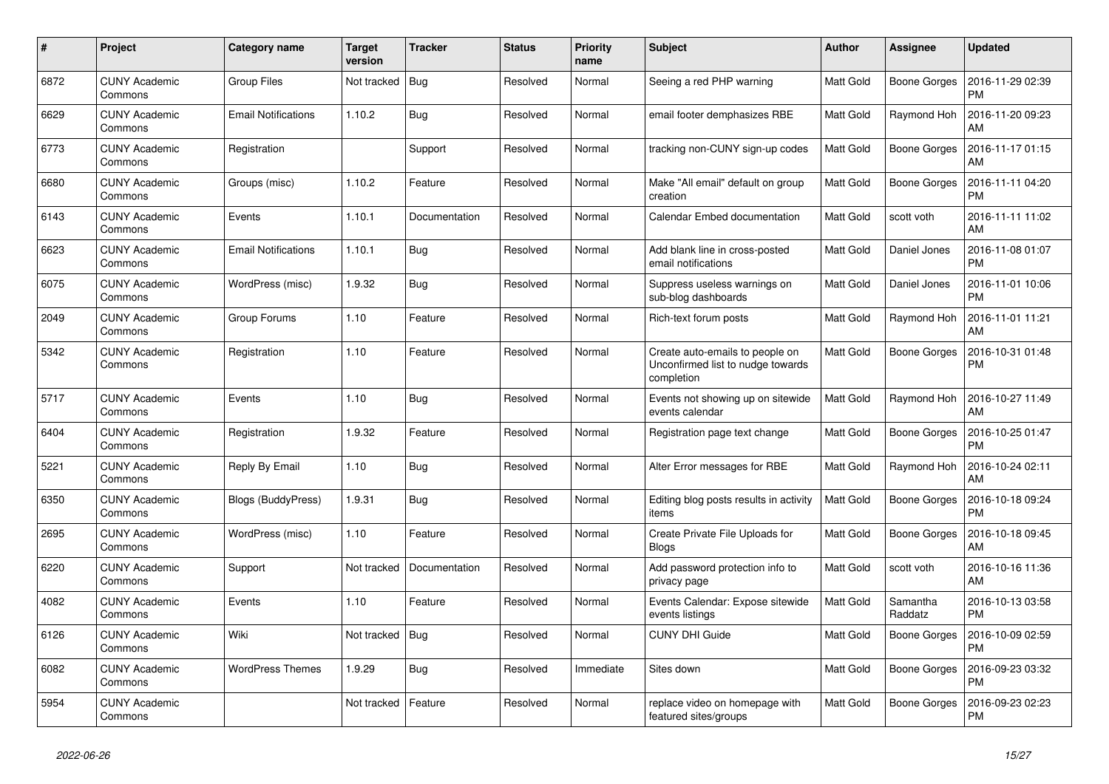| #    | Project                         | Category name              | <b>Target</b><br>version | <b>Tracker</b> | <b>Status</b> | <b>Priority</b><br>name | <b>Subject</b>                                                                     | <b>Author</b>    | Assignee            | <b>Updated</b>                |
|------|---------------------------------|----------------------------|--------------------------|----------------|---------------|-------------------------|------------------------------------------------------------------------------------|------------------|---------------------|-------------------------------|
| 6872 | <b>CUNY Academic</b><br>Commons | <b>Group Files</b>         | Not tracked              | Bug            | Resolved      | Normal                  | Seeing a red PHP warning                                                           | <b>Matt Gold</b> | <b>Boone Gorges</b> | 2016-11-29 02:39<br><b>PM</b> |
| 6629 | <b>CUNY Academic</b><br>Commons | <b>Email Notifications</b> | 1.10.2                   | Bug            | Resolved      | Normal                  | email footer demphasizes RBE                                                       | <b>Matt Gold</b> | Raymond Hoh         | 2016-11-20 09:23<br>AM        |
| 6773 | <b>CUNY Academic</b><br>Commons | Registration               |                          | Support        | Resolved      | Normal                  | tracking non-CUNY sign-up codes                                                    | Matt Gold        | Boone Gorges        | 2016-11-17 01:15<br>AM        |
| 6680 | <b>CUNY Academic</b><br>Commons | Groups (misc)              | 1.10.2                   | Feature        | Resolved      | Normal                  | Make "All email" default on group<br>creation                                      | <b>Matt Gold</b> | <b>Boone Gorges</b> | 2016-11-11 04:20<br><b>PM</b> |
| 6143 | <b>CUNY Academic</b><br>Commons | Events                     | 1.10.1                   | Documentation  | Resolved      | Normal                  | Calendar Embed documentation                                                       | <b>Matt Gold</b> | scott voth          | 2016-11-11 11:02<br>AM        |
| 6623 | <b>CUNY Academic</b><br>Commons | <b>Email Notifications</b> | 1.10.1                   | Bug            | Resolved      | Normal                  | Add blank line in cross-posted<br>email notifications                              | <b>Matt Gold</b> | Daniel Jones        | 2016-11-08 01:07<br><b>PM</b> |
| 6075 | <b>CUNY Academic</b><br>Commons | WordPress (misc)           | 1.9.32                   | <b>Bug</b>     | Resolved      | Normal                  | Suppress useless warnings on<br>sub-blog dashboards                                | <b>Matt Gold</b> | Daniel Jones        | 2016-11-01 10:06<br><b>PM</b> |
| 2049 | <b>CUNY Academic</b><br>Commons | Group Forums               | 1.10                     | Feature        | Resolved      | Normal                  | Rich-text forum posts                                                              | Matt Gold        | Raymond Hoh         | 2016-11-01 11:21<br>AM        |
| 5342 | <b>CUNY Academic</b><br>Commons | Registration               | 1.10                     | Feature        | Resolved      | Normal                  | Create auto-emails to people on<br>Unconfirmed list to nudge towards<br>completion | Matt Gold        | <b>Boone Gorges</b> | 2016-10-31 01:48<br><b>PM</b> |
| 5717 | <b>CUNY Academic</b><br>Commons | Events                     | 1.10                     | <b>Bug</b>     | Resolved      | Normal                  | Events not showing up on sitewide<br>events calendar                               | <b>Matt Gold</b> | Raymond Hoh         | 2016-10-27 11:49<br>AM        |
| 6404 | <b>CUNY Academic</b><br>Commons | Registration               | 1.9.32                   | Feature        | Resolved      | Normal                  | Registration page text change                                                      | Matt Gold        | Boone Gorges        | 2016-10-25 01:47<br><b>PM</b> |
| 5221 | <b>CUNY Academic</b><br>Commons | Reply By Email             | 1.10                     | <b>Bug</b>     | Resolved      | Normal                  | Alter Error messages for RBE                                                       | Matt Gold        | Raymond Hoh         | 2016-10-24 02:11<br>AM        |
| 6350 | <b>CUNY Academic</b><br>Commons | Blogs (BuddyPress)         | 1.9.31                   | Bug            | Resolved      | Normal                  | Editing blog posts results in activity<br>items                                    | Matt Gold        | <b>Boone Gorges</b> | 2016-10-18 09:24<br><b>PM</b> |
| 2695 | <b>CUNY Academic</b><br>Commons | WordPress (misc)           | 1.10                     | Feature        | Resolved      | Normal                  | Create Private File Uploads for<br><b>Blogs</b>                                    | <b>Matt Gold</b> | <b>Boone Gorges</b> | 2016-10-18 09:45<br>AM        |
| 6220 | <b>CUNY Academic</b><br>Commons | Support                    | Not tracked              | Documentation  | Resolved      | Normal                  | Add password protection info to<br>privacy page                                    | <b>Matt Gold</b> | scott voth          | 2016-10-16 11:36<br>AM        |
| 4082 | <b>CUNY Academic</b><br>Commons | Events                     | 1.10                     | Feature        | Resolved      | Normal                  | Events Calendar: Expose sitewide<br>events listings                                | Matt Gold        | Samantha<br>Raddatz | 2016-10-13 03:58<br><b>PM</b> |
| 6126 | <b>CUNY Academic</b><br>Commons | Wiki                       | Not tracked              | Bug            | Resolved      | Normal                  | <b>CUNY DHI Guide</b>                                                              | <b>Matt Gold</b> | Boone Gorges        | 2016-10-09 02:59<br><b>PM</b> |
| 6082 | <b>CUNY Academic</b><br>Commons | <b>WordPress Themes</b>    | 1.9.29                   | <b>Bug</b>     | Resolved      | Immediate               | Sites down                                                                         | <b>Matt Gold</b> | Boone Gorges        | 2016-09-23 03:32<br><b>PM</b> |
| 5954 | <b>CUNY Academic</b><br>Commons |                            | Not tracked              | Feature        | Resolved      | Normal                  | replace video on homepage with<br>featured sites/groups                            | <b>Matt Gold</b> | <b>Boone Gorges</b> | 2016-09-23 02:23<br><b>PM</b> |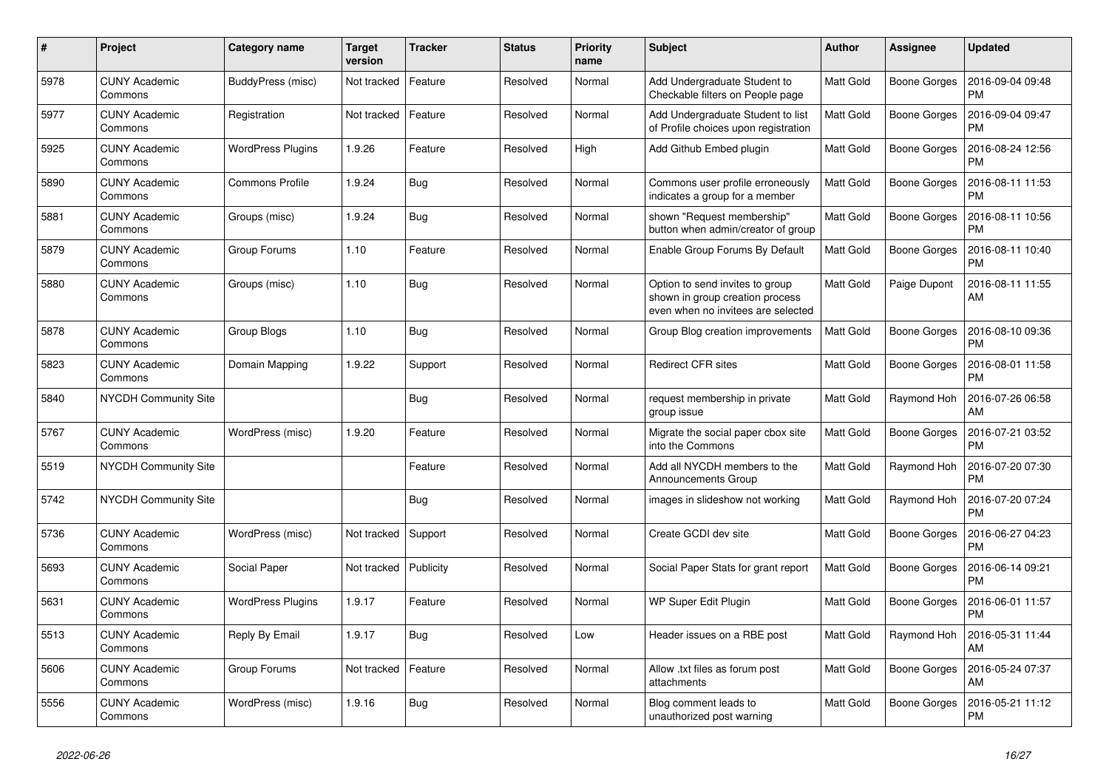| $\#$ | Project                         | Category name            | <b>Target</b><br>version | <b>Tracker</b> | <b>Status</b> | <b>Priority</b><br>name | <b>Subject</b>                                                                                           | <b>Author</b>    | Assignee            | <b>Updated</b>                |
|------|---------------------------------|--------------------------|--------------------------|----------------|---------------|-------------------------|----------------------------------------------------------------------------------------------------------|------------------|---------------------|-------------------------------|
| 5978 | <b>CUNY Academic</b><br>Commons | BuddyPress (misc)        | Not tracked              | Feature        | Resolved      | Normal                  | Add Undergraduate Student to<br>Checkable filters on People page                                         | Matt Gold        | <b>Boone Gorges</b> | 2016-09-04 09:48<br><b>PM</b> |
| 5977 | <b>CUNY Academic</b><br>Commons | Registration             | Not tracked              | Feature        | Resolved      | Normal                  | Add Undergraduate Student to list<br>of Profile choices upon registration                                | Matt Gold        | Boone Gorges        | 2016-09-04 09:47<br><b>PM</b> |
| 5925 | <b>CUNY Academic</b><br>Commons | <b>WordPress Plugins</b> | 1.9.26                   | Feature        | Resolved      | High                    | Add Github Embed plugin                                                                                  | Matt Gold        | Boone Gorges        | 2016-08-24 12:56<br><b>PM</b> |
| 5890 | <b>CUNY Academic</b><br>Commons | <b>Commons Profile</b>   | 1.9.24                   | <b>Bug</b>     | Resolved      | Normal                  | Commons user profile erroneously<br>indicates a group for a member                                       | Matt Gold        | Boone Gorges        | 2016-08-11 11:53<br><b>PM</b> |
| 5881 | <b>CUNY Academic</b><br>Commons | Groups (misc)            | 1.9.24                   | Bug            | Resolved      | Normal                  | shown "Request membership"<br>button when admin/creator of group                                         | Matt Gold        | Boone Gorges        | 2016-08-11 10:56<br><b>PM</b> |
| 5879 | <b>CUNY Academic</b><br>Commons | Group Forums             | 1.10                     | Feature        | Resolved      | Normal                  | Enable Group Forums By Default                                                                           | Matt Gold        | Boone Gorges        | 2016-08-11 10:40<br><b>PM</b> |
| 5880 | <b>CUNY Academic</b><br>Commons | Groups (misc)            | 1.10                     | <b>Bug</b>     | Resolved      | Normal                  | Option to send invites to group<br>shown in group creation process<br>even when no invitees are selected | Matt Gold        | Paige Dupont        | 2016-08-11 11:55<br>AM        |
| 5878 | <b>CUNY Academic</b><br>Commons | Group Blogs              | 1.10                     | Bug            | Resolved      | Normal                  | Group Blog creation improvements                                                                         | Matt Gold        | Boone Gorges        | 2016-08-10 09:36<br><b>PM</b> |
| 5823 | <b>CUNY Academic</b><br>Commons | Domain Mapping           | 1.9.22                   | Support        | Resolved      | Normal                  | <b>Redirect CFR sites</b>                                                                                | Matt Gold        | Boone Gorges        | 2016-08-01 11:58<br><b>PM</b> |
| 5840 | <b>NYCDH Community Site</b>     |                          |                          | <b>Bug</b>     | Resolved      | Normal                  | request membership in private<br>group issue                                                             | Matt Gold        | Raymond Hoh         | 2016-07-26 06:58<br>AM        |
| 5767 | <b>CUNY Academic</b><br>Commons | WordPress (misc)         | 1.9.20                   | Feature        | Resolved      | Normal                  | Migrate the social paper cbox site<br>into the Commons                                                   | Matt Gold        | Boone Gorges        | 2016-07-21 03:52<br><b>PM</b> |
| 5519 | <b>NYCDH Community Site</b>     |                          |                          | Feature        | Resolved      | Normal                  | Add all NYCDH members to the<br><b>Announcements Group</b>                                               | Matt Gold        | Raymond Hoh         | 2016-07-20 07:30<br><b>PM</b> |
| 5742 | <b>NYCDH Community Site</b>     |                          |                          | <b>Bug</b>     | Resolved      | Normal                  | images in slideshow not working                                                                          | Matt Gold        | Raymond Hoh         | 2016-07-20 07:24<br><b>PM</b> |
| 5736 | <b>CUNY Academic</b><br>Commons | WordPress (misc)         | Not tracked              | Support        | Resolved      | Normal                  | Create GCDI dev site                                                                                     | Matt Gold        | Boone Gorges        | 2016-06-27 04:23<br><b>PM</b> |
| 5693 | <b>CUNY Academic</b><br>Commons | Social Paper             | Not tracked              | Publicity      | Resolved      | Normal                  | Social Paper Stats for grant report                                                                      | <b>Matt Gold</b> | Boone Gorges        | 2016-06-14 09:21<br><b>PM</b> |
| 5631 | <b>CUNY Academic</b><br>Commons | <b>WordPress Plugins</b> | 1.9.17                   | Feature        | Resolved      | Normal                  | WP Super Edit Plugin                                                                                     | Matt Gold        | Boone Gorges        | 2016-06-01 11:57<br><b>PM</b> |
| 5513 | <b>CUNY Academic</b><br>Commons | Reply By Email           | 1.9.17                   | Bug            | Resolved      | Low                     | Header issues on a RBE post                                                                              | Matt Gold        | Raymond Hoh         | 2016-05-31 11:44<br>AM        |
| 5606 | <b>CUNY Academic</b><br>Commons | Group Forums             | Not tracked              | Feature        | Resolved      | Normal                  | Allow .txt files as forum post<br>attachments                                                            | Matt Gold        | Boone Gorges        | 2016-05-24 07:37<br>AM        |
| 5556 | <b>CUNY Academic</b><br>Commons | WordPress (misc)         | 1.9.16                   | Bug            | Resolved      | Normal                  | Blog comment leads to<br>unauthorized post warning                                                       | Matt Gold        | Boone Gorges        | 2016-05-21 11:12<br><b>PM</b> |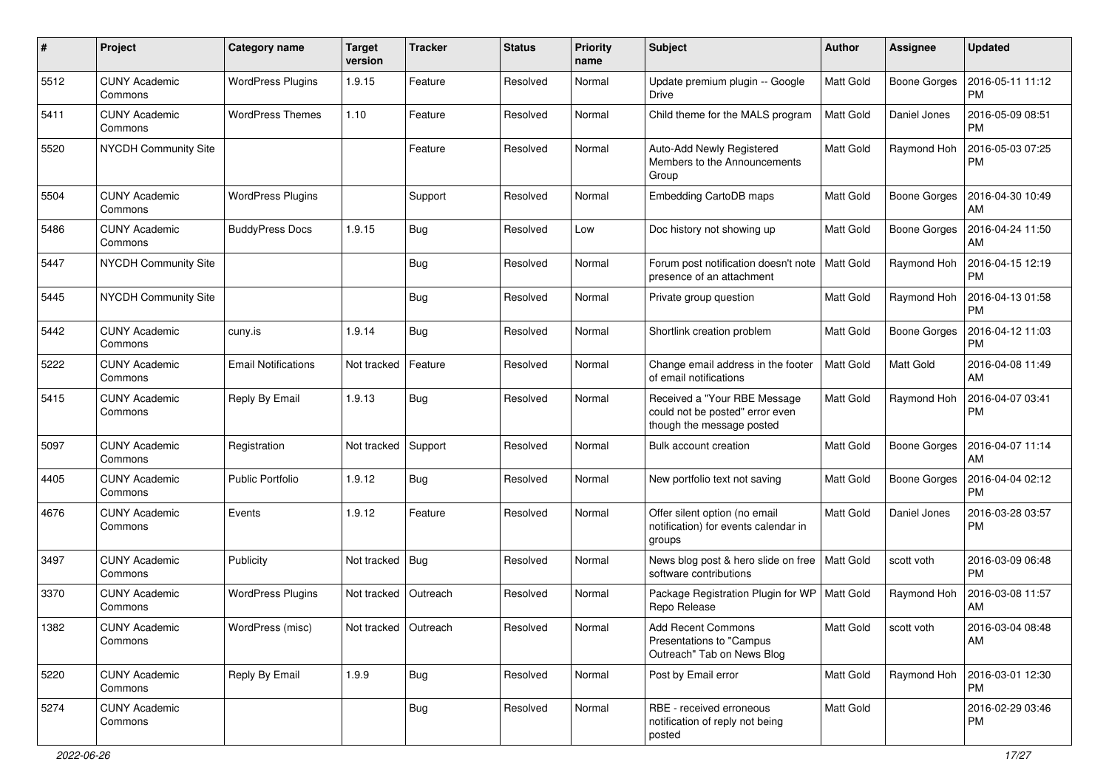| #    | Project                         | <b>Category name</b>       | <b>Target</b><br>version | <b>Tracker</b> | <b>Status</b> | <b>Priority</b><br>name | Subject                                                                                      | Author           | Assignee            | <b>Updated</b>                |
|------|---------------------------------|----------------------------|--------------------------|----------------|---------------|-------------------------|----------------------------------------------------------------------------------------------|------------------|---------------------|-------------------------------|
| 5512 | <b>CUNY Academic</b><br>Commons | <b>WordPress Plugins</b>   | 1.9.15                   | Feature        | Resolved      | Normal                  | Update premium plugin -- Google<br>Drive                                                     | Matt Gold        | <b>Boone Gorges</b> | 2016-05-11 11:12<br><b>PM</b> |
| 5411 | <b>CUNY Academic</b><br>Commons | <b>WordPress Themes</b>    | 1.10                     | Feature        | Resolved      | Normal                  | Child theme for the MALS program                                                             | <b>Matt Gold</b> | Daniel Jones        | 2016-05-09 08:51<br><b>PM</b> |
| 5520 | NYCDH Community Site            |                            |                          | Feature        | Resolved      | Normal                  | Auto-Add Newly Registered<br>Members to the Announcements<br>Group                           | Matt Gold        | Raymond Hoh         | 2016-05-03 07:25<br><b>PM</b> |
| 5504 | <b>CUNY Academic</b><br>Commons | <b>WordPress Plugins</b>   |                          | Support        | Resolved      | Normal                  | Embedding CartoDB maps                                                                       | Matt Gold        | <b>Boone Gorges</b> | 2016-04-30 10:49<br>AM        |
| 5486 | <b>CUNY Academic</b><br>Commons | <b>BuddyPress Docs</b>     | 1.9.15                   | Bug            | Resolved      | Low                     | Doc history not showing up                                                                   | <b>Matt Gold</b> | <b>Boone Gorges</b> | 2016-04-24 11:50<br>AM        |
| 5447 | NYCDH Community Site            |                            |                          | Bug            | Resolved      | Normal                  | Forum post notification doesn't note<br>presence of an attachment                            | Matt Gold        | Raymond Hoh         | 2016-04-15 12:19<br><b>PM</b> |
| 5445 | NYCDH Community Site            |                            |                          | Bug            | Resolved      | Normal                  | Private group question                                                                       | Matt Gold        | Raymond Hoh         | 2016-04-13 01:58<br><b>PM</b> |
| 5442 | <b>CUNY Academic</b><br>Commons | cuny.is                    | 1.9.14                   | Bug            | Resolved      | Normal                  | Shortlink creation problem                                                                   | Matt Gold        | <b>Boone Gorges</b> | 2016-04-12 11:03<br><b>PM</b> |
| 5222 | <b>CUNY Academic</b><br>Commons | <b>Email Notifications</b> | Not tracked              | Feature        | Resolved      | Normal                  | Change email address in the footer<br>of email notifications                                 | Matt Gold        | Matt Gold           | 2016-04-08 11:49<br>AM        |
| 5415 | <b>CUNY Academic</b><br>Commons | Reply By Email             | 1.9.13                   | Bug            | Resolved      | Normal                  | Received a "Your RBE Message<br>could not be posted" error even<br>though the message posted | <b>Matt Gold</b> | Raymond Hoh         | 2016-04-07 03:41<br><b>PM</b> |
| 5097 | <b>CUNY Academic</b><br>Commons | Registration               | Not tracked              | Support        | Resolved      | Normal                  | Bulk account creation                                                                        | Matt Gold        | <b>Boone Gorges</b> | 2016-04-07 11:14<br>AM        |
| 4405 | <b>CUNY Academic</b><br>Commons | <b>Public Portfolio</b>    | 1.9.12                   | Bug            | Resolved      | Normal                  | New portfolio text not saving                                                                | Matt Gold        | Boone Gorges        | 2016-04-04 02:12<br><b>PM</b> |
| 4676 | <b>CUNY Academic</b><br>Commons | Events                     | 1.9.12                   | Feature        | Resolved      | Normal                  | Offer silent option (no email<br>notification) for events calendar in<br>groups              | <b>Matt Gold</b> | Daniel Jones        | 2016-03-28 03:57<br><b>PM</b> |
| 3497 | <b>CUNY Academic</b><br>Commons | Publicity                  | Not tracked              | Bug            | Resolved      | Normal                  | News blog post & hero slide on free   Matt Gold<br>software contributions                    |                  | scott voth          | 2016-03-09 06:48<br><b>PM</b> |
| 3370 | <b>CUNY Academic</b><br>Commons | <b>WordPress Plugins</b>   | Not tracked              | Outreach       | Resolved      | Normal                  | Package Registration Plugin for WP<br>Repo Release                                           | <b>Matt Gold</b> | Raymond Hoh         | 2016-03-08 11:57<br>AM        |
| 1382 | CUNY Academic<br>Commons        | WordPress (misc)           | Not tracked Outreach     |                | Resolved      | Normal                  | Add Recent Commons<br>Presentations to "Campus"<br>Outreach" Tab on News Blog                | Matt Gold        | scott voth          | 2016-03-04 08:48<br>AM        |
| 5220 | <b>CUNY Academic</b><br>Commons | Reply By Email             | 1.9.9                    | Bug            | Resolved      | Normal                  | Post by Email error                                                                          | <b>Matt Gold</b> | Raymond Hoh         | 2016-03-01 12:30<br><b>PM</b> |
| 5274 | <b>CUNY Academic</b><br>Commons |                            |                          | <b>Bug</b>     | Resolved      | Normal                  | RBE - received erroneous<br>notification of reply not being<br>posted                        | Matt Gold        |                     | 2016-02-29 03:46<br>PM.       |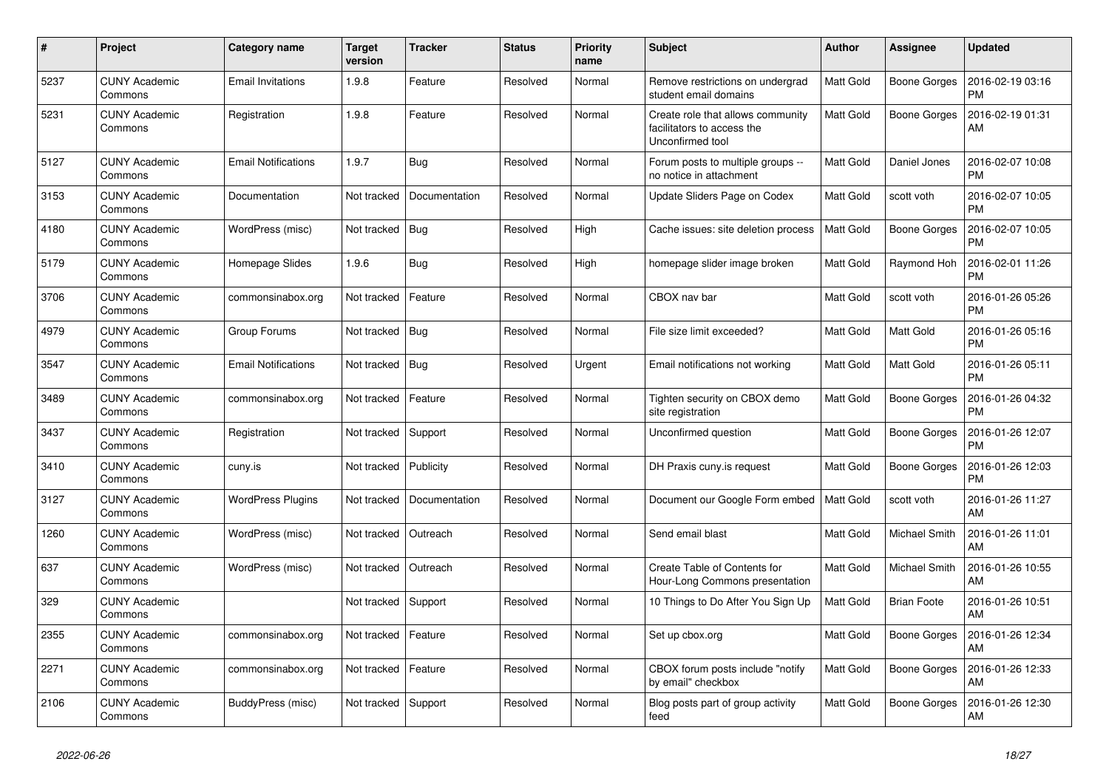| #    | Project                         | Category name              | <b>Target</b><br>version | <b>Tracker</b> | <b>Status</b> | <b>Priority</b><br>name | <b>Subject</b>                                                                      | <b>Author</b>    | <b>Assignee</b>    | <b>Updated</b>                |
|------|---------------------------------|----------------------------|--------------------------|----------------|---------------|-------------------------|-------------------------------------------------------------------------------------|------------------|--------------------|-------------------------------|
| 5237 | <b>CUNY Academic</b><br>Commons | <b>Email Invitations</b>   | 1.9.8                    | Feature        | Resolved      | Normal                  | Remove restrictions on undergrad<br>student email domains                           | Matt Gold        | Boone Gorges       | 2016-02-19 03:16<br><b>PM</b> |
| 5231 | <b>CUNY Academic</b><br>Commons | Registration               | 1.9.8                    | Feature        | Resolved      | Normal                  | Create role that allows community<br>facilitators to access the<br>Unconfirmed tool | Matt Gold        | Boone Gorges       | 2016-02-19 01:31<br>AM        |
| 5127 | CUNY Academic<br>Commons        | <b>Email Notifications</b> | 1.9.7                    | Bug            | Resolved      | Normal                  | Forum posts to multiple groups --<br>no notice in attachment                        | Matt Gold        | Daniel Jones       | 2016-02-07 10:08<br><b>PM</b> |
| 3153 | <b>CUNY Academic</b><br>Commons | Documentation              | Not tracked              | Documentation  | Resolved      | Normal                  | Update Sliders Page on Codex                                                        | Matt Gold        | scott voth         | 2016-02-07 10:05<br><b>PM</b> |
| 4180 | <b>CUNY Academic</b><br>Commons | WordPress (misc)           | Not tracked              | Bug            | Resolved      | High                    | Cache issues: site deletion process                                                 | Matt Gold        | Boone Gorges       | 2016-02-07 10:05<br><b>PM</b> |
| 5179 | <b>CUNY Academic</b><br>Commons | Homepage Slides            | 1.9.6                    | Bug            | Resolved      | High                    | homepage slider image broken                                                        | Matt Gold        | Raymond Hoh        | 2016-02-01 11:26<br><b>PM</b> |
| 3706 | <b>CUNY Academic</b><br>Commons | commonsinabox.org          | Not tracked              | Feature        | Resolved      | Normal                  | CBOX nav bar                                                                        | Matt Gold        | scott voth         | 2016-01-26 05:26<br><b>PM</b> |
| 4979 | <b>CUNY Academic</b><br>Commons | Group Forums               | Not tracked              | Bug            | Resolved      | Normal                  | File size limit exceeded?                                                           | Matt Gold        | Matt Gold          | 2016-01-26 05:16<br><b>PM</b> |
| 3547 | <b>CUNY Academic</b><br>Commons | <b>Email Notifications</b> | Not tracked              | Bug            | Resolved      | Urgent                  | Email notifications not working                                                     | Matt Gold        | Matt Gold          | 2016-01-26 05:11<br><b>PM</b> |
| 3489 | <b>CUNY Academic</b><br>Commons | commonsinabox.org          | Not tracked              | Feature        | Resolved      | Normal                  | Tighten security on CBOX demo<br>site registration                                  | Matt Gold        | Boone Gorges       | 2016-01-26 04:32<br><b>PM</b> |
| 3437 | <b>CUNY Academic</b><br>Commons | Registration               | Not tracked              | Support        | Resolved      | Normal                  | Unconfirmed question                                                                | Matt Gold        | Boone Gorges       | 2016-01-26 12:07<br><b>PM</b> |
| 3410 | <b>CUNY Academic</b><br>Commons | cuny.is                    | Not tracked              | Publicity      | Resolved      | Normal                  | DH Praxis cuny is request                                                           | Matt Gold        | Boone Gorges       | 2016-01-26 12:03<br><b>PM</b> |
| 3127 | <b>CUNY Academic</b><br>Commons | <b>WordPress Plugins</b>   | Not tracked              | Documentation  | Resolved      | Normal                  | Document our Google Form embed                                                      | <b>Matt Gold</b> | scott voth         | 2016-01-26 11:27<br>AM        |
| 1260 | <b>CUNY Academic</b><br>Commons | WordPress (misc)           | Not tracked              | Outreach       | Resolved      | Normal                  | Send email blast                                                                    | Matt Gold        | Michael Smith      | 2016-01-26 11:01<br>AM        |
| 637  | <b>CUNY Academic</b><br>Commons | WordPress (misc)           | Not tracked              | Outreach       | Resolved      | Normal                  | Create Table of Contents for<br>Hour-Long Commons presentation                      | Matt Gold        | Michael Smith      | 2016-01-26 10:55<br>AM        |
| 329  | <b>CUNY Academic</b><br>Commons |                            | Not tracked              | Support        | Resolved      | Normal                  | 10 Things to Do After You Sign Up                                                   | Matt Gold        | <b>Brian Foote</b> | 2016-01-26 10:51<br>AM        |
| 2355 | CUNY Academic<br>Commons        | commonsinabox.org          | Not tracked              | Feature        | Resolved      | Normal                  | Set up cbox.org                                                                     | Matt Gold        | Boone Gorges       | 2016-01-26 12:34<br>AM        |
| 2271 | <b>CUNY Academic</b><br>Commons | commonsinabox.org          | Not tracked              | Feature        | Resolved      | Normal                  | CBOX forum posts include "notify<br>by email" checkbox                              | Matt Gold        | Boone Gorges       | 2016-01-26 12:33<br>AM        |
| 2106 | <b>CUNY Academic</b><br>Commons | BuddyPress (misc)          | Not tracked              | Support        | Resolved      | Normal                  | Blog posts part of group activity<br>feed                                           | Matt Gold        | Boone Gorges       | 2016-01-26 12:30<br>AM        |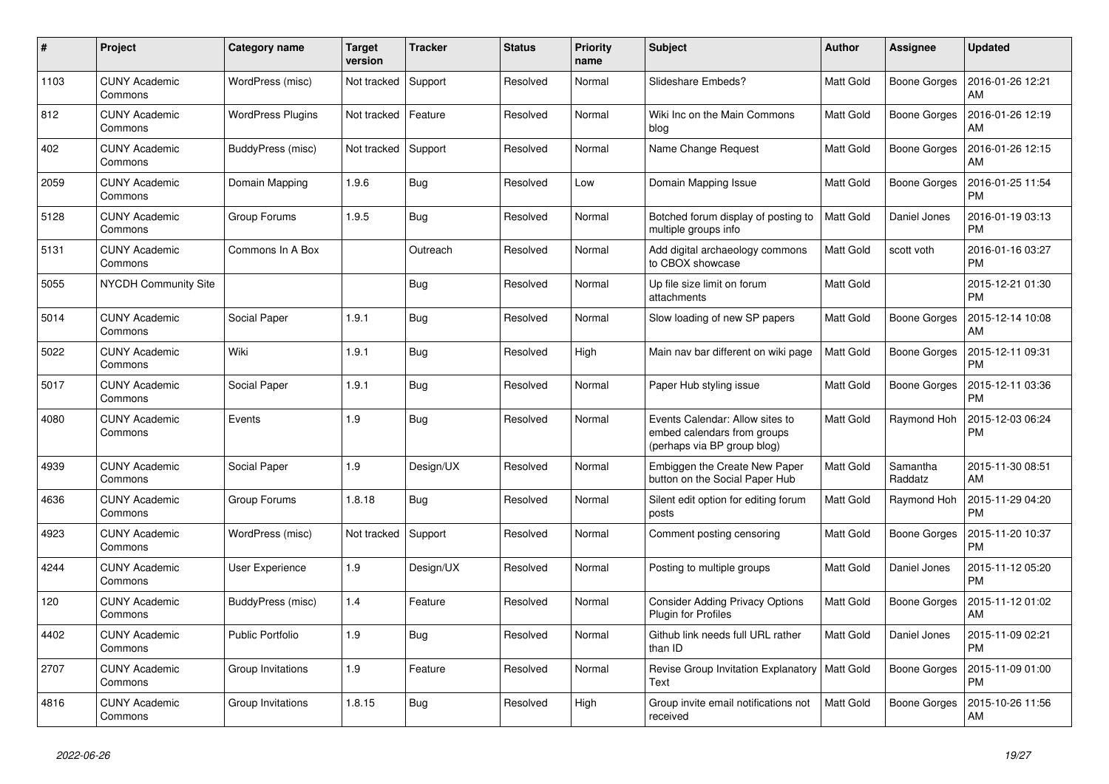| #    | Project                         | Category name            | <b>Target</b><br>version | <b>Tracker</b> | <b>Status</b> | <b>Priority</b><br>name | <b>Subject</b>                                                                                | <b>Author</b>    | Assignee            | <b>Updated</b>                |
|------|---------------------------------|--------------------------|--------------------------|----------------|---------------|-------------------------|-----------------------------------------------------------------------------------------------|------------------|---------------------|-------------------------------|
| 1103 | <b>CUNY Academic</b><br>Commons | WordPress (misc)         | Not tracked              | Support        | Resolved      | Normal                  | Slideshare Embeds?                                                                            | <b>Matt Gold</b> | Boone Gorges        | 2016-01-26 12:21<br>AM        |
| 812  | <b>CUNY Academic</b><br>Commons | <b>WordPress Plugins</b> | Not tracked              | Feature        | Resolved      | Normal                  | Wiki Inc on the Main Commons<br>blog                                                          | Matt Gold        | <b>Boone Gorges</b> | 2016-01-26 12:19<br>AM        |
| 402  | <b>CUNY Academic</b><br>Commons | BuddyPress (misc)        | Not tracked              | Support        | Resolved      | Normal                  | Name Change Request                                                                           | <b>Matt Gold</b> | <b>Boone Gorges</b> | 2016-01-26 12:15<br>AM        |
| 2059 | <b>CUNY Academic</b><br>Commons | Domain Mapping           | 1.9.6                    | <b>Bug</b>     | Resolved      | Low                     | Domain Mapping Issue                                                                          | <b>Matt Gold</b> | Boone Gorges        | 2016-01-25 11:54<br><b>PM</b> |
| 5128 | <b>CUNY Academic</b><br>Commons | Group Forums             | 1.9.5                    | Bug            | Resolved      | Normal                  | Botched forum display of posting to<br>multiple groups info                                   | <b>Matt Gold</b> | Daniel Jones        | 2016-01-19 03:13<br><b>PM</b> |
| 5131 | <b>CUNY Academic</b><br>Commons | Commons In A Box         |                          | Outreach       | Resolved      | Normal                  | Add digital archaeology commons<br>to CBOX showcase                                           | <b>Matt Gold</b> | scott voth          | 2016-01-16 03:27<br><b>PM</b> |
| 5055 | <b>NYCDH Community Site</b>     |                          |                          | Bug            | Resolved      | Normal                  | Up file size limit on forum<br>attachments                                                    | <b>Matt Gold</b> |                     | 2015-12-21 01:30<br><b>PM</b> |
| 5014 | <b>CUNY Academic</b><br>Commons | Social Paper             | 1.9.1                    | Bug            | Resolved      | Normal                  | Slow loading of new SP papers                                                                 | <b>Matt Gold</b> | <b>Boone Gorges</b> | 2015-12-14 10:08<br>AM        |
| 5022 | <b>CUNY Academic</b><br>Commons | Wiki                     | 1.9.1                    | <b>Bug</b>     | Resolved      | High                    | Main nav bar different on wiki page                                                           | Matt Gold        | <b>Boone Gorges</b> | 2015-12-11 09:31<br><b>PM</b> |
| 5017 | <b>CUNY Academic</b><br>Commons | Social Paper             | 1.9.1                    | Bug            | Resolved      | Normal                  | Paper Hub styling issue                                                                       | <b>Matt Gold</b> | <b>Boone Gorges</b> | 2015-12-11 03:36<br><b>PM</b> |
| 4080 | <b>CUNY Academic</b><br>Commons | Events                   | 1.9                      | <b>Bug</b>     | Resolved      | Normal                  | Events Calendar: Allow sites to<br>embed calendars from groups<br>(perhaps via BP group blog) | <b>Matt Gold</b> | Raymond Hoh         | 2015-12-03 06:24<br><b>PM</b> |
| 4939 | <b>CUNY Academic</b><br>Commons | Social Paper             | 1.9                      | Design/UX      | Resolved      | Normal                  | Embiggen the Create New Paper<br>button on the Social Paper Hub                               | <b>Matt Gold</b> | Samantha<br>Raddatz | 2015-11-30 08:51<br>AM        |
| 4636 | <b>CUNY Academic</b><br>Commons | Group Forums             | 1.8.18                   | Bug            | Resolved      | Normal                  | Silent edit option for editing forum<br>posts                                                 | <b>Matt Gold</b> | Raymond Hoh         | 2015-11-29 04:20<br><b>PM</b> |
| 4923 | <b>CUNY Academic</b><br>Commons | WordPress (misc)         | Not tracked              | Support        | Resolved      | Normal                  | Comment posting censoring                                                                     | Matt Gold        | Boone Gorges        | 2015-11-20 10:37<br><b>PM</b> |
| 4244 | <b>CUNY Academic</b><br>Commons | <b>User Experience</b>   | 1.9                      | Design/UX      | Resolved      | Normal                  | Posting to multiple groups                                                                    | <b>Matt Gold</b> | Daniel Jones        | 2015-11-12 05:20<br><b>PM</b> |
| 120  | <b>CUNY Academic</b><br>Commons | BuddyPress (misc)        | 1.4                      | Feature        | Resolved      | Normal                  | <b>Consider Adding Privacy Options</b><br>Plugin for Profiles                                 | <b>Matt Gold</b> | <b>Boone Gorges</b> | 2015-11-12 01:02<br>AM        |
| 4402 | <b>CUNY Academic</b><br>Commons | <b>Public Portfolio</b>  | 1.9                      | <b>Bug</b>     | Resolved      | Normal                  | Github link needs full URL rather<br>than ID                                                  | <b>Matt Gold</b> | Daniel Jones        | 2015-11-09 02:21<br><b>PM</b> |
| 2707 | <b>CUNY Academic</b><br>Commons | Group Invitations        | 1.9                      | Feature        | Resolved      | Normal                  | Revise Group Invitation Explanatory   Matt Gold<br>Text                                       |                  | <b>Boone Gorges</b> | 2015-11-09 01:00<br><b>PM</b> |
| 4816 | <b>CUNY Academic</b><br>Commons | Group Invitations        | 1.8.15                   | <b>Bug</b>     | Resolved      | High                    | Group invite email notifications not<br>received                                              | <b>Matt Gold</b> | <b>Boone Gorges</b> | 2015-10-26 11:56<br>AM        |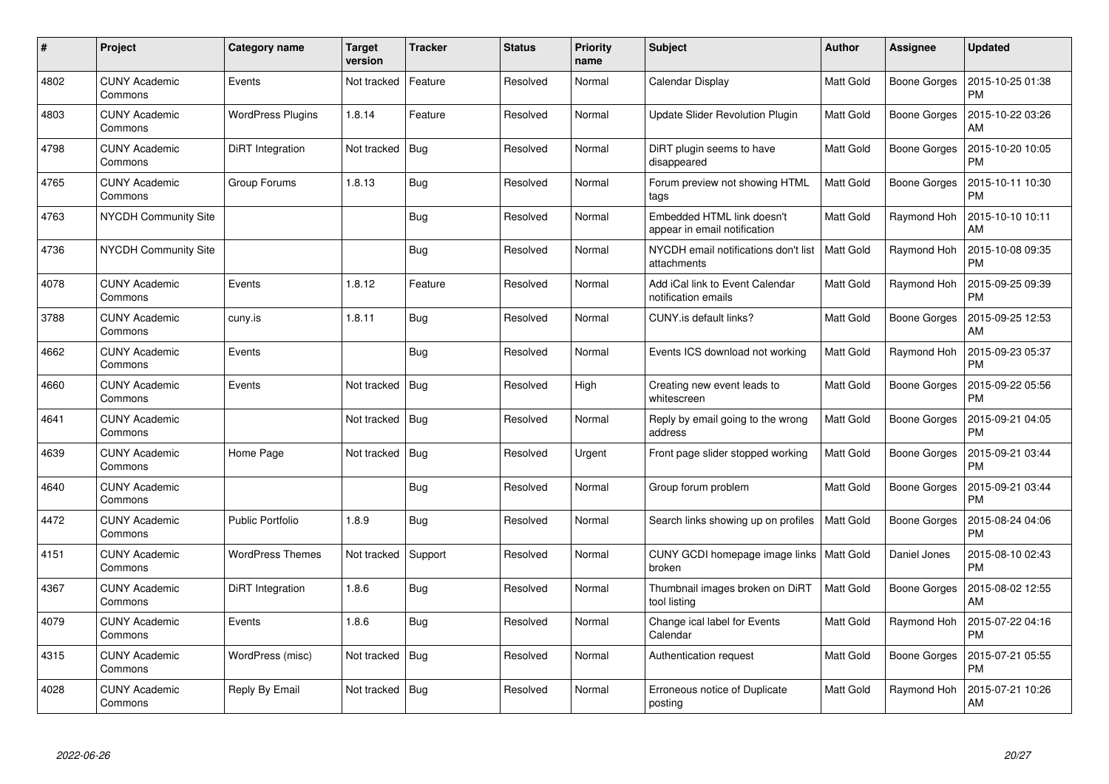| $\#$ | Project                         | Category name            | <b>Target</b><br>version | <b>Tracker</b> | <b>Status</b> | <b>Priority</b><br>name | <b>Subject</b>                                             | <b>Author</b>    | Assignee            | <b>Updated</b>                |
|------|---------------------------------|--------------------------|--------------------------|----------------|---------------|-------------------------|------------------------------------------------------------|------------------|---------------------|-------------------------------|
| 4802 | <b>CUNY Academic</b><br>Commons | Events                   | Not tracked              | Feature        | Resolved      | Normal                  | Calendar Display                                           | Matt Gold        | Boone Gorges        | 2015-10-25 01:38<br><b>PM</b> |
| 4803 | <b>CUNY Academic</b><br>Commons | <b>WordPress Plugins</b> | 1.8.14                   | Feature        | Resolved      | Normal                  | <b>Update Slider Revolution Plugin</b>                     | Matt Gold        | Boone Gorges        | 2015-10-22 03:26<br>AM        |
| 4798 | <b>CUNY Academic</b><br>Commons | DiRT Integration         | Not tracked              | Bug            | Resolved      | Normal                  | DiRT plugin seems to have<br>disappeared                   | Matt Gold        | Boone Gorges        | 2015-10-20 10:05<br><b>PM</b> |
| 4765 | <b>CUNY Academic</b><br>Commons | Group Forums             | 1.8.13                   | Bug            | Resolved      | Normal                  | Forum preview not showing HTML<br>tags                     | Matt Gold        | Boone Gorges        | 2015-10-11 10:30<br><b>PM</b> |
| 4763 | NYCDH Community Site            |                          |                          | Bug            | Resolved      | Normal                  | Embedded HTML link doesn't<br>appear in email notification | Matt Gold        | Raymond Hoh         | 2015-10-10 10:11<br>AM        |
| 4736 | NYCDH Community Site            |                          |                          | Bug            | Resolved      | Normal                  | NYCDH email notifications don't list<br>attachments        | Matt Gold        | Raymond Hoh         | 2015-10-08 09:35<br><b>PM</b> |
| 4078 | <b>CUNY Academic</b><br>Commons | Events                   | 1.8.12                   | Feature        | Resolved      | Normal                  | Add iCal link to Event Calendar<br>notification emails     | Matt Gold        | Raymond Hoh         | 2015-09-25 09:39<br><b>PM</b> |
| 3788 | <b>CUNY Academic</b><br>Commons | cuny.is                  | 1.8.11                   | Bug            | Resolved      | Normal                  | CUNY.is default links?                                     | Matt Gold        | Boone Gorges        | 2015-09-25 12:53<br>AM        |
| 4662 | <b>CUNY Academic</b><br>Commons | Events                   |                          | <b>Bug</b>     | Resolved      | Normal                  | Events ICS download not working                            | Matt Gold        | Raymond Hoh         | 2015-09-23 05:37<br><b>PM</b> |
| 4660 | <b>CUNY Academic</b><br>Commons | Events                   | Not tracked              | Bug            | Resolved      | High                    | Creating new event leads to<br>whitescreen                 | Matt Gold        | Boone Gorges        | 2015-09-22 05:56<br><b>PM</b> |
| 4641 | <b>CUNY Academic</b><br>Commons |                          | Not tracked              | Bug            | Resolved      | Normal                  | Reply by email going to the wrong<br>address               | Matt Gold        | <b>Boone Gorges</b> | 2015-09-21 04:05<br><b>PM</b> |
| 4639 | <b>CUNY Academic</b><br>Commons | Home Page                | Not tracked              | Bug            | Resolved      | Urgent                  | Front page slider stopped working                          | Matt Gold        | Boone Gorges        | 2015-09-21 03:44<br><b>PM</b> |
| 4640 | <b>CUNY Academic</b><br>Commons |                          |                          | <b>Bug</b>     | Resolved      | Normal                  | Group forum problem                                        | Matt Gold        | Boone Gorges        | 2015-09-21 03:44<br><b>PM</b> |
| 4472 | <b>CUNY Academic</b><br>Commons | <b>Public Portfolio</b>  | 1.8.9                    | Bug            | Resolved      | Normal                  | Search links showing up on profiles                        | Matt Gold        | Boone Gorges        | 2015-08-24 04:06<br><b>PM</b> |
| 4151 | <b>CUNY Academic</b><br>Commons | <b>WordPress Themes</b>  | Not tracked              | Support        | Resolved      | Normal                  | CUNY GCDI homepage image links<br>broken                   | <b>Matt Gold</b> | Daniel Jones        | 2015-08-10 02:43<br><b>PM</b> |
| 4367 | <b>CUNY Academic</b><br>Commons | DiRT Integration         | 1.8.6                    | Bug            | Resolved      | Normal                  | Thumbnail images broken on DiRT<br>tool listing            | Matt Gold        | Boone Gorges        | 2015-08-02 12:55<br>AM        |
| 4079 | <b>CUNY Academic</b><br>Commons | Events                   | 1.8.6                    | <b>Bug</b>     | Resolved      | Normal                  | Change ical label for Events<br>Calendar                   | Matt Gold        | Raymond Hoh         | 2015-07-22 04:16<br><b>PM</b> |
| 4315 | <b>CUNY Academic</b><br>Commons | WordPress (misc)         | Not tracked              | Bug            | Resolved      | Normal                  | Authentication request                                     | Matt Gold        | Boone Gorges        | 2015-07-21 05:55<br><b>PM</b> |
| 4028 | <b>CUNY Academic</b><br>Commons | Reply By Email           | Not tracked              | Bug            | Resolved      | Normal                  | Erroneous notice of Duplicate<br>posting                   | Matt Gold        | Raymond Hoh         | 2015-07-21 10:26<br>AM        |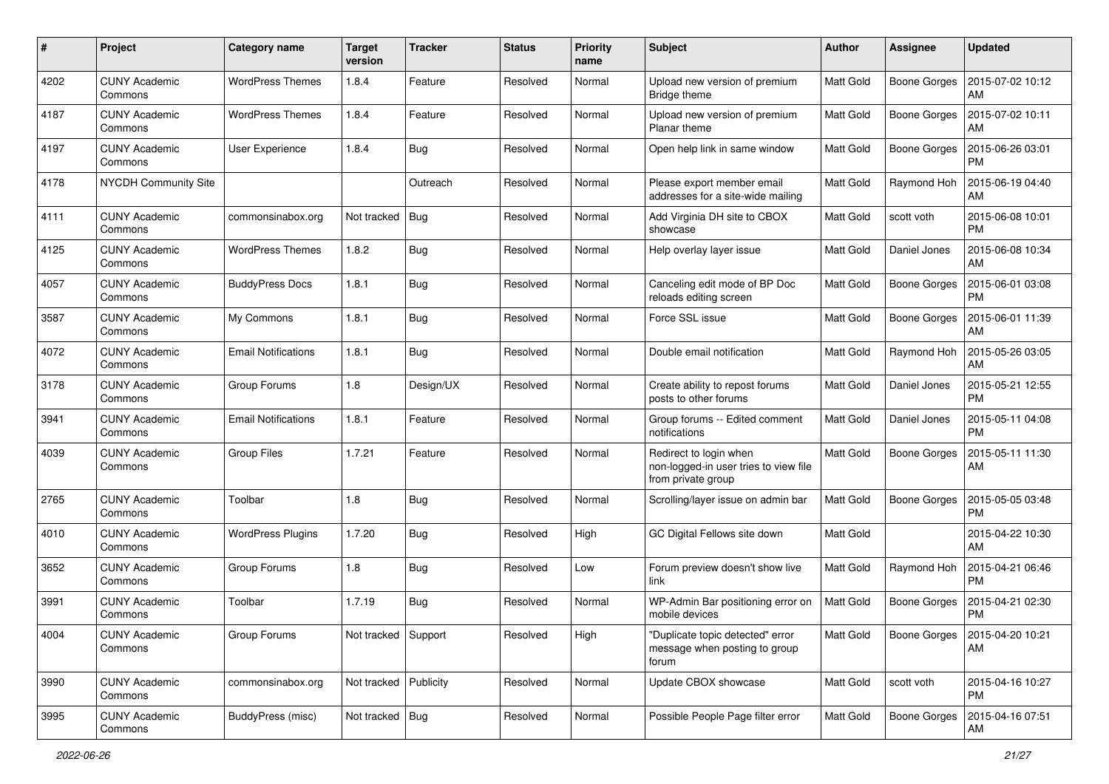| $\#$ | Project                         | <b>Category name</b>       | <b>Target</b><br>version | <b>Tracker</b> | <b>Status</b> | <b>Priority</b><br>name | Subject                                                                               | Author           | <b>Assignee</b>     | <b>Updated</b>                        |
|------|---------------------------------|----------------------------|--------------------------|----------------|---------------|-------------------------|---------------------------------------------------------------------------------------|------------------|---------------------|---------------------------------------|
| 4202 | <b>CUNY Academic</b><br>Commons | <b>WordPress Themes</b>    | 1.8.4                    | Feature        | Resolved      | Normal                  | Upload new version of premium<br>Bridge theme                                         | Matt Gold        | Boone Gorges        | 2015-07-02 10:12<br>AM                |
| 4187 | <b>CUNY Academic</b><br>Commons | <b>WordPress Themes</b>    | 1.8.4                    | Feature        | Resolved      | Normal                  | Upload new version of premium<br>Planar theme                                         | <b>Matt Gold</b> | Boone Gorges        | 2015-07-02 10:11<br>AM                |
| 4197 | CUNY Academic<br>Commons        | User Experience            | 1.8.4                    | Bug            | Resolved      | Normal                  | Open help link in same window                                                         | Matt Gold        | Boone Gorges        | 2015-06-26 03:01<br><b>PM</b>         |
| 4178 | NYCDH Community Site            |                            |                          | Outreach       | Resolved      | Normal                  | Please export member email<br>addresses for a site-wide mailing                       | <b>Matt Gold</b> | Raymond Hoh         | 2015-06-19 04:40<br>AM                |
| 4111 | <b>CUNY Academic</b><br>Commons | commonsinabox.org          | Not tracked              | <b>Bug</b>     | Resolved      | Normal                  | Add Virginia DH site to CBOX<br>showcase                                              | <b>Matt Gold</b> | scott voth          | 2015-06-08 10:01<br><b>PM</b>         |
| 4125 | <b>CUNY Academic</b><br>Commons | <b>WordPress Themes</b>    | 1.8.2                    | Bug            | Resolved      | Normal                  | Help overlay layer issue                                                              | Matt Gold        | Daniel Jones        | 2015-06-08 10:34<br>AM                |
| 4057 | <b>CUNY Academic</b><br>Commons | <b>BuddyPress Docs</b>     | 1.8.1                    | Bug            | Resolved      | Normal                  | Canceling edit mode of BP Doc<br>reloads editing screen                               | <b>Matt Gold</b> | Boone Gorges        | 2015-06-01 03:08<br><b>PM</b>         |
| 3587 | <b>CUNY Academic</b><br>Commons | My Commons                 | 1.8.1                    | Bug            | Resolved      | Normal                  | Force SSL issue                                                                       | <b>Matt Gold</b> | <b>Boone Gorges</b> | 2015-06-01 11:39<br>AM                |
| 4072 | <b>CUNY Academic</b><br>Commons | <b>Email Notifications</b> | 1.8.1                    | Bug            | Resolved      | Normal                  | Double email notification                                                             | Matt Gold        | Raymond Hoh         | 2015-05-26 03:05<br>AM                |
| 3178 | CUNY Academic<br>Commons        | Group Forums               | 1.8                      | Design/UX      | Resolved      | Normal                  | Create ability to repost forums<br>posts to other forums                              | Matt Gold        | Daniel Jones        | 2015-05-21 12:55<br><b>PM</b>         |
| 3941 | <b>CUNY Academic</b><br>Commons | <b>Email Notifications</b> | 1.8.1                    | Feature        | Resolved      | Normal                  | Group forums -- Edited comment<br>notifications                                       | <b>Matt Gold</b> | Daniel Jones        | 2015-05-11 04:08<br><b>PM</b>         |
| 4039 | <b>CUNY Academic</b><br>Commons | <b>Group Files</b>         | 1.7.21                   | Feature        | Resolved      | Normal                  | Redirect to login when<br>non-logged-in user tries to view file<br>from private group | <b>Matt Gold</b> | Boone Gorges        | 2015-05-11 11:30<br>AM                |
| 2765 | <b>CUNY Academic</b><br>Commons | Toolbar                    | 1.8                      | <b>Bug</b>     | Resolved      | Normal                  | Scrolling/layer issue on admin bar                                                    | <b>Matt Gold</b> | <b>Boone Gorges</b> | 2015-05-05 03:48<br><b>PM</b>         |
| 4010 | <b>CUNY Academic</b><br>Commons | <b>WordPress Plugins</b>   | 1.7.20                   | Bug            | Resolved      | High                    | GC Digital Fellows site down                                                          | <b>Matt Gold</b> |                     | 2015-04-22 10:30<br>AM                |
| 3652 | CUNY Academic<br>Commons        | Group Forums               | 1.8                      | Bug            | Resolved      | Low                     | Forum preview doesn't show live<br>link                                               | Matt Gold        | Raymond Hoh         | 2015-04-21 06:46<br><b>PM</b>         |
| 3991 | <b>CUNY Academic</b><br>Commons | Toolbar                    | 1.7.19                   | <b>Bug</b>     | Resolved      | Normal                  | WP-Admin Bar positioning error on<br>mobile devices                                   | <b>Matt Gold</b> | <b>Boone Gorges</b> | 2015-04-21 02:30<br><b>PM</b>         |
| 4004 | <b>CUNY Academic</b><br>Commons | Group Forums               | Not tracked Support      |                | Resolved      | High                    | "Duplicate topic detected" error<br>message when posting to group<br>forum            | Matt Gold        |                     | Boone Gorges   2015-04-20 10:21<br>AM |
| 3990 | <b>CUNY Academic</b><br>Commons | commonsinabox.org          | Not tracked Publicity    |                | Resolved      | Normal                  | Update CBOX showcase                                                                  | Matt Gold        | scott voth          | 2015-04-16 10:27<br><b>PM</b>         |
| 3995 | <b>CUNY Academic</b><br>Commons | BuddyPress (misc)          | Not tracked   Bug        |                | Resolved      | Normal                  | Possible People Page filter error                                                     | Matt Gold        | Boone Gorges        | 2015-04-16 07:51<br>AM                |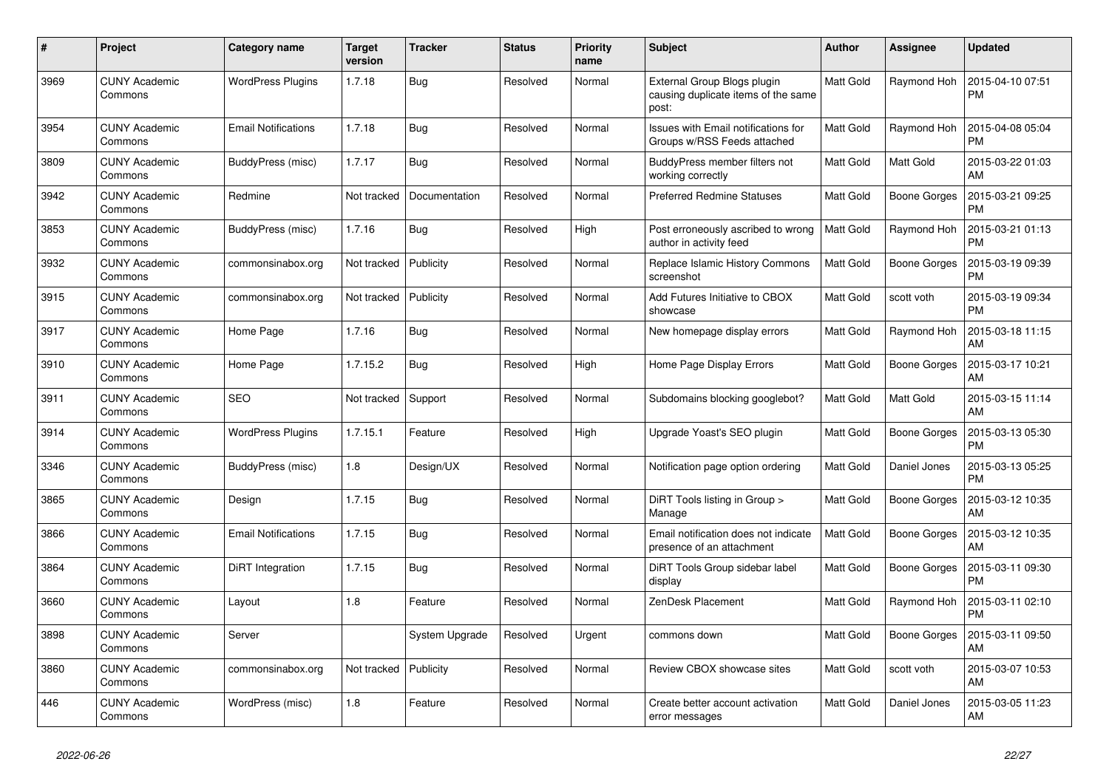| $\#$ | Project                         | Category name              | <b>Target</b><br>version | <b>Tracker</b> | <b>Status</b> | <b>Priority</b><br>name | <b>Subject</b>                                                              | <b>Author</b>    | Assignee            | <b>Updated</b>                |
|------|---------------------------------|----------------------------|--------------------------|----------------|---------------|-------------------------|-----------------------------------------------------------------------------|------------------|---------------------|-------------------------------|
| 3969 | <b>CUNY Academic</b><br>Commons | <b>WordPress Plugins</b>   | 1.7.18                   | Bug            | Resolved      | Normal                  | External Group Blogs plugin<br>causing duplicate items of the same<br>post: | Matt Gold        | Raymond Hoh         | 2015-04-10 07:51<br><b>PM</b> |
| 3954 | <b>CUNY Academic</b><br>Commons | <b>Email Notifications</b> | 1.7.18                   | Bug            | Resolved      | Normal                  | Issues with Email notifications for<br>Groups w/RSS Feeds attached          | Matt Gold        | Raymond Hoh         | 2015-04-08 05:04<br><b>PM</b> |
| 3809 | <b>CUNY Academic</b><br>Commons | BuddyPress (misc)          | 1.7.17                   | Bug            | Resolved      | Normal                  | BuddyPress member filters not<br>working correctly                          | Matt Gold        | Matt Gold           | 2015-03-22 01:03<br>AM        |
| 3942 | <b>CUNY Academic</b><br>Commons | Redmine                    | Not tracked              | Documentation  | Resolved      | Normal                  | <b>Preferred Redmine Statuses</b>                                           | Matt Gold        | Boone Gorges        | 2015-03-21 09:25<br><b>PM</b> |
| 3853 | <b>CUNY Academic</b><br>Commons | BuddyPress (misc)          | 1.7.16                   | <b>Bug</b>     | Resolved      | High                    | Post erroneously ascribed to wrong<br>author in activity feed               | Matt Gold        | Raymond Hoh         | 2015-03-21 01:13<br><b>PM</b> |
| 3932 | <b>CUNY Academic</b><br>Commons | commonsinabox.org          | Not tracked              | Publicity      | Resolved      | Normal                  | Replace Islamic History Commons<br>screenshot                               | <b>Matt Gold</b> | Boone Gorges        | 2015-03-19 09:39<br><b>PM</b> |
| 3915 | <b>CUNY Academic</b><br>Commons | commonsinabox.org          | Not tracked              | Publicity      | Resolved      | Normal                  | Add Futures Initiative to CBOX<br>showcase                                  | Matt Gold        | scott voth          | 2015-03-19 09:34<br><b>PM</b> |
| 3917 | <b>CUNY Academic</b><br>Commons | Home Page                  | 1.7.16                   | <b>Bug</b>     | Resolved      | Normal                  | New homepage display errors                                                 | Matt Gold        | Raymond Hoh         | 2015-03-18 11:15<br>AM        |
| 3910 | <b>CUNY Academic</b><br>Commons | Home Page                  | 1.7.15.2                 | Bug            | Resolved      | High                    | Home Page Display Errors                                                    | Matt Gold        | <b>Boone Gorges</b> | 2015-03-17 10:21<br>AM        |
| 3911 | <b>CUNY Academic</b><br>Commons | <b>SEO</b>                 | Not tracked              | Support        | Resolved      | Normal                  | Subdomains blocking googlebot?                                              | Matt Gold        | Matt Gold           | 2015-03-15 11:14<br>AM        |
| 3914 | <b>CUNY Academic</b><br>Commons | <b>WordPress Plugins</b>   | 1.7.15.1                 | Feature        | Resolved      | High                    | Upgrade Yoast's SEO plugin                                                  | Matt Gold        | Boone Gorges        | 2015-03-13 05:30<br><b>PM</b> |
| 3346 | <b>CUNY Academic</b><br>Commons | BuddyPress (misc)          | 1.8                      | Design/UX      | Resolved      | Normal                  | Notification page option ordering                                           | Matt Gold        | Daniel Jones        | 2015-03-13 05:25<br><b>PM</b> |
| 3865 | <b>CUNY Academic</b><br>Commons | Design                     | 1.7.15                   | <b>Bug</b>     | Resolved      | Normal                  | DiRT Tools listing in Group ><br>Manage                                     | Matt Gold        | <b>Boone Gorges</b> | 2015-03-12 10:35<br>AM        |
| 3866 | <b>CUNY Academic</b><br>Commons | <b>Email Notifications</b> | 1.7.15                   | Bug            | Resolved      | Normal                  | Email notification does not indicate<br>presence of an attachment           | Matt Gold        | Boone Gorges        | 2015-03-12 10:35<br>AM        |
| 3864 | <b>CUNY Academic</b><br>Commons | DiRT Integration           | 1.7.15                   | Bug            | Resolved      | Normal                  | DiRT Tools Group sidebar label<br>display                                   | Matt Gold        | Boone Gorges        | 2015-03-11 09:30<br><b>PM</b> |
| 3660 | <b>CUNY Academic</b><br>Commons | Layout                     | 1.8                      | Feature        | Resolved      | Normal                  | ZenDesk Placement                                                           | Matt Gold        | Raymond Hoh         | 2015-03-11 02:10<br><b>PM</b> |
| 3898 | <b>CUNY Academic</b><br>Commons | Server                     |                          | System Upgrade | Resolved      | Urgent                  | commons down                                                                | Matt Gold        | Boone Gorges        | 2015-03-11 09:50<br>AM        |
| 3860 | <b>CUNY Academic</b><br>Commons | commonsinabox.org          | Not tracked              | Publicity      | Resolved      | Normal                  | Review CBOX showcase sites                                                  | Matt Gold        | scott voth          | 2015-03-07 10:53<br>AM        |
| 446  | <b>CUNY Academic</b><br>Commons | WordPress (misc)           | 1.8                      | Feature        | Resolved      | Normal                  | Create better account activation<br>error messages                          | Matt Gold        | Daniel Jones        | 2015-03-05 11:23<br>AM        |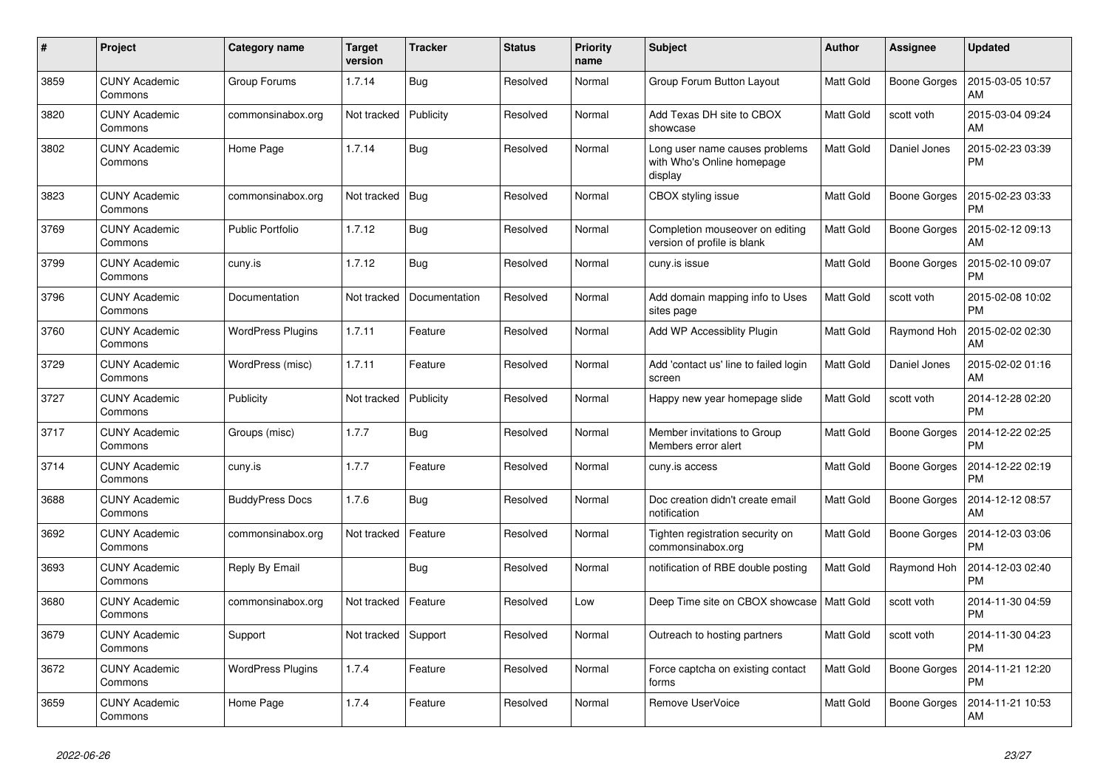| $\#$ | Project                         | Category name            | <b>Target</b><br>version | <b>Tracker</b> | <b>Status</b> | <b>Priority</b><br>name | <b>Subject</b>                                                          | <b>Author</b>    | Assignee            | <b>Updated</b>                |
|------|---------------------------------|--------------------------|--------------------------|----------------|---------------|-------------------------|-------------------------------------------------------------------------|------------------|---------------------|-------------------------------|
| 3859 | <b>CUNY Academic</b><br>Commons | Group Forums             | 1.7.14                   | Bug            | Resolved      | Normal                  | Group Forum Button Layout                                               | Matt Gold        | Boone Gorges        | 2015-03-05 10:57<br>AM        |
| 3820 | <b>CUNY Academic</b><br>Commons | commonsinabox.org        | Not tracked              | Publicity      | Resolved      | Normal                  | Add Texas DH site to CBOX<br>showcase                                   | Matt Gold        | scott voth          | 2015-03-04 09:24<br>AM        |
| 3802 | CUNY Academic<br>Commons        | Home Page                | 1.7.14                   | Bug            | Resolved      | Normal                  | Long user name causes problems<br>with Who's Online homepage<br>display | Matt Gold        | Daniel Jones        | 2015-02-23 03:39<br><b>PM</b> |
| 3823 | <b>CUNY Academic</b><br>Commons | commonsinabox.org        | Not tracked              | Bug            | Resolved      | Normal                  | CBOX styling issue                                                      | Matt Gold        | <b>Boone Gorges</b> | 2015-02-23 03:33<br><b>PM</b> |
| 3769 | <b>CUNY Academic</b><br>Commons | <b>Public Portfolio</b>  | 1.7.12                   | Bug            | Resolved      | Normal                  | Completion mouseover on editing<br>version of profile is blank          | Matt Gold        | Boone Gorges        | 2015-02-12 09:13<br>AM        |
| 3799 | CUNY Academic<br>Commons        | cuny.is                  | 1.7.12                   | Bug            | Resolved      | Normal                  | cuny.is issue                                                           | Matt Gold        | Boone Gorges        | 2015-02-10 09:07<br><b>PM</b> |
| 3796 | <b>CUNY Academic</b><br>Commons | Documentation            | Not tracked              | Documentation  | Resolved      | Normal                  | Add domain mapping info to Uses<br>sites page                           | Matt Gold        | scott voth          | 2015-02-08 10:02<br><b>PM</b> |
| 3760 | <b>CUNY Academic</b><br>Commons | <b>WordPress Plugins</b> | 1.7.11                   | Feature        | Resolved      | Normal                  | Add WP Accessiblity Plugin                                              | Matt Gold        | Raymond Hoh         | 2015-02-02 02:30<br>AM        |
| 3729 | <b>CUNY Academic</b><br>Commons | WordPress (misc)         | 1.7.11                   | Feature        | Resolved      | Normal                  | Add 'contact us' line to failed login<br>screen                         | Matt Gold        | Daniel Jones        | 2015-02-02 01:16<br>AM        |
| 3727 | <b>CUNY Academic</b><br>Commons | Publicity                | Not tracked              | Publicity      | Resolved      | Normal                  | Happy new year homepage slide                                           | Matt Gold        | scott voth          | 2014-12-28 02:20<br><b>PM</b> |
| 3717 | <b>CUNY Academic</b><br>Commons | Groups (misc)            | 1.7.7                    | <b>Bug</b>     | Resolved      | Normal                  | Member invitations to Group<br>Members error alert                      | Matt Gold        | Boone Gorges        | 2014-12-22 02:25<br><b>PM</b> |
| 3714 | <b>CUNY Academic</b><br>Commons | cuny.is                  | 1.7.7                    | Feature        | Resolved      | Normal                  | cuny.is access                                                          | Matt Gold        | Boone Gorges        | 2014-12-22 02:19<br><b>PM</b> |
| 3688 | <b>CUNY Academic</b><br>Commons | <b>BuddyPress Docs</b>   | 1.7.6                    | Bug            | Resolved      | Normal                  | Doc creation didn't create email<br>notification                        | Matt Gold        | Boone Gorges        | 2014-12-12 08:57<br>AM        |
| 3692 | <b>CUNY Academic</b><br>Commons | commonsinabox.org        | Not tracked              | Feature        | Resolved      | Normal                  | Tighten registration security on<br>commonsinabox.org                   | Matt Gold        | Boone Gorges        | 2014-12-03 03:06<br><b>PM</b> |
| 3693 | <b>CUNY Academic</b><br>Commons | Reply By Email           |                          | Bug            | Resolved      | Normal                  | notification of RBE double posting                                      | Matt Gold        | Raymond Hoh         | 2014-12-03 02:40<br><b>PM</b> |
| 3680 | <b>CUNY Academic</b><br>Commons | commonsinabox.org        | Not tracked              | Feature        | Resolved      | Low                     | Deep Time site on CBOX showcase                                         | <b>Matt Gold</b> | scott voth          | 2014-11-30 04:59<br><b>PM</b> |
| 3679 | <b>CUNY Academic</b><br>Commons | Support                  | Not tracked              | Support        | Resolved      | Normal                  | Outreach to hosting partners                                            | Matt Gold        | scott voth          | 2014-11-30 04:23<br><b>PM</b> |
| 3672 | <b>CUNY Academic</b><br>Commons | <b>WordPress Plugins</b> | 1.7.4                    | Feature        | Resolved      | Normal                  | Force captcha on existing contact<br>forms                              | Matt Gold        | Boone Gorges        | 2014-11-21 12:20<br><b>PM</b> |
| 3659 | <b>CUNY Academic</b><br>Commons | Home Page                | 1.7.4                    | Feature        | Resolved      | Normal                  | Remove UserVoice                                                        | Matt Gold        | Boone Gorges        | 2014-11-21 10:53<br>AM        |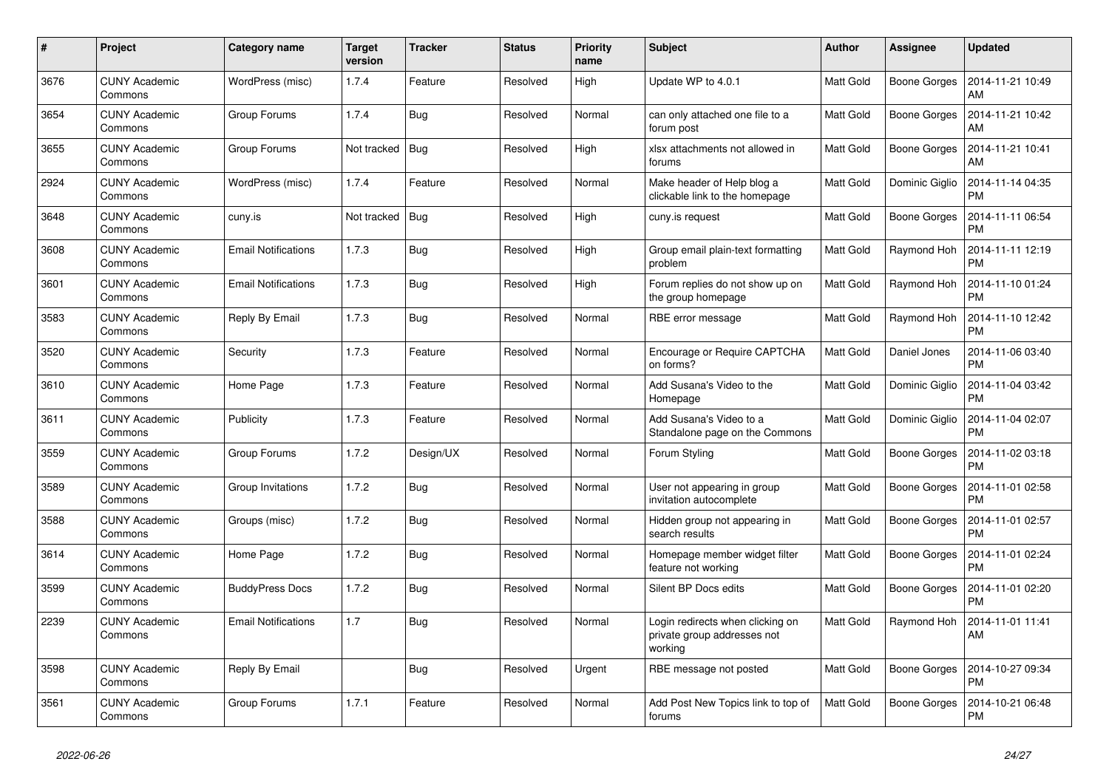| #    | Project                         | Category name              | <b>Target</b><br>version | <b>Tracker</b> | <b>Status</b> | <b>Priority</b><br>name | <b>Subject</b>                                                             | <b>Author</b>    | <b>Assignee</b>     | <b>Updated</b>                |
|------|---------------------------------|----------------------------|--------------------------|----------------|---------------|-------------------------|----------------------------------------------------------------------------|------------------|---------------------|-------------------------------|
| 3676 | <b>CUNY Academic</b><br>Commons | WordPress (misc)           | 1.7.4                    | Feature        | Resolved      | High                    | Update WP to 4.0.1                                                         | <b>Matt Gold</b> | Boone Gorges        | 2014-11-21 10:49<br><b>AM</b> |
| 3654 | <b>CUNY Academic</b><br>Commons | Group Forums               | 1.7.4                    | <b>Bug</b>     | Resolved      | Normal                  | can only attached one file to a<br>forum post                              | Matt Gold        | <b>Boone Gorges</b> | 2014-11-21 10:42<br>AM        |
| 3655 | <b>CUNY Academic</b><br>Commons | Group Forums               | Not tracked   Bug        |                | Resolved      | High                    | xlsx attachments not allowed in<br>forums                                  | Matt Gold        | Boone Gorges        | 2014-11-21 10:41<br>AM        |
| 2924 | <b>CUNY Academic</b><br>Commons | WordPress (misc)           | 1.7.4                    | Feature        | Resolved      | Normal                  | Make header of Help blog a<br>clickable link to the homepage               | Matt Gold        | Dominic Giglio      | 2014-11-14 04:35<br><b>PM</b> |
| 3648 | <b>CUNY Academic</b><br>Commons | cuny.is                    | Not tracked              | Bug            | Resolved      | High                    | cuny.is request                                                            | <b>Matt Gold</b> | Boone Gorges        | 2014-11-11 06:54<br><b>PM</b> |
| 3608 | <b>CUNY Academic</b><br>Commons | <b>Email Notifications</b> | 1.7.3                    | Bug            | Resolved      | High                    | Group email plain-text formatting<br>problem                               | Matt Gold        | Raymond Hoh         | 2014-11-11 12:19<br><b>PM</b> |
| 3601 | <b>CUNY Academic</b><br>Commons | <b>Email Notifications</b> | 1.7.3                    | <b>Bug</b>     | Resolved      | High                    | Forum replies do not show up on<br>the group homepage                      | <b>Matt Gold</b> | Raymond Hoh         | 2014-11-10 01:24<br><b>PM</b> |
| 3583 | <b>CUNY Academic</b><br>Commons | Reply By Email             | 1.7.3                    | <b>Bug</b>     | Resolved      | Normal                  | RBE error message                                                          | Matt Gold        | Raymond Hoh         | 2014-11-10 12:42<br><b>PM</b> |
| 3520 | <b>CUNY Academic</b><br>Commons | Security                   | 1.7.3                    | Feature        | Resolved      | Normal                  | <b>Encourage or Require CAPTCHA</b><br>on forms?                           | Matt Gold        | Daniel Jones        | 2014-11-06 03:40<br><b>PM</b> |
| 3610 | <b>CUNY Academic</b><br>Commons | Home Page                  | 1.7.3                    | Feature        | Resolved      | Normal                  | Add Susana's Video to the<br>Homepage                                      | <b>Matt Gold</b> | Dominic Giglio      | 2014-11-04 03:42<br><b>PM</b> |
| 3611 | <b>CUNY Academic</b><br>Commons | Publicity                  | 1.7.3                    | Feature        | Resolved      | Normal                  | Add Susana's Video to a<br>Standalone page on the Commons                  | <b>Matt Gold</b> | Dominic Giglio      | 2014-11-04 02:07<br><b>PM</b> |
| 3559 | <b>CUNY Academic</b><br>Commons | Group Forums               | 1.7.2                    | Design/UX      | Resolved      | Normal                  | Forum Styling                                                              | Matt Gold        | Boone Gorges        | 2014-11-02 03:18<br><b>PM</b> |
| 3589 | <b>CUNY Academic</b><br>Commons | Group Invitations          | 1.7.2                    | <b>Bug</b>     | Resolved      | Normal                  | User not appearing in group<br>invitation autocomplete                     | Matt Gold        | Boone Gorges        | 2014-11-01 02:58<br><b>PM</b> |
| 3588 | <b>CUNY Academic</b><br>Commons | Groups (misc)              | 1.7.2                    | <b>Bug</b>     | Resolved      | Normal                  | Hidden group not appearing in<br>search results                            | <b>Matt Gold</b> | Boone Gorges        | 2014-11-01 02:57<br><b>PM</b> |
| 3614 | <b>CUNY Academic</b><br>Commons | Home Page                  | 1.7.2                    | <b>Bug</b>     | Resolved      | Normal                  | Homepage member widget filter<br>feature not working                       | Matt Gold        | Boone Gorges        | 2014-11-01 02:24<br><b>PM</b> |
| 3599 | <b>CUNY Academic</b><br>Commons | <b>BuddyPress Docs</b>     | 1.7.2                    | Bug            | Resolved      | Normal                  | Silent BP Docs edits                                                       | Matt Gold        | <b>Boone Gorges</b> | 2014-11-01 02:20<br><b>PM</b> |
| 2239 | <b>CUNY Academic</b><br>Commons | <b>Email Notifications</b> | 1.7                      | Bug            | Resolved      | Normal                  | Login redirects when clicking on<br>private group addresses not<br>working | <b>Matt Gold</b> | Raymond Hoh         | 2014-11-01 11:41<br>AM        |
| 3598 | <b>CUNY Academic</b><br>Commons | Reply By Email             |                          | <b>Bug</b>     | Resolved      | Urgent                  | RBE message not posted                                                     | <b>Matt Gold</b> | Boone Gorges        | 2014-10-27 09:34<br><b>PM</b> |
| 3561 | <b>CUNY Academic</b><br>Commons | Group Forums               | 1.7.1                    | Feature        | Resolved      | Normal                  | Add Post New Topics link to top of<br>forums                               | <b>Matt Gold</b> | Boone Gorges        | 2014-10-21 06:48<br><b>PM</b> |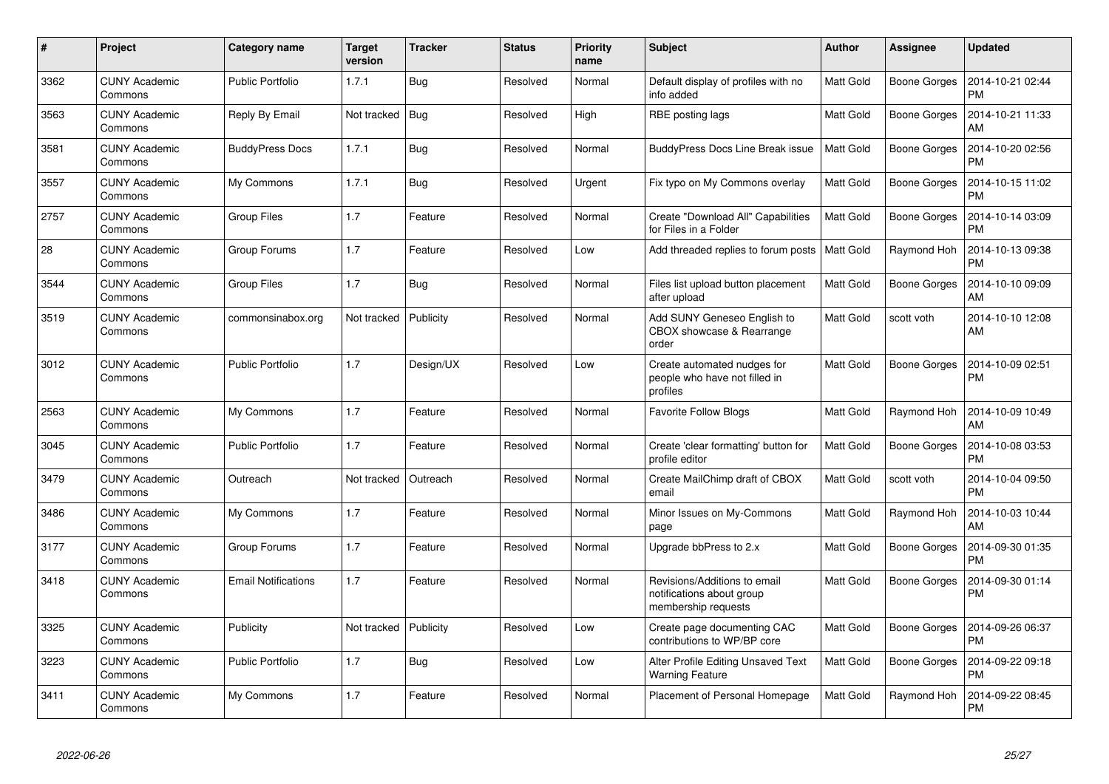| $\#$ | Project                         | Category name              | <b>Target</b><br>version | <b>Tracker</b> | <b>Status</b> | <b>Priority</b><br>name | <b>Subject</b>                                                                   | <b>Author</b>    | <b>Assignee</b>     | <b>Updated</b>                |
|------|---------------------------------|----------------------------|--------------------------|----------------|---------------|-------------------------|----------------------------------------------------------------------------------|------------------|---------------------|-------------------------------|
| 3362 | <b>CUNY Academic</b><br>Commons | <b>Public Portfolio</b>    | 1.7.1                    | <b>Bug</b>     | Resolved      | Normal                  | Default display of profiles with no<br>info added                                | Matt Gold        | Boone Gorges        | 2014-10-21 02:44<br><b>PM</b> |
| 3563 | <b>CUNY Academic</b><br>Commons | Reply By Email             | Not tracked              | Bug            | Resolved      | High                    | RBE posting lags                                                                 | Matt Gold        | <b>Boone Gorges</b> | 2014-10-21 11:33<br>AM        |
| 3581 | <b>CUNY Academic</b><br>Commons | <b>BuddyPress Docs</b>     | 1.7.1                    | Bug            | Resolved      | Normal                  | <b>BuddyPress Docs Line Break issue</b>                                          | <b>Matt Gold</b> | <b>Boone Gorges</b> | 2014-10-20 02:56<br><b>PM</b> |
| 3557 | <b>CUNY Academic</b><br>Commons | My Commons                 | 1.7.1                    | <b>Bug</b>     | Resolved      | Urgent                  | Fix typo on My Commons overlay                                                   | Matt Gold        | <b>Boone Gorges</b> | 2014-10-15 11:02<br><b>PM</b> |
| 2757 | <b>CUNY Academic</b><br>Commons | <b>Group Files</b>         | 1.7                      | Feature        | Resolved      | Normal                  | Create "Download All" Capabilities<br>for Files in a Folder                      | Matt Gold        | <b>Boone Gorges</b> | 2014-10-14 03:09<br><b>PM</b> |
| 28   | <b>CUNY Academic</b><br>Commons | Group Forums               | 1.7                      | Feature        | Resolved      | Low                     | Add threaded replies to forum posts                                              | <b>Matt Gold</b> | Raymond Hoh         | 2014-10-13 09:38<br><b>PM</b> |
| 3544 | <b>CUNY Academic</b><br>Commons | <b>Group Files</b>         | 1.7                      | Bug            | Resolved      | Normal                  | Files list upload button placement<br>after upload                               | Matt Gold        | Boone Gorges        | 2014-10-10 09:09<br>AM        |
| 3519 | <b>CUNY Academic</b><br>Commons | commonsinabox.org          | Not tracked              | Publicity      | Resolved      | Normal                  | Add SUNY Geneseo English to<br>CBOX showcase & Rearrange<br>order                | Matt Gold        | scott voth          | 2014-10-10 12:08<br>AM        |
| 3012 | <b>CUNY Academic</b><br>Commons | <b>Public Portfolio</b>    | 1.7                      | Design/UX      | Resolved      | Low                     | Create automated nudges for<br>people who have not filled in<br>profiles         | Matt Gold        | Boone Gorges        | 2014-10-09 02:51<br><b>PM</b> |
| 2563 | CUNY Academic<br>Commons        | My Commons                 | 1.7                      | Feature        | Resolved      | Normal                  | <b>Favorite Follow Blogs</b>                                                     | Matt Gold        | Raymond Hoh         | 2014-10-09 10:49<br>AM        |
| 3045 | <b>CUNY Academic</b><br>Commons | <b>Public Portfolio</b>    | 1.7                      | Feature        | Resolved      | Normal                  | Create 'clear formatting' button for<br>profile editor                           | Matt Gold        | <b>Boone Gorges</b> | 2014-10-08 03:53<br><b>PM</b> |
| 3479 | <b>CUNY Academic</b><br>Commons | Outreach                   | Not tracked              | Outreach       | Resolved      | Normal                  | Create MailChimp draft of CBOX<br>email                                          | Matt Gold        | scott voth          | 2014-10-04 09:50<br><b>PM</b> |
| 3486 | <b>CUNY Academic</b><br>Commons | My Commons                 | 1.7                      | Feature        | Resolved      | Normal                  | Minor Issues on My-Commons<br>page                                               | Matt Gold        | Raymond Hoh         | 2014-10-03 10:44<br>AM        |
| 3177 | <b>CUNY Academic</b><br>Commons | Group Forums               | 1.7                      | Feature        | Resolved      | Normal                  | Upgrade bbPress to 2.x                                                           | Matt Gold        | Boone Gorges        | 2014-09-30 01:35<br><b>PM</b> |
| 3418 | <b>CUNY Academic</b><br>Commons | <b>Email Notifications</b> | 1.7                      | Feature        | Resolved      | Normal                  | Revisions/Additions to email<br>notifications about group<br>membership requests | Matt Gold        | Boone Gorges        | 2014-09-30 01:14<br><b>PM</b> |
| 3325 | <b>CUNY Academic</b><br>Commons | Publicity                  | Not tracked              | Publicity      | Resolved      | Low                     | Create page documenting CAC<br>contributions to WP/BP core                       | Matt Gold        | <b>Boone Gorges</b> | 2014-09-26 06:37<br><b>PM</b> |
| 3223 | <b>CUNY Academic</b><br>Commons | Public Portfolio           | 1.7                      | Bug            | Resolved      | Low                     | Alter Profile Editing Unsaved Text<br><b>Warning Feature</b>                     | Matt Gold        | <b>Boone Gorges</b> | 2014-09-22 09:18<br><b>PM</b> |
| 3411 | <b>CUNY Academic</b><br>Commons | My Commons                 | 1.7                      | Feature        | Resolved      | Normal                  | Placement of Personal Homepage                                                   | Matt Gold        | Raymond Hoh         | 2014-09-22 08:45<br><b>PM</b> |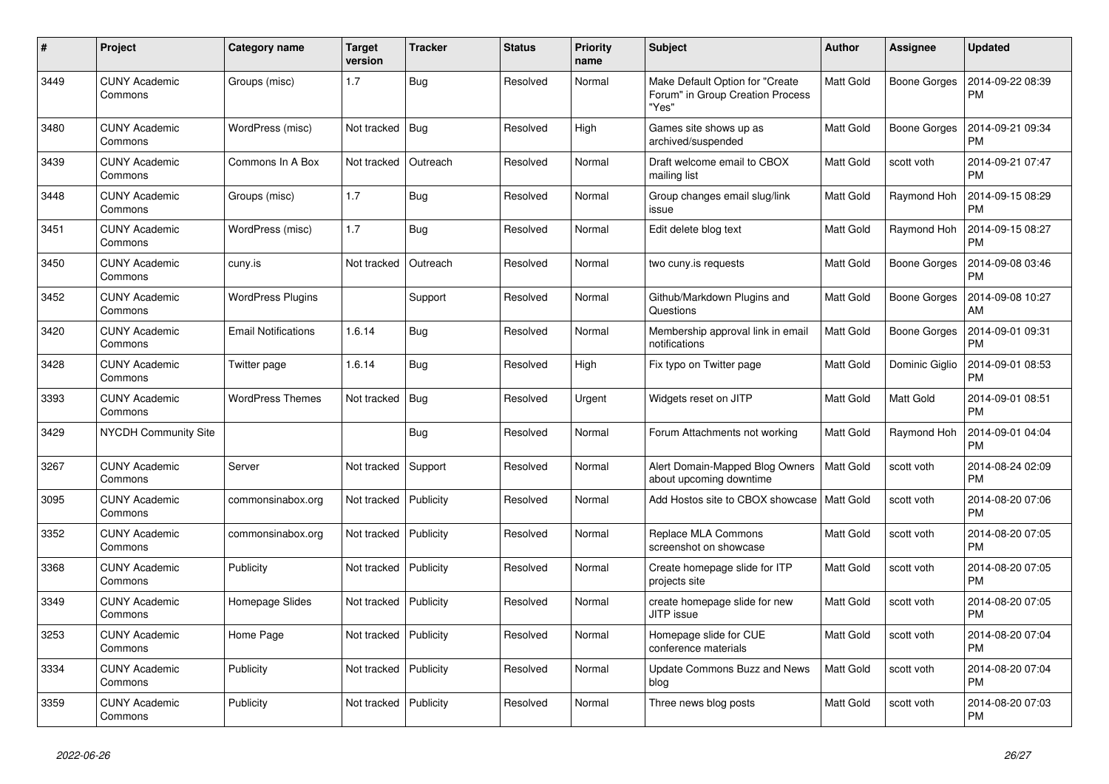| $\#$ | Project                         | Category name              | <b>Target</b><br>version | <b>Tracker</b> | <b>Status</b> | <b>Priority</b><br>name | <b>Subject</b>                                                               | <b>Author</b>    | <b>Assignee</b>     | <b>Updated</b>                |
|------|---------------------------------|----------------------------|--------------------------|----------------|---------------|-------------------------|------------------------------------------------------------------------------|------------------|---------------------|-------------------------------|
| 3449 | <b>CUNY Academic</b><br>Commons | Groups (misc)              | 1.7                      | <b>Bug</b>     | Resolved      | Normal                  | Make Default Option for "Create<br>Forum" in Group Creation Process<br>"Yes" | Matt Gold        | Boone Gorges        | 2014-09-22 08:39<br><b>PM</b> |
| 3480 | <b>CUNY Academic</b><br>Commons | WordPress (misc)           | Not tracked              | Bug            | Resolved      | High                    | Games site shows up as<br>archived/suspended                                 | Matt Gold        | Boone Gorges        | 2014-09-21 09:34<br><b>PM</b> |
| 3439 | <b>CUNY Academic</b><br>Commons | Commons In A Box           | Not tracked              | Outreach       | Resolved      | Normal                  | Draft welcome email to CBOX<br>mailing list                                  | Matt Gold        | scott voth          | 2014-09-21 07:47<br><b>PM</b> |
| 3448 | <b>CUNY Academic</b><br>Commons | Groups (misc)              | 1.7                      | <b>Bug</b>     | Resolved      | Normal                  | Group changes email slug/link<br>issue                                       | Matt Gold        | Raymond Hoh         | 2014-09-15 08:29<br><b>PM</b> |
| 3451 | <b>CUNY Academic</b><br>Commons | WordPress (misc)           | 1.7                      | Bug            | Resolved      | Normal                  | Edit delete blog text                                                        | Matt Gold        | Raymond Hoh         | 2014-09-15 08:27<br><b>PM</b> |
| 3450 | <b>CUNY Academic</b><br>Commons | cuny.is                    | Not tracked              | Outreach       | Resolved      | Normal                  | two cuny is requests                                                         | Matt Gold        | Boone Gorges        | 2014-09-08 03:46<br><b>PM</b> |
| 3452 | <b>CUNY Academic</b><br>Commons | <b>WordPress Plugins</b>   |                          | Support        | Resolved      | Normal                  | Github/Markdown Plugins and<br>Questions                                     | Matt Gold        | <b>Boone Gorges</b> | 2014-09-08 10:27<br>AM        |
| 3420 | <b>CUNY Academic</b><br>Commons | <b>Email Notifications</b> | 1.6.14                   | <b>Bug</b>     | Resolved      | Normal                  | Membership approval link in email<br>notifications                           | Matt Gold        | <b>Boone Gorges</b> | 2014-09-01 09:31<br><b>PM</b> |
| 3428 | <b>CUNY Academic</b><br>Commons | Twitter page               | 1.6.14                   | Bug            | Resolved      | High                    | Fix typo on Twitter page                                                     | Matt Gold        | Dominic Giglio      | 2014-09-01 08:53<br><b>PM</b> |
| 3393 | <b>CUNY Academic</b><br>Commons | <b>WordPress Themes</b>    | Not tracked              | Bug            | Resolved      | Urgent                  | Widgets reset on JITP                                                        | Matt Gold        | Matt Gold           | 2014-09-01 08:51<br><b>PM</b> |
| 3429 | NYCDH Community Site            |                            |                          | <b>Bug</b>     | Resolved      | Normal                  | Forum Attachments not working                                                | <b>Matt Gold</b> | Raymond Hoh         | 2014-09-01 04:04<br><b>PM</b> |
| 3267 | <b>CUNY Academic</b><br>Commons | Server                     | Not tracked              | Support        | Resolved      | Normal                  | Alert Domain-Mapped Blog Owners<br>about upcoming downtime                   | <b>Matt Gold</b> | scott voth          | 2014-08-24 02:09<br><b>PM</b> |
| 3095 | <b>CUNY Academic</b><br>Commons | commonsinabox.org          | Not tracked              | Publicity      | Resolved      | Normal                  | Add Hostos site to CBOX showcase                                             | <b>Matt Gold</b> | scott voth          | 2014-08-20 07:06<br><b>PM</b> |
| 3352 | <b>CUNY Academic</b><br>Commons | commonsinabox.org          | Not tracked              | Publicity      | Resolved      | Normal                  | Replace MLA Commons<br>screenshot on showcase                                | Matt Gold        | scott voth          | 2014-08-20 07:05<br><b>PM</b> |
| 3368 | <b>CUNY Academic</b><br>Commons | Publicity                  | Not tracked              | Publicity      | Resolved      | Normal                  | Create homepage slide for ITP<br>projects site                               | Matt Gold        | scott voth          | 2014-08-20 07:05<br><b>PM</b> |
| 3349 | <b>CUNY Academic</b><br>Commons | Homepage Slides            | Not tracked              | Publicity      | Resolved      | Normal                  | create homepage slide for new<br>JITP issue                                  | Matt Gold        | scott voth          | 2014-08-20 07:05<br><b>PM</b> |
| 3253 | <b>CUNY Academic</b><br>Commons | Home Page                  | Not tracked              | Publicity      | Resolved      | Normal                  | Homepage slide for CUE<br>conference materials                               | Matt Gold        | scott voth          | 2014-08-20 07:04<br><b>PM</b> |
| 3334 | <b>CUNY Academic</b><br>Commons | Publicity                  | Not tracked              | Publicity      | Resolved      | Normal                  | Update Commons Buzz and News<br>blog                                         | <b>Matt Gold</b> | scott voth          | 2014-08-20 07:04<br><b>PM</b> |
| 3359 | <b>CUNY Academic</b><br>Commons | Publicity                  | Not tracked              | Publicity      | Resolved      | Normal                  | Three news blog posts                                                        | Matt Gold        | scott voth          | 2014-08-20 07:03<br><b>PM</b> |